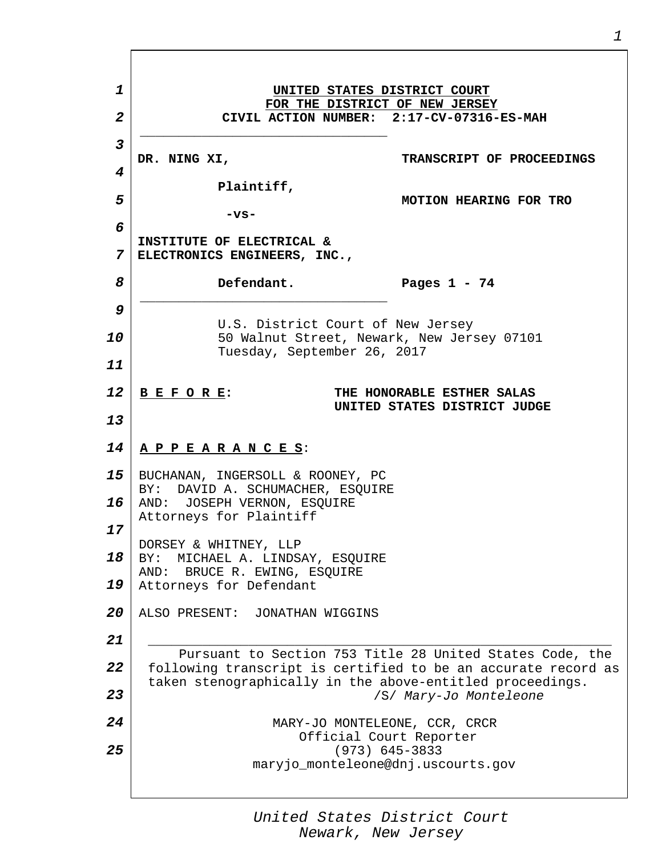*1 2 3 4 5 6 7 8 9 10 11 12 13 14 15 16 17 18 19 20 21 22 23 24 25* **UNITED STATES DISTRICT COURT FOR THE DISTRICT OF NEW JERSEY CIVIL ACTION NUMBER: 2:17-CV-07316-ES-MAH \_\_\_\_\_\_\_\_\_\_\_\_\_\_\_\_\_\_\_\_\_\_\_\_\_\_\_\_\_\_\_\_ DR. NING XI, Plaintiff, -vs-INSTITUTE OF ELECTRICAL & ELECTRONICS ENGINEERS, INC., Defendant. TRANSCRIPT OF PROCEEDINGS MOTION HEARING FOR TRO Pages 1 - 74 \_\_\_\_\_\_\_\_\_\_\_\_\_\_\_\_\_\_\_\_\_\_\_\_\_\_\_\_\_\_\_\_** U.S. District Court of New Jersey 50 Walnut Street, Newark, New Jersey 07101 Tuesday, September 26, 2017 **B E F O R E: THE HONORABLE ESTHER SALAS UNITED STATES DISTRICT JUDGE A P P E A R A N C E S**: BUCHANAN, INGERSOLL & ROONEY, PC BY: DAVID A. SCHUMACHER, ESQUIRE AND: JOSEPH VERNON, ESQUIRE Attorneys for Plaintiff DORSEY & WHITNEY, LLP BY: MICHAEL A. LINDSAY, ESQUIRE AND: BRUCE R. EWING, ESQUIRE Attorneys for Defendant ALSO PRESENT: JONATHAN WIGGINS \_\_\_\_\_\_\_\_\_\_\_\_\_\_\_\_\_\_\_\_\_\_\_\_\_\_\_\_\_\_\_\_\_\_\_\_\_\_\_\_\_\_\_\_\_\_\_\_\_\_\_\_\_\_\_\_\_\_\_\_ Pursuant to Section 753 Title 28 United States Code, the following transcript is certified to be an accurate record as taken stenographically in the above-entitled proceedings. /S/ *Mary-Jo Monteleone* MARY-JO MONTELEONE, CCR, CRCR Official Court Reporter (973) 645-3833 maryjo\_monteleone@dnj.uscourts.gov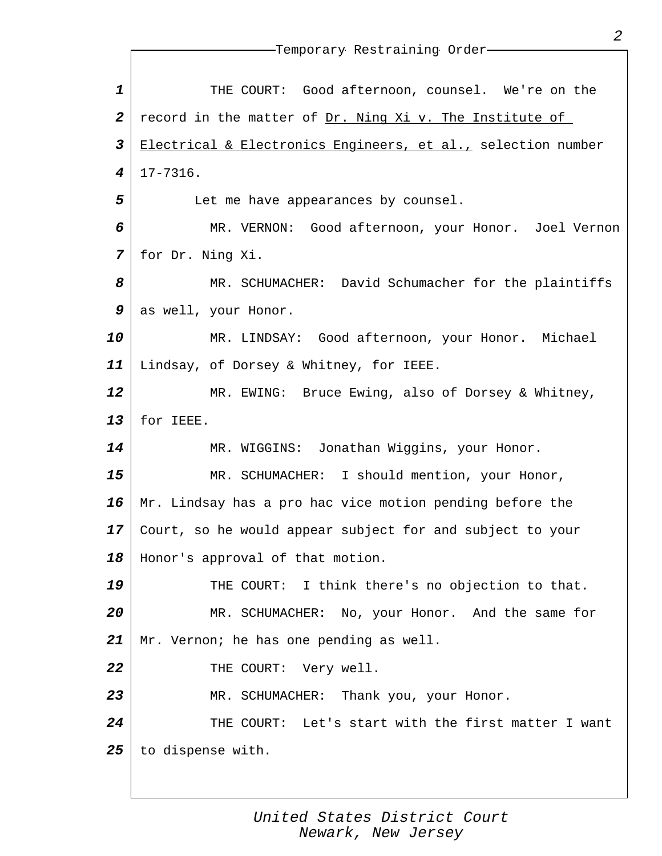| $\mathbf 1$             | THE COURT: Good afternoon, counsel. We're on the             |
|-------------------------|--------------------------------------------------------------|
| $\boldsymbol{2}$        | record in the matter of Dr. Ning Xi v. The Institute of      |
| $\overline{\mathbf{3}}$ | Electrical & Electronics Engineers, et al., selection number |
| $\boldsymbol{4}$        | $17 - 7316$ .                                                |
| 5                       | Let me have appearances by counsel.                          |
| 6                       | MR. VERNON: Good afternoon, your Honor. Joel Vernon          |
| 7                       | for Dr. Ning Xi.                                             |
| 8                       | MR. SCHUMACHER: David Schumacher for the plaintiffs          |
| 9                       | as well, your Honor.                                         |
| 10                      | MR. LINDSAY: Good afternoon, your Honor. Michael             |
| 11                      | Lindsay, of Dorsey & Whitney, for IEEE.                      |
| 12                      | MR. EWING: Bruce Ewing, also of Dorsey & Whitney,            |
| 13                      | for IEEE.                                                    |
| 14                      | MR. WIGGINS: Jonathan Wiggins, your Honor.                   |
| 15                      | MR. SCHUMACHER: I should mention, your Honor,                |
| 16                      | Mr. Lindsay has a pro hac vice motion pending before the     |
| 17                      | Court, so he would appear subject for and subject to your    |
| 18                      | Honor's approval of that motion.                             |
| 19                      | THE COURT: I think there's no objection to that.             |
| 20                      | MR. SCHUMACHER: No, your Honor. And the same for             |
| 21                      | Mr. Vernon; he has one pending as well.                      |
| 22                      | THE COURT: Very well.                                        |
| 23                      | MR. SCHUMACHER: Thank you, your Honor.                       |
| 24                      | THE COURT: Let's start with the first matter I want          |
| 25                      | to dispense with.                                            |
|                         |                                                              |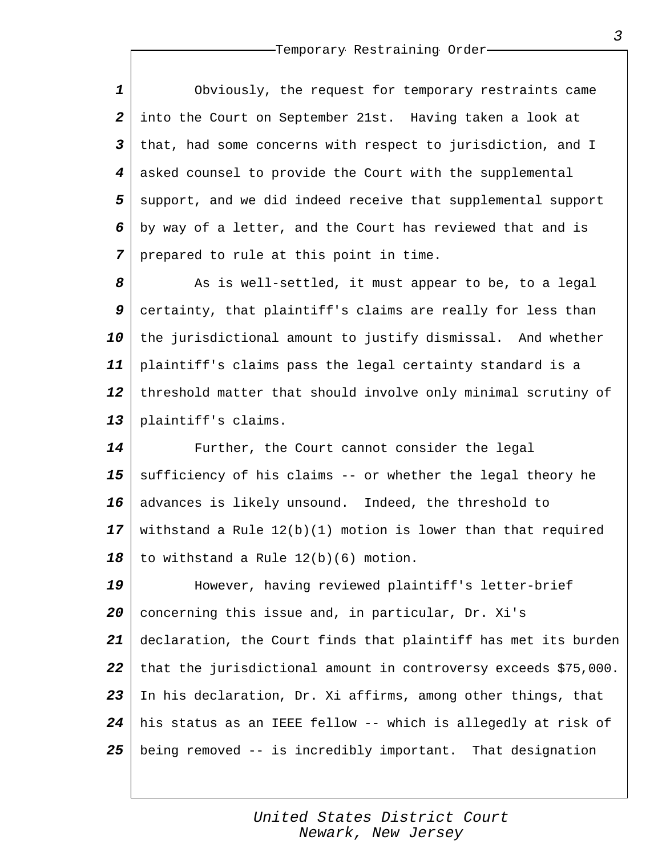*1 2 3 4 5 6 7* Obviously, the request for temporary restraints came into the Court on September 21st. Having taken a look at that, had some concerns with respect to jurisdiction, and I asked counsel to provide the Court with the supplemental support, and we did indeed receive that supplemental support by way of a letter, and the Court has reviewed that and is prepared to rule at this point in time.

*8 9 10 11 12 13* As is well-settled, it must appear to be, to a legal certainty, that plaintiff's claims are really for less than the jurisdictional amount to justify dismissal. And whether plaintiff's claims pass the legal certainty standard is a threshold matter that should involve only minimal scrutiny of plaintiff's claims.

*14 15 16 17 18* Further, the Court cannot consider the legal sufficiency of his claims -- or whether the legal theory he advances is likely unsound. Indeed, the threshold to withstand a Rule 12(b)(1) motion is lower than that required to withstand a Rule 12(b)(6) motion.

*19 20 21 22 23 24 25* However, having reviewed plaintiff's letter-brief concerning this issue and, in particular, Dr. Xi's declaration, the Court finds that plaintiff has met its burden that the jurisdictional amount in controversy exceeds \$75,000. In his declaration, Dr. Xi affirms, among other things, that his status as an IEEE fellow -- which is allegedly at risk of being removed -- is incredibly important. That designation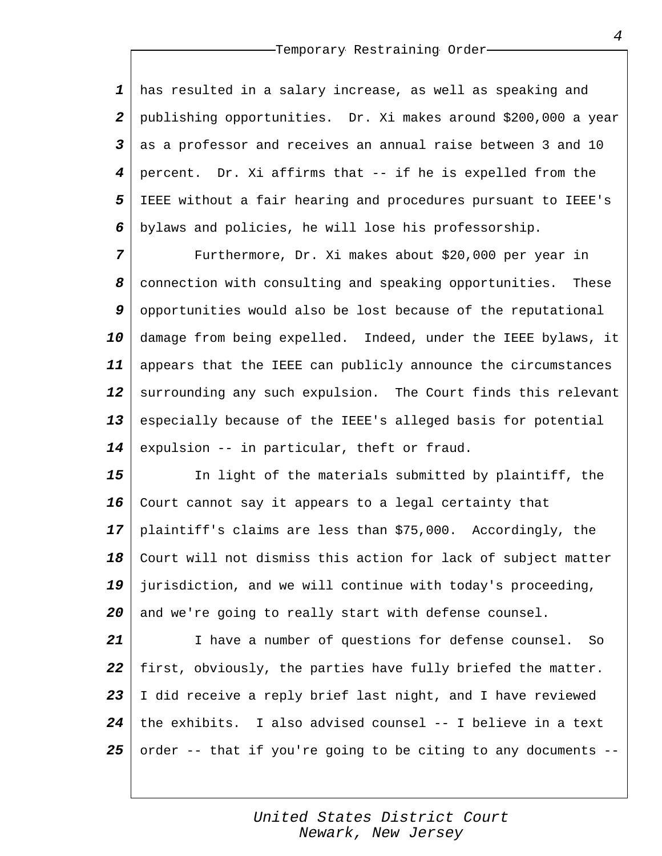*1 2 3 4 5 6* has resulted in a salary increase, as well as speaking and publishing opportunities. Dr. Xi makes around \$200,000 a year as a professor and receives an annual raise between 3 and 10 percent. Dr. Xi affirms that -- if he is expelled from the IEEE without a fair hearing and procedures pursuant to IEEE's bylaws and policies, he will lose his professorship.

*7 8 9 10 11 12 13 14* Furthermore, Dr. Xi makes about \$20,000 per year in connection with consulting and speaking opportunities. These opportunities would also be lost because of the reputational damage from being expelled. Indeed, under the IEEE bylaws, it appears that the IEEE can publicly announce the circumstances surrounding any such expulsion. The Court finds this relevant especially because of the IEEE's alleged basis for potential expulsion -- in particular, theft or fraud.

*15 16 17 18 19 20* In light of the materials submitted by plaintiff, the Court cannot say it appears to a legal certainty that plaintiff's claims are less than \$75,000. Accordingly, the Court will not dismiss this action for lack of subject matter jurisdiction, and we will continue with today's proceeding, and we're going to really start with defense counsel.

*21 22 23 24 25* I have a number of questions for defense counsel. So first, obviously, the parties have fully briefed the matter. I did receive a reply brief last night, and I have reviewed the exhibits. I also advised counsel -- I believe in a text order -- that if you're going to be citing to any documents --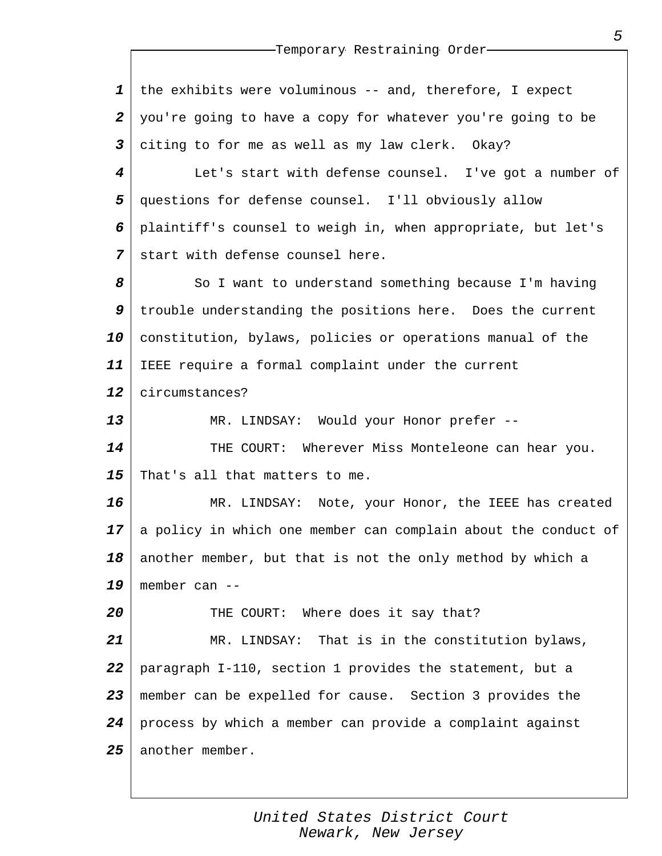*1 2 3* the exhibits were voluminous -- and, therefore, I expect you're going to have a copy for whatever you're going to be citing to for me as well as my law clerk. Okay?

*4 5 6 7* Let's start with defense counsel. I've got a number of questions for defense counsel. I'll obviously allow plaintiff's counsel to weigh in, when appropriate, but let's start with defense counsel here.

*8 9 10 11* So I want to understand something because I'm having trouble understanding the positions here. Does the current constitution, bylaws, policies or operations manual of the IEEE require a formal complaint under the current

*12* circumstances?

*20*

*13 14 15* MR. LINDSAY: Would your Honor prefer -- THE COURT: Wherever Miss Monteleone can hear you. That's all that matters to me.

*16 17 18 19* MR. LINDSAY: Note, your Honor, the IEEE has created a policy in which one member can complain about the conduct of another member, but that is not the only method by which a member can --

THE COURT: Where does it say that?

*21 22 23 24 25* MR. LINDSAY: That is in the constitution bylaws, paragraph I-110, section 1 provides the statement, but a member can be expelled for cause. Section 3 provides the process by which a member can provide a complaint against another member.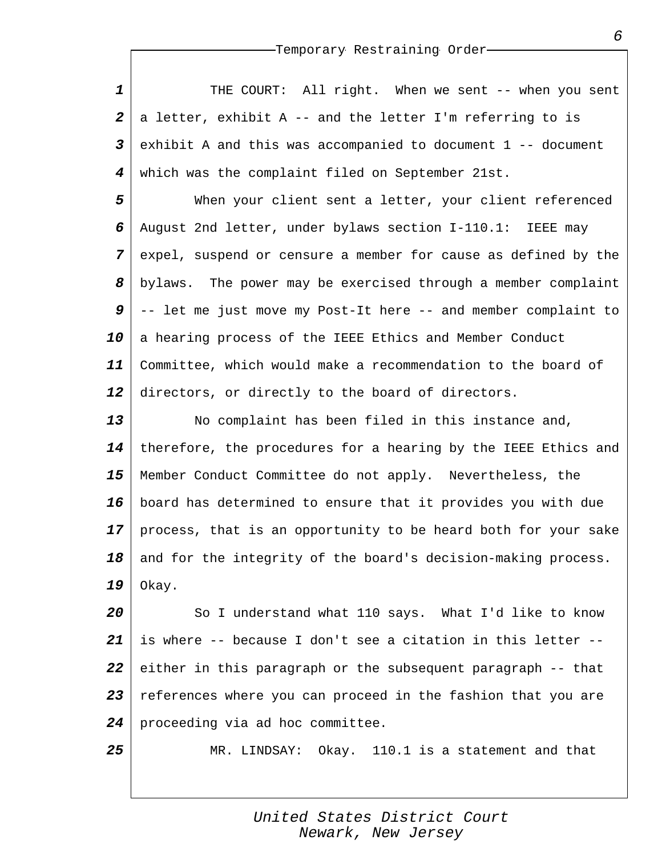*1 2 3 4* THE COURT: All right. When we sent -- when you sent a letter, exhibit A -- and the letter I'm referring to is exhibit A and this was accompanied to document 1 -- document which was the complaint filed on September 21st.

*5 6 7 8 9 10 11 12* When your client sent a letter, your client referenced August 2nd letter, under bylaws section I-110.1: IEEE may expel, suspend or censure a member for cause as defined by the bylaws. The power may be exercised through a member complaint -- let me just move my Post-It here -- and member complaint to a hearing process of the IEEE Ethics and Member Conduct Committee, which would make a recommendation to the board of directors, or directly to the board of directors.

*13 14 15 16 17 18 19* No complaint has been filed in this instance and, therefore, the procedures for a hearing by the IEEE Ethics and Member Conduct Committee do not apply. Nevertheless, the board has determined to ensure that it provides you with due process, that is an opportunity to be heard both for your sake and for the integrity of the board's decision-making process. Okay.

*20 21 22 23 24* So I understand what 110 says. What I'd like to know is where -- because I don't see a citation in this letter - either in this paragraph or the subsequent paragraph -- that references where you can proceed in the fashion that you are proceeding via ad hoc committee.

*25*

MR. LINDSAY: Okay. 110.1 is a statement and that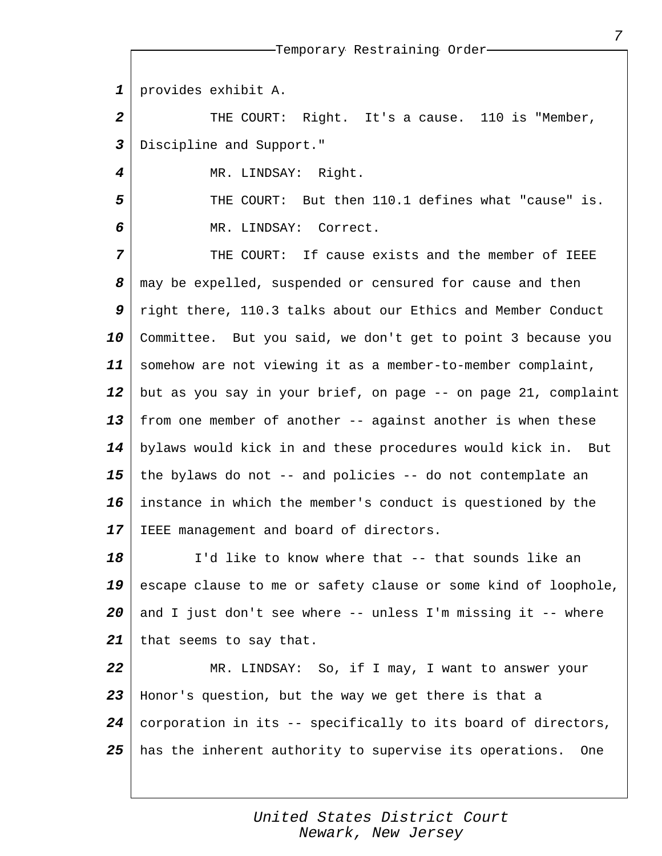*1* provides exhibit A.

*4*

*5*

*6*

*2 3* THE COURT: Right. It's a cause. 110 is "Member, Discipline and Support."

MR. LINDSAY: Right.

THE COURT: But then 110.1 defines what "cause" is. MR. LINDSAY: Correct.

*7 8 9 10 11 12 13 14 15 16 17* THE COURT: If cause exists and the member of IEEE may be expelled, suspended or censured for cause and then right there, 110.3 talks about our Ethics and Member Conduct Committee. But you said, we don't get to point 3 because you somehow are not viewing it as a member-to-member complaint, but as you say in your brief, on page -- on page 21, complaint from one member of another -- against another is when these bylaws would kick in and these procedures would kick in. But the bylaws do not -- and policies -- do not contemplate an instance in which the member's conduct is questioned by the IEEE management and board of directors.

*18 19 20 21* I'd like to know where that -- that sounds like an escape clause to me or safety clause or some kind of loophole, and I just don't see where -- unless I'm missing it -- where that seems to say that.

*22 23 24 25* MR. LINDSAY: So, if I may, I want to answer your Honor's question, but the way we get there is that a corporation in its -- specifically to its board of directors, has the inherent authority to supervise its operations. One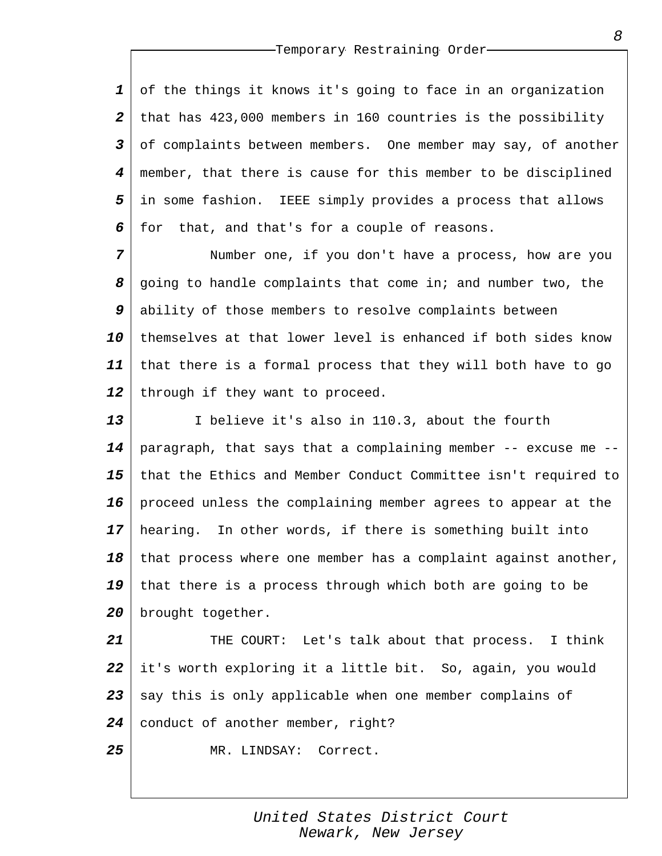*1 2 3 4 5 6* of the things it knows it's going to face in an organization that has 423,000 members in 160 countries is the possibility of complaints between members. One member may say, of another member, that there is cause for this member to be disciplined in some fashion. IEEE simply provides a process that allows for that, and that's for a couple of reasons.

*7 8 9 10 11 12* Number one, if you don't have a process, how are you going to handle complaints that come in; and number two, the ability of those members to resolve complaints between themselves at that lower level is enhanced if both sides know that there is a formal process that they will both have to go through if they want to proceed.

*13 14 15 16 17 18 19 20* I believe it's also in 110.3, about the fourth paragraph, that says that a complaining member  $-$ - excuse me  $$ that the Ethics and Member Conduct Committee isn't required to proceed unless the complaining member agrees to appear at the hearing. In other words, if there is something built into that process where one member has a complaint against another, that there is a process through which both are going to be brought together.

*21 22 23 24* THE COURT: Let's talk about that process. I think it's worth exploring it a little bit. So, again, you would say this is only applicable when one member complains of conduct of another member, right?

MR. LINDSAY: Correct.

*25*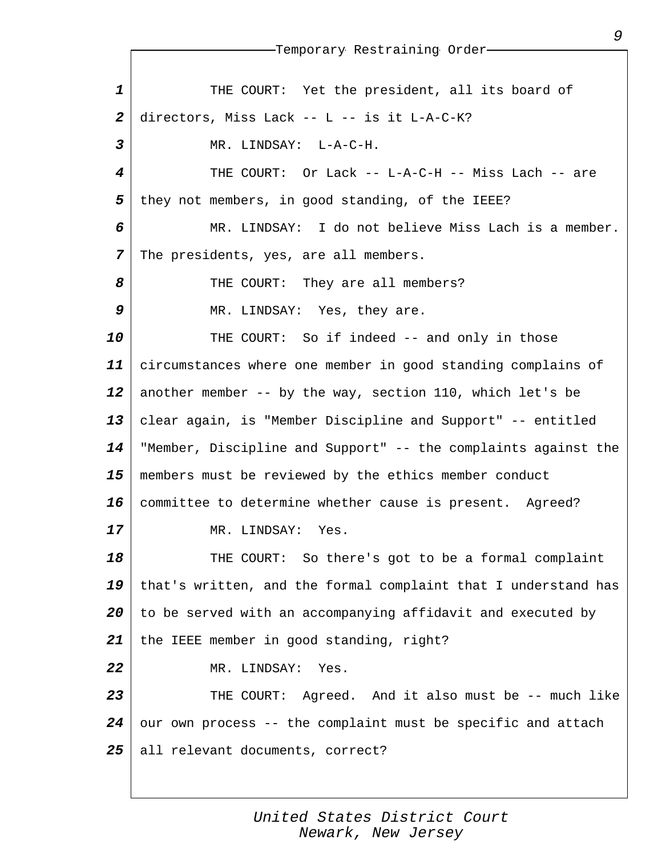*1 2 3 4 5 6 7 8 9 10 11 12 13 14 15 16 17 18 19 20 21 22 23 24 25* Temporary Restraining Order THE COURT: Yet the president, all its board of directors, Miss Lack -- L -- is it L-A-C-K? MR. LINDSAY: L-A-C-H. THE COURT: Or Lack -- L-A-C-H -- Miss Lach -- are they not members, in good standing, of the IEEE? MR. LINDSAY: I do not believe Miss Lach is a member. The presidents, yes, are all members. THE COURT: They are all members? MR. LINDSAY: Yes, they are. THE COURT: So if indeed -- and only in those circumstances where one member in good standing complains of another member -- by the way, section 110, which let's be clear again, is "Member Discipline and Support" -- entitled "Member, Discipline and Support" -- the complaints against the members must be reviewed by the ethics member conduct committee to determine whether cause is present. Agreed? MR. LINDSAY: Yes. THE COURT: So there's got to be a formal complaint that's written, and the formal complaint that I understand has to be served with an accompanying affidavit and executed by the IEEE member in good standing, right? MR. LINDSAY: Yes. THE COURT: Agreed. And it also must be -- much like our own process -- the complaint must be specific and attach all relevant documents, correct?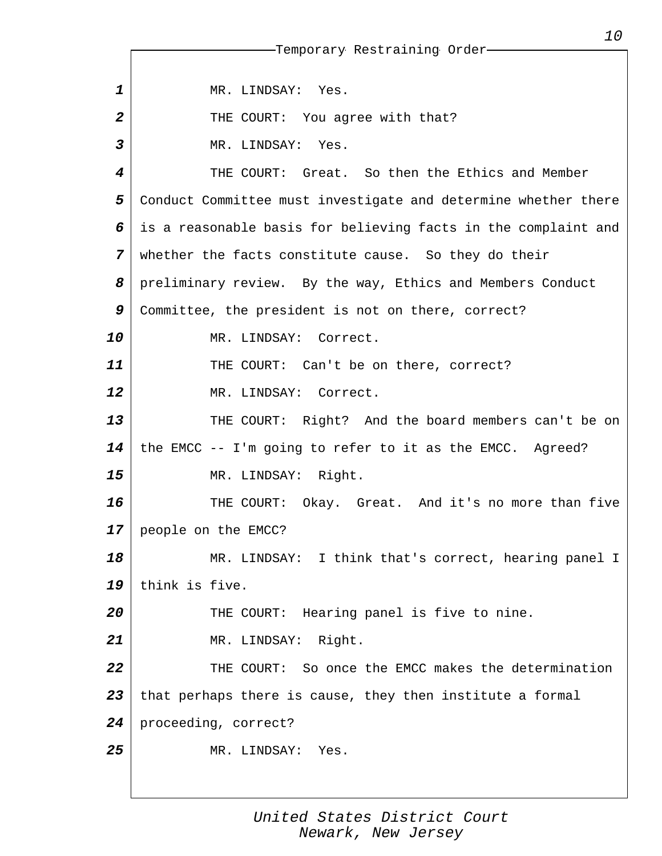*1 2 3 4 5 6 7 8 9 10 11 12 13 14 15 16 17 18 19 20 21 22 23 24 25* Temporary Restraining Order MR. LINDSAY: Yes. THE COURT: You agree with that? MR. LINDSAY: Yes. THE COURT: Great. So then the Ethics and Member Conduct Committee must investigate and determine whether there is a reasonable basis for believing facts in the complaint and whether the facts constitute cause. So they do their preliminary review. By the way, Ethics and Members Conduct Committee, the president is not on there, correct? MR. LINDSAY: Correct. THE COURT: Can't be on there, correct? MR. LINDSAY: Correct. THE COURT: Right? And the board members can't be on the EMCC -- I'm going to refer to it as the EMCC. Agreed? MR. LINDSAY: Right. THE COURT: Okay. Great. And it's no more than five people on the EMCC? MR. LINDSAY: I think that's correct, hearing panel I think is five. THE COURT: Hearing panel is five to nine. MR. LINDSAY: Right. THE COURT: So once the EMCC makes the determination that perhaps there is cause, they then institute a formal proceeding, correct? MR. LINDSAY: Yes.

> *United States District Court Newark, New Jersey*

*10*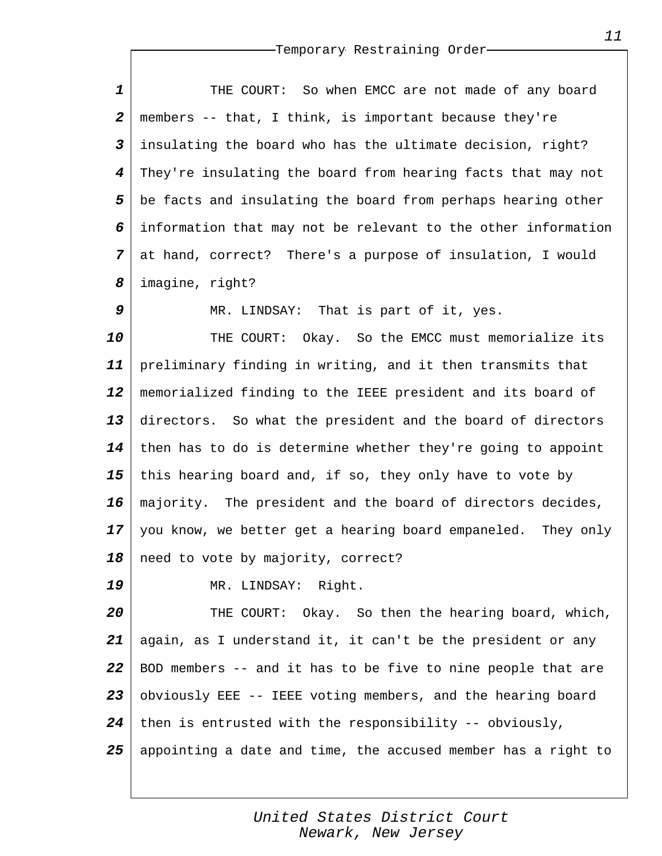*1 2 3 4 5 6 7 8* THE COURT: So when EMCC are not made of any board members -- that, I think, is important because they're insulating the board who has the ultimate decision, right? They're insulating the board from hearing facts that may not be facts and insulating the board from perhaps hearing other information that may not be relevant to the other information at hand, correct? There's a purpose of insulation, I would imagine, right?

MR. LINDSAY: That is part of it, yes.

*10 11 12 13 14 15 16 17 18* THE COURT: Okay. So the EMCC must memorialize its preliminary finding in writing, and it then transmits that memorialized finding to the IEEE president and its board of directors. So what the president and the board of directors then has to do is determine whether they're going to appoint this hearing board and, if so, they only have to vote by majority. The president and the board of directors decides, you know, we better get a hearing board empaneled. They only need to vote by majority, correct?

MR. LINDSAY: Right.

*9*

*19*

*20 21 22 23 24 25* THE COURT: Okay. So then the hearing board, which, again, as I understand it, it can't be the president or any BOD members -- and it has to be five to nine people that are obviously EEE -- IEEE voting members, and the hearing board then is entrusted with the responsibility -- obviously, appointing a date and time, the accused member has a right to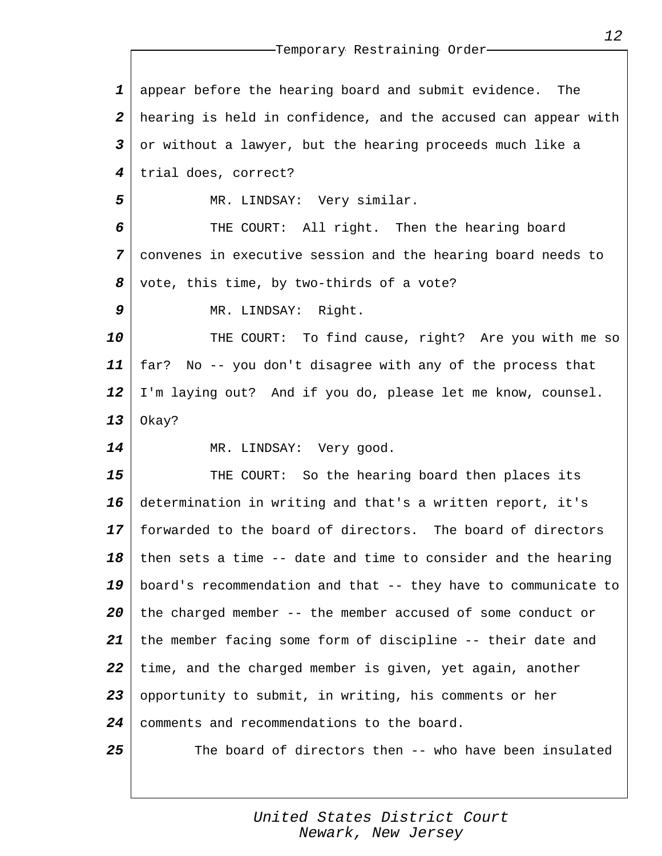*1 2 3 4 5 6 7 8 9 10 11 12 13 14 15 16 17 18 19 20 21 22 23 24 25* appear before the hearing board and submit evidence. The hearing is held in confidence, and the accused can appear with or without a lawyer, but the hearing proceeds much like a trial does, correct? MR. LINDSAY: Very similar. THE COURT: All right. Then the hearing board convenes in executive session and the hearing board needs to vote, this time, by two-thirds of a vote? MR. LINDSAY: Right. THE COURT: To find cause, right? Are you with me so far? No -- you don't disagree with any of the process that I'm laying out? And if you do, please let me know, counsel. Okay? MR. LINDSAY: Very good. THE COURT: So the hearing board then places its determination in writing and that's a written report, it's forwarded to the board of directors. The board of directors then sets a time -- date and time to consider and the hearing board's recommendation and that -- they have to communicate to the charged member -- the member accused of some conduct or the member facing some form of discipline -- their date and time, and the charged member is given, yet again, another opportunity to submit, in writing, his comments or her comments and recommendations to the board. The board of directors then -- who have been insulated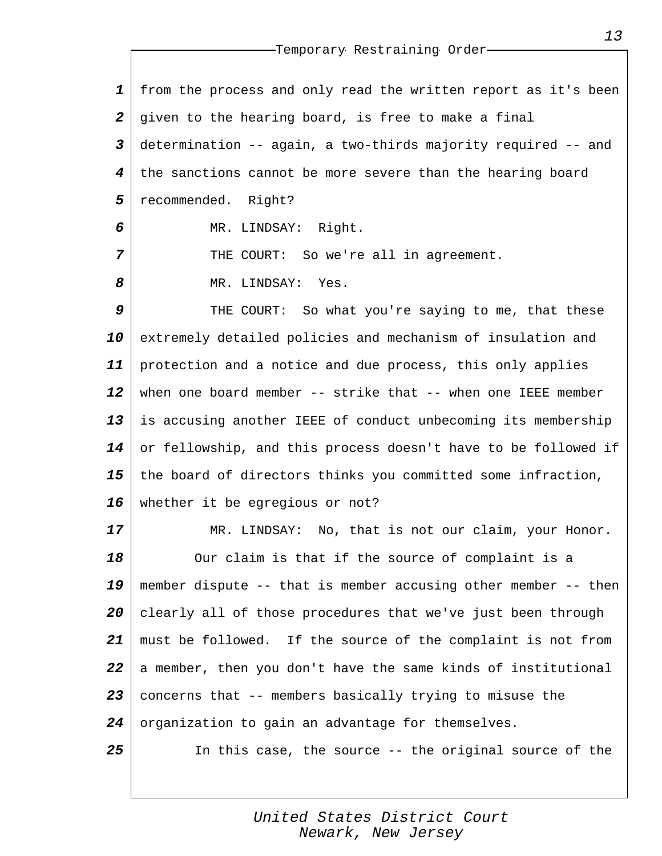*1 2 3 4 5* from the process and only read the written report as it's been given to the hearing board, is free to make a final determination -- again, a two-thirds majority required -- and the sanctions cannot be more severe than the hearing board recommended. Right?

MR. LINDSAY: Right.

THE COURT: So we're all in agreement.

MR. LINDSAY: Yes.

*6*

*7*

*8*

*9 10 11 12 13 14 15 16* THE COURT: So what you're saying to me, that these extremely detailed policies and mechanism of insulation and protection and a notice and due process, this only applies when one board member -- strike that -- when one IEEE member is accusing another IEEE of conduct unbecoming its membership or fellowship, and this process doesn't have to be followed if the board of directors thinks you committed some infraction, whether it be egregious or not?

*17 18 19 20 21 22 23 24 25* MR. LINDSAY: No, that is not our claim, your Honor. Our claim is that if the source of complaint is a member dispute -- that is member accusing other member -- then clearly all of those procedures that we've just been through must be followed. If the source of the complaint is not from a member, then you don't have the same kinds of institutional concerns that -- members basically trying to misuse the organization to gain an advantage for themselves. In this case, the source -- the original source of the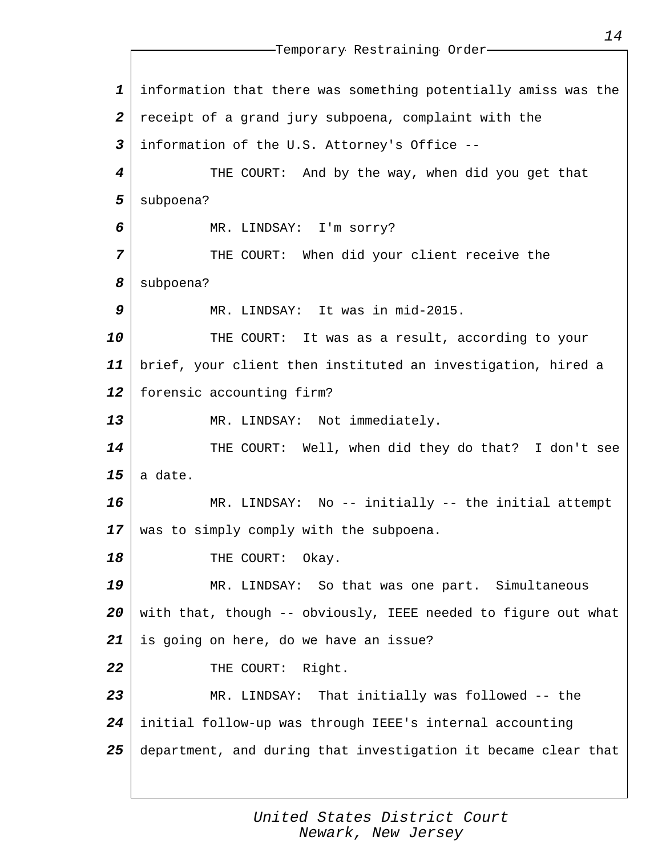*1 2 3 4 5 6 7 8 9 10 11 12 13 14 15 16 17 18 19 20 21 22 23 24 25* Temporary Restraining Order information that there was something potentially amiss was the receipt of a grand jury subpoena, complaint with the information of the U.S. Attorney's Office -- THE COURT: And by the way, when did you get that subpoena? MR. LINDSAY: I'm sorry? THE COURT: When did your client receive the subpoena? MR. LINDSAY: It was in mid-2015. THE COURT: It was as a result, according to your brief, your client then instituted an investigation, hired a forensic accounting firm? MR. LINDSAY: Not immediately. THE COURT: Well, when did they do that? I don't see a date. MR. LINDSAY: No -- initially -- the initial attempt was to simply comply with the subpoena. THE COURT: Okay. MR. LINDSAY: So that was one part. Simultaneous with that, though -- obviously, IEEE needed to figure out what is going on here, do we have an issue? THE COURT: Right. MR. LINDSAY: That initially was followed -- the initial follow-up was through IEEE's internal accounting department, and during that investigation it became clear that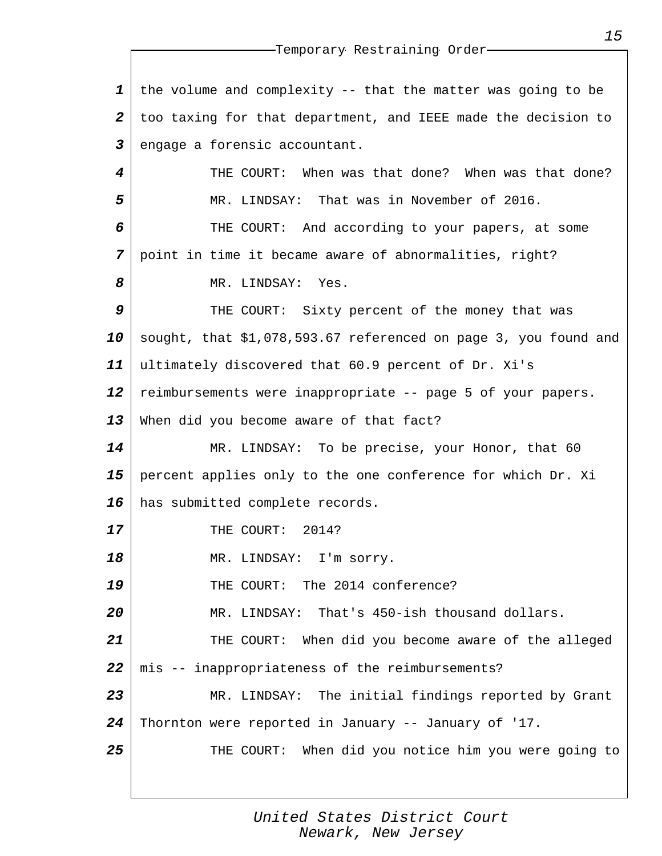*1 2 3 4 5 6 7 8 9 10 11 12 13 14 15 16 17 18 19 20 21 22 23 24 25* the volume and complexity -- that the matter was going to be too taxing for that department, and IEEE made the decision to engage a forensic accountant. THE COURT: When was that done? When was that done? MR. LINDSAY: That was in November of 2016. THE COURT: And according to your papers, at some point in time it became aware of abnormalities, right? MR. LINDSAY: Yes. THE COURT: Sixty percent of the money that was sought, that \$1,078,593.67 referenced on page 3, you found and ultimately discovered that 60.9 percent of Dr. Xi's reimbursements were inappropriate -- page 5 of your papers. When did you become aware of that fact? MR. LINDSAY: To be precise, your Honor, that 60 percent applies only to the one conference for which Dr. Xi has submitted complete records. THE COURT: 2014? MR. LINDSAY: I'm sorry. THE COURT: The 2014 conference? MR. LINDSAY: That's 450-ish thousand dollars. THE COURT: When did you become aware of the alleged mis -- inappropriateness of the reimbursements? MR. LINDSAY: The initial findings reported by Grant Thornton were reported in January -- January of '17. THE COURT: When did you notice him you were going to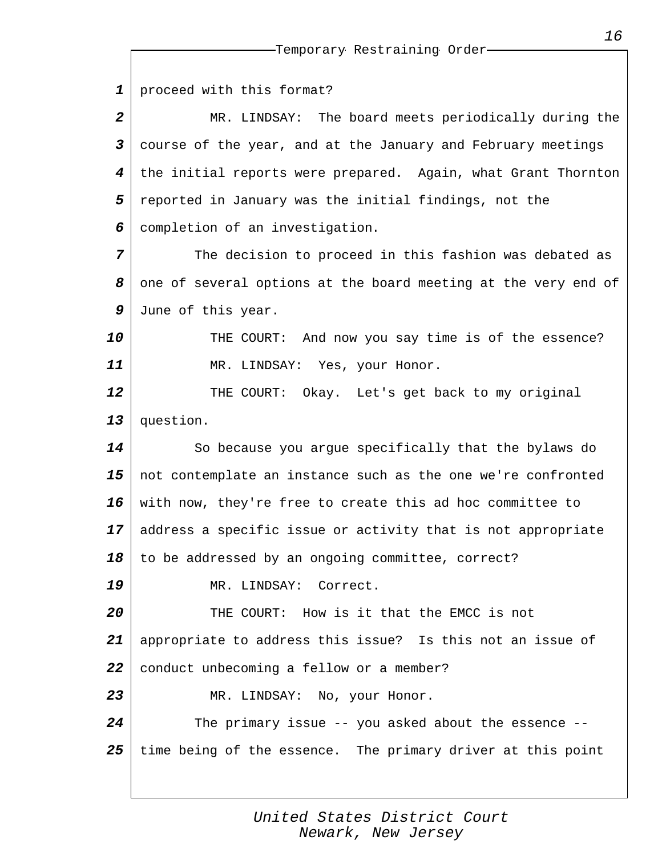| $\mathbf 1$      | proceed with this format?                                      |
|------------------|----------------------------------------------------------------|
| $\boldsymbol{2}$ | MR. LINDSAY: The board meets periodically during the           |
| 3                | course of the year, and at the January and February meetings   |
| 4                | the initial reports were prepared. Again, what Grant Thornton  |
| 5                | reported in January was the initial findings, not the          |
| 6                | completion of an investigation.                                |
| 7                | The decision to proceed in this fashion was debated as         |
| 8                | one of several options at the board meeting at the very end of |
| 9                | June of this year.                                             |
| 10               | THE COURT: And now you say time is of the essence?             |
| 11               | MR. LINDSAY: Yes, your Honor.                                  |
| 12               | THE COURT:<br>Okay. Let's get back to my original              |
| 13               | question.                                                      |
| 14               | So because you argue specifically that the bylaws do           |
| 15               | not contemplate an instance such as the one we're confronted   |
| 16               | with now, they're free to create this ad hoc committee to      |
| 17               | address a specific issue or activity that is not appropriate   |
|                  | $18$ $\mid$ to be addressed by an ongoing committee, correct?  |
| 19               | MR. LINDSAY: Correct.                                          |
| 20               | THE COURT: How is it that the EMCC is not                      |
| 21               | appropriate to address this issue? Is this not an issue of     |
| 22               | conduct unbecoming a fellow or a member?                       |
| 23               | MR. LINDSAY: No, your Honor.                                   |
| 24               | The primary issue $--$ you asked about the essence $--$        |
| 25               | time being of the essence. The primary driver at this point    |
|                  |                                                                |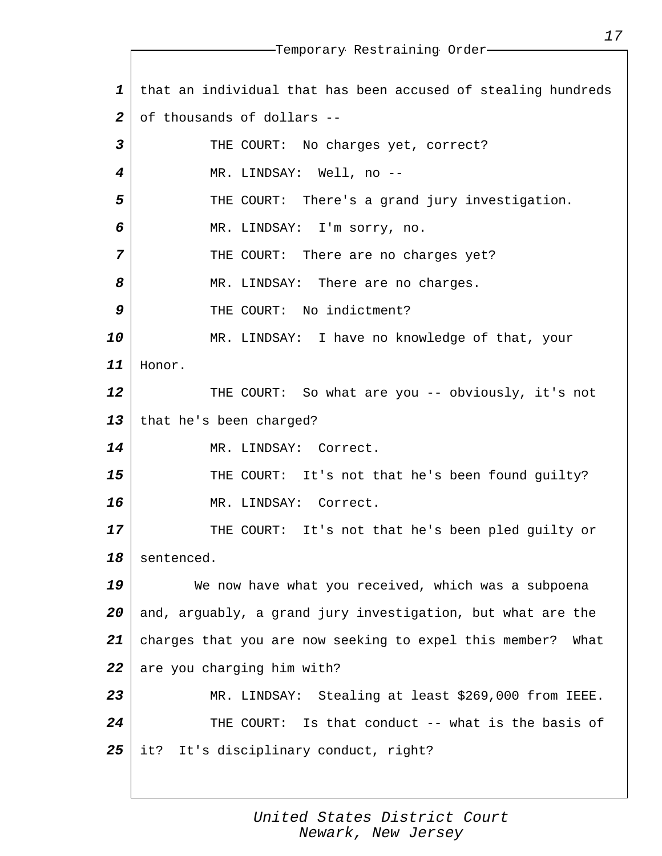*1 2 3 4 5 6 7 8 9 10 11 12 13 14 15 16 17 18 19 20 21 22 23 24 25* Temporary Restraining Order that an individual that has been accused of stealing hundreds of thousands of dollars -- THE COURT: No charges yet, correct? MR. LINDSAY: Well, no --THE COURT: There's a grand jury investigation. MR. LINDSAY: I'm sorry, no. THE COURT: There are no charges yet? MR. LINDSAY: There are no charges. THE COURT: No indictment? MR. LINDSAY: I have no knowledge of that, your Honor. THE COURT: So what are you -- obviously, it's not that he's been charged? MR. LINDSAY: Correct. THE COURT: It's not that he's been found guilty? MR. LINDSAY: Correct. THE COURT: It's not that he's been pled guilty or sentenced. We now have what you received, which was a subpoena and, arguably, a grand jury investigation, but what are the charges that you are now seeking to expel this member? What are you charging him with? MR. LINDSAY: Stealing at least \$269,000 from IEEE. THE COURT: Is that conduct -- what is the basis of it? It's disciplinary conduct, right?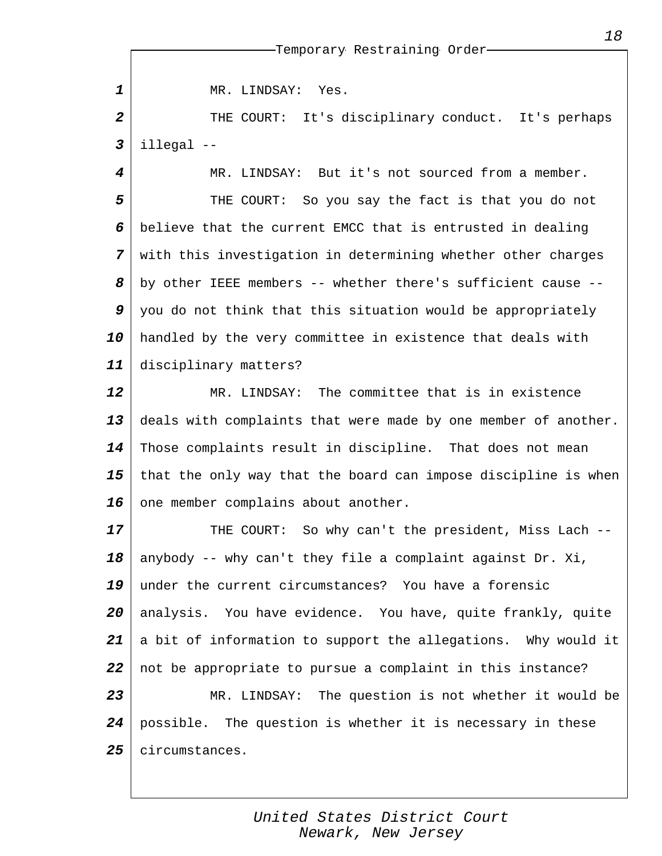MR. LINDSAY: Yes.

*1*

*2 3* THE COURT: It's disciplinary conduct. It's perhaps illegal --

*4 5 6 7 8 9 10 11* MR. LINDSAY: But it's not sourced from a member. THE COURT: So you say the fact is that you do not believe that the current EMCC that is entrusted in dealing with this investigation in determining whether other charges by other IEEE members -- whether there's sufficient cause - you do not think that this situation would be appropriately handled by the very committee in existence that deals with disciplinary matters?

*12 13 14 15 16* MR. LINDSAY: The committee that is in existence deals with complaints that were made by one member of another. Those complaints result in discipline. That does not mean that the only way that the board can impose discipline is when one member complains about another.

*17 18 19 20 21 22 23 24 25* THE COURT: So why can't the president, Miss Lach - anybody -- why can't they file a complaint against Dr. Xi, under the current circumstances? You have a forensic analysis. You have evidence. You have, quite frankly, quite a bit of information to support the allegations. Why would it not be appropriate to pursue a complaint in this instance? MR. LINDSAY: The question is not whether it would be possible. The question is whether it is necessary in these circumstances.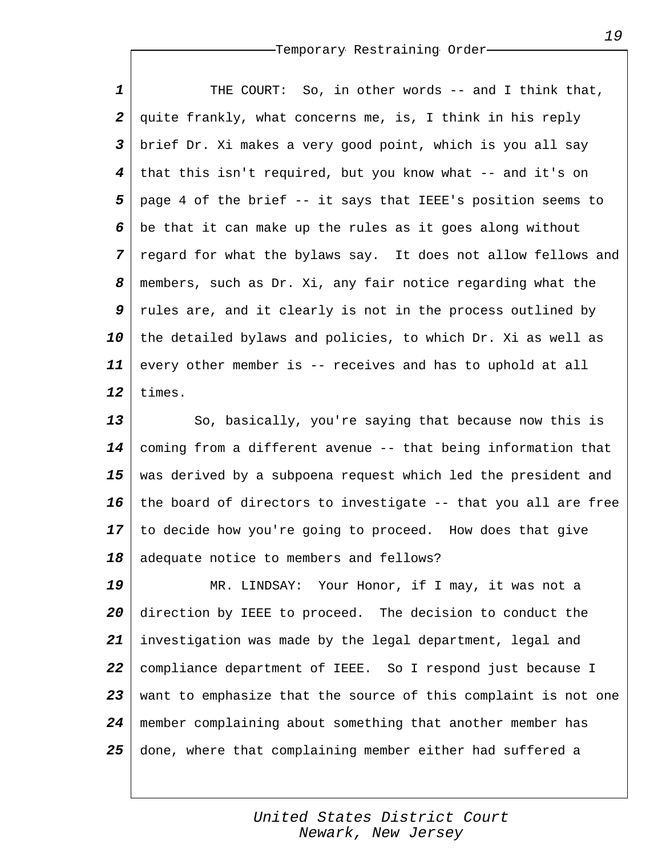*1 2 3 4 5 6 7 8 9 10 11 12* THE COURT: So, in other words -- and I think that, quite frankly, what concerns me, is, I think in his reply brief Dr. Xi makes a very good point, which is you all say that this isn't required, but you know what -- and it's on page 4 of the brief -- it says that IEEE's position seems to be that it can make up the rules as it goes along without regard for what the bylaws say. It does not allow fellows and members, such as Dr. Xi, any fair notice regarding what the rules are, and it clearly is not in the process outlined by the detailed bylaws and policies, to which Dr. Xi as well as every other member is -- receives and has to uphold at all times.

*13 14 15 16 17 18* So, basically, you're saying that because now this is coming from a different avenue -- that being information that was derived by a subpoena request which led the president and the board of directors to investigate -- that you all are free to decide how you're going to proceed. How does that give adequate notice to members and fellows?

*19 20 21 22 23 24 25* MR. LINDSAY: Your Honor, if I may, it was not a direction by IEEE to proceed. The decision to conduct the investigation was made by the legal department, legal and compliance department of IEEE. So I respond just because I want to emphasize that the source of this complaint is not one member complaining about something that another member has done, where that complaining member either had suffered a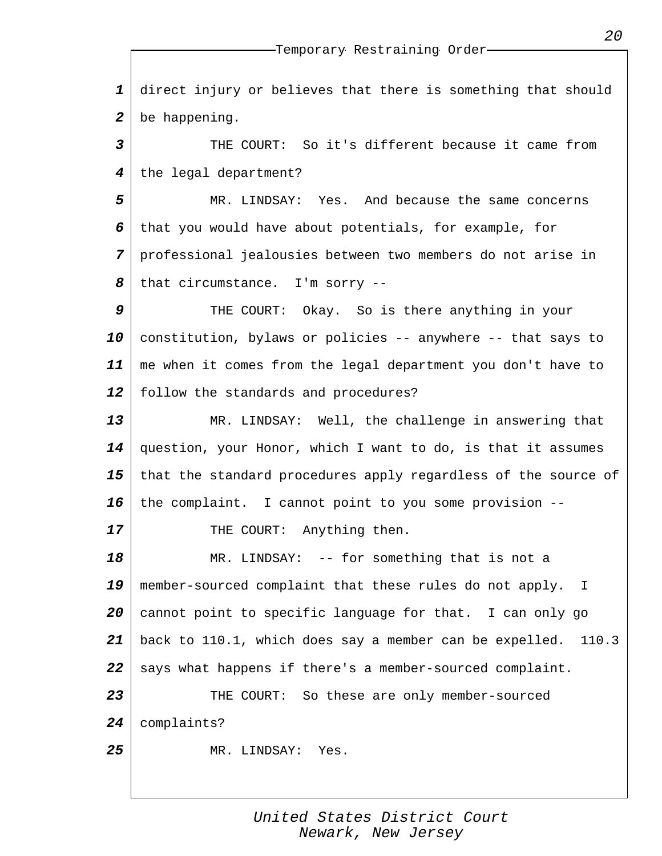*1 2* direct injury or believes that there is something that should be happening.

*3 4* THE COURT: So it's different because it came from the legal department?

*5 6 7 8* MR. LINDSAY: Yes. And because the same concerns that you would have about potentials, for example, for professional jealousies between two members do not arise in that circumstance. I'm sorry --

*9 10 11 12* THE COURT: Okay. So is there anything in your constitution, bylaws or policies -- anywhere -- that says to me when it comes from the legal department you don't have to follow the standards and procedures?

*13 14 15 16* MR. LINDSAY: Well, the challenge in answering that question, your Honor, which I want to do, is that it assumes that the standard procedures apply regardless of the source of the complaint. I cannot point to you some provision --

THE COURT: Anything then.

*17*

*18 19 20 21 22 23 24 25* MR. LINDSAY: -- for something that is not a member-sourced complaint that these rules do not apply. I cannot point to specific language for that. I can only go back to 110.1, which does say a member can be expelled. 110.3 says what happens if there's a member-sourced complaint. THE COURT: So these are only member-sourced complaints? MR. LINDSAY: Yes.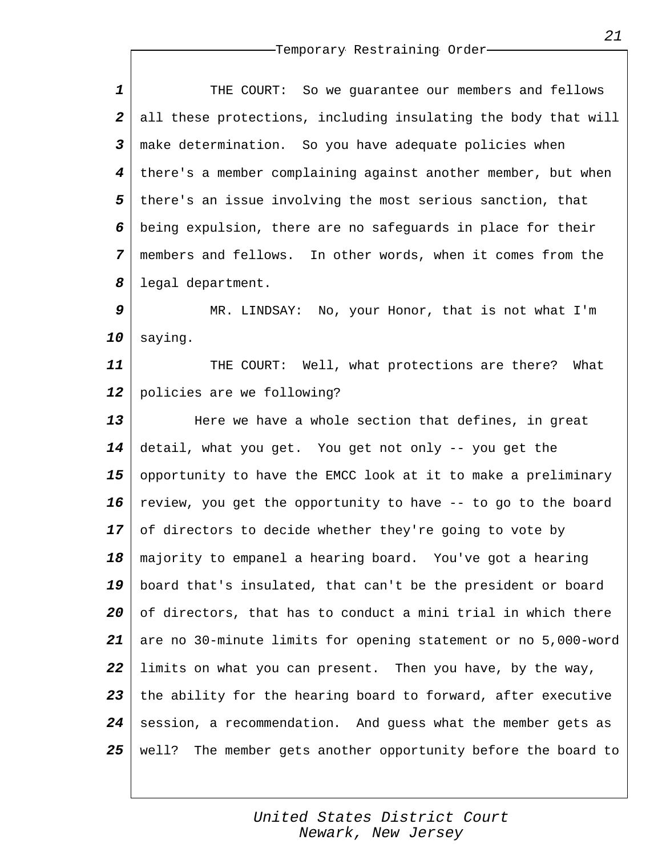| 1                       | So we guarantee our members and fellows<br>THE COURT:            |
|-------------------------|------------------------------------------------------------------|
| $\boldsymbol{2}$        | all these protections, including insulating the body that will   |
| $\overline{\mathbf{3}}$ | make determination. So you have adequate policies when           |
| $\boldsymbol{4}$        | there's a member complaining against another member, but when    |
| 5                       | there's an issue involving the most serious sanction, that       |
| 6                       | being expulsion, there are no safeguards in place for their      |
| $\overline{7}$          | members and fellows. In other words, when it comes from the      |
| 8                       | legal department.                                                |
| 9                       | MR. LINDSAY: No, your Honor, that is not what I'm                |
| 10                      | saying.                                                          |
| 11                      | THE COURT: Well, what protections are there?<br>What             |
| 12                      | policies are we following?                                       |
| 13                      | Here we have a whole section that defines, in great              |
| 14                      | detail, what you get. You get not only -- you get the            |
| 15                      | opportunity to have the EMCC look at it to make a preliminary    |
| 16                      | review, you get the opportunity to have -- to go to the board    |
| 17                      | of directors to decide whether they're going to vote by          |
| 18                      | majority to empanel a hearing board. You've got a hearing        |
| 19                      | board that's insulated, that can't be the president or board     |
| 20                      | of directors, that has to conduct a mini trial in which there    |
| 21                      | are no 30-minute limits for opening statement or no 5,000-word   |
| 22                      | limits on what you can present. Then you have, by the way,       |
| 23                      | the ability for the hearing board to forward, after executive    |
| 24                      | session, a recommendation. And guess what the member gets as     |
| 25                      | The member gets another opportunity before the board to<br>well? |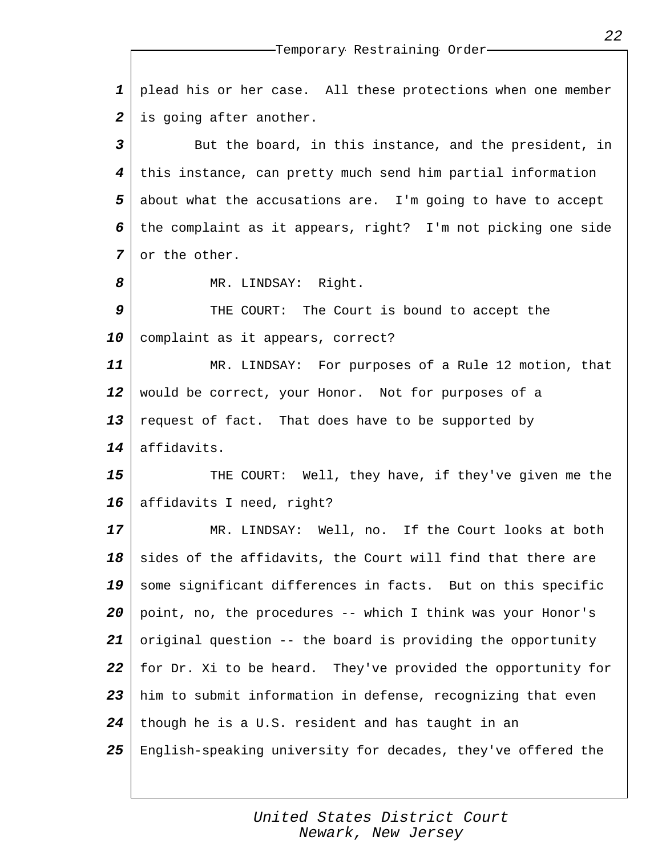|                         | --Temporary Restraining Order-                               |
|-------------------------|--------------------------------------------------------------|
| $\mathbf 1$             | plead his or her case. All these protections when one member |
| $\boldsymbol{2}$        | is going after another.                                      |
| $\overline{\mathbf{3}}$ | But the board, in this instance, and the president, in       |
| 4                       | this instance, can pretty much send him partial information  |
| 5                       | about what the accusations are. I'm going to have to accept  |
| 6                       | the complaint as it appears, right? I'm not picking one side |
| $\overline{7}$          | or the other.                                                |
| 8                       | MR. LINDSAY: Right.                                          |
| 9                       | THE COURT: The Court is bound to accept the                  |
| 10                      | complaint as it appears, correct?                            |
| 11                      | MR. LINDSAY: For purposes of a Rule 12 motion, that          |
| 12                      | would be correct, your Honor. Not for purposes of a          |
| 13                      | request of fact. That does have to be supported by           |
| 14                      | affidavits.                                                  |
| 15                      | THE COURT: Well, they have, if they've given me the          |
| 16                      | affidavits I need, right?                                    |
| 17                      | MR. LINDSAY: Well, no. If the Court looks at both            |
| 18                      | sides of the affidavits, the Court will find that there are  |
| 19                      | some significant differences in facts. But on this specific  |
| 20                      | point, no, the procedures -- which I think was your Honor's  |
| 21                      | original question -- the board is providing the opportunity  |
| 22                      | for Dr. Xi to be heard. They've provided the opportunity for |
| 23                      | him to submit information in defense, recognizing that even  |
| 24                      | though he is a U.S. resident and has taught in an            |
| 25                      | English-speaking university for decades, they've offered the |
|                         |                                                              |

*United States District Court Newark, New Jersey*

*22*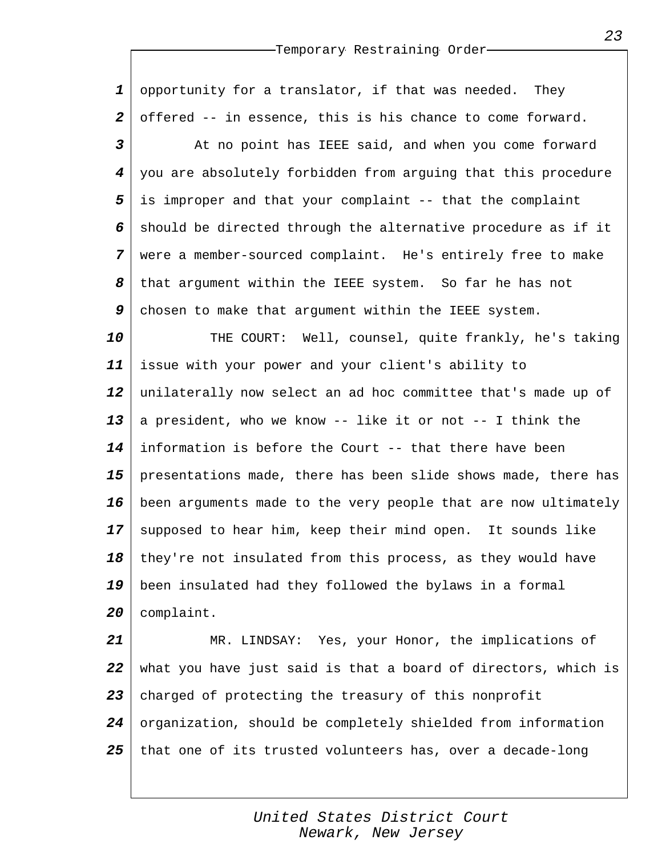*1 2* opportunity for a translator, if that was needed. They offered -- in essence, this is his chance to come forward.

*3 4 5 6 7 8 9* At no point has IEEE said, and when you come forward you are absolutely forbidden from arguing that this procedure is improper and that your complaint -- that the complaint should be directed through the alternative procedure as if it were a member-sourced complaint. He's entirely free to make that argument within the IEEE system. So far he has not chosen to make that argument within the IEEE system.

*10 11 12 13 14 15 16 17 18 19 20* THE COURT: Well, counsel, quite frankly, he's taking issue with your power and your client's ability to unilaterally now select an ad hoc committee that's made up of a president, who we know -- like it or not -- I think the information is before the Court -- that there have been presentations made, there has been slide shows made, there has been arguments made to the very people that are now ultimately supposed to hear him, keep their mind open. It sounds like they're not insulated from this process, as they would have been insulated had they followed the bylaws in a formal complaint.

*21 22 23 24 25* MR. LINDSAY: Yes, your Honor, the implications of what you have just said is that a board of directors, which is charged of protecting the treasury of this nonprofit organization, should be completely shielded from information that one of its trusted volunteers has, over a decade-long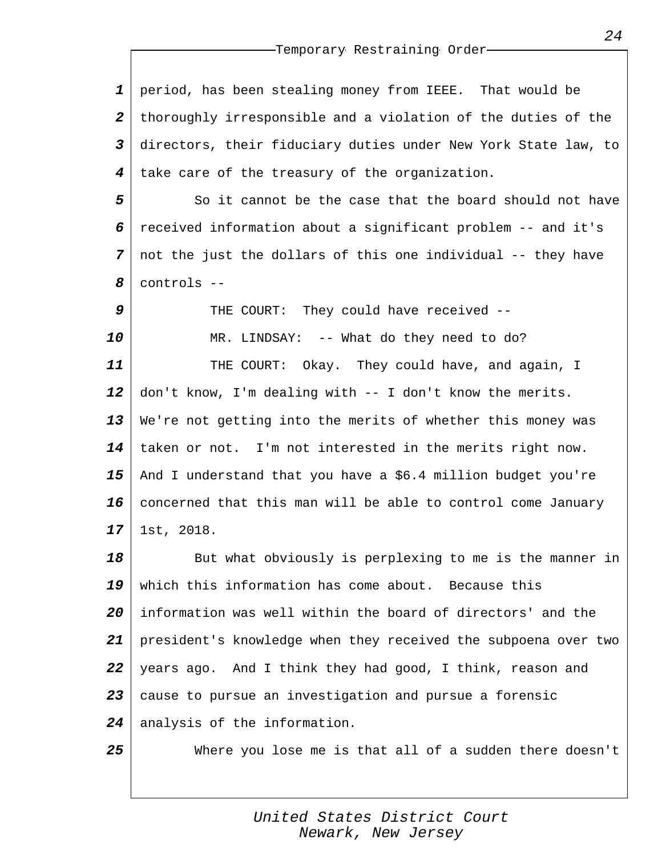*1 2 3 4* period, has been stealing money from IEEE. That would be thoroughly irresponsible and a violation of the duties of the directors, their fiduciary duties under New York State law, to take care of the treasury of the organization.

*5 6 7 8* So it cannot be the case that the board should not have received information about a significant problem -- and it's not the just the dollars of this one individual -- they have controls --

*9 10 11 12 13 14 15 16 17* THE COURT: They could have received -- MR. LINDSAY: -- What do they need to do? THE COURT: Okay. They could have, and again, I don't know, I'm dealing with -- I don't know the merits. We're not getting into the merits of whether this money was taken or not. I'm not interested in the merits right now. And I understand that you have a \$6.4 million budget you're concerned that this man will be able to control come January 1st, 2018.

*18 19 20 21 22 23 24* But what obviously is perplexing to me is the manner in which this information has come about. Because this information was well within the board of directors' and the president's knowledge when they received the subpoena over two years ago. And I think they had good, I think, reason and cause to pursue an investigation and pursue a forensic analysis of the information.

*25*

Where you lose me is that all of a sudden there doesn't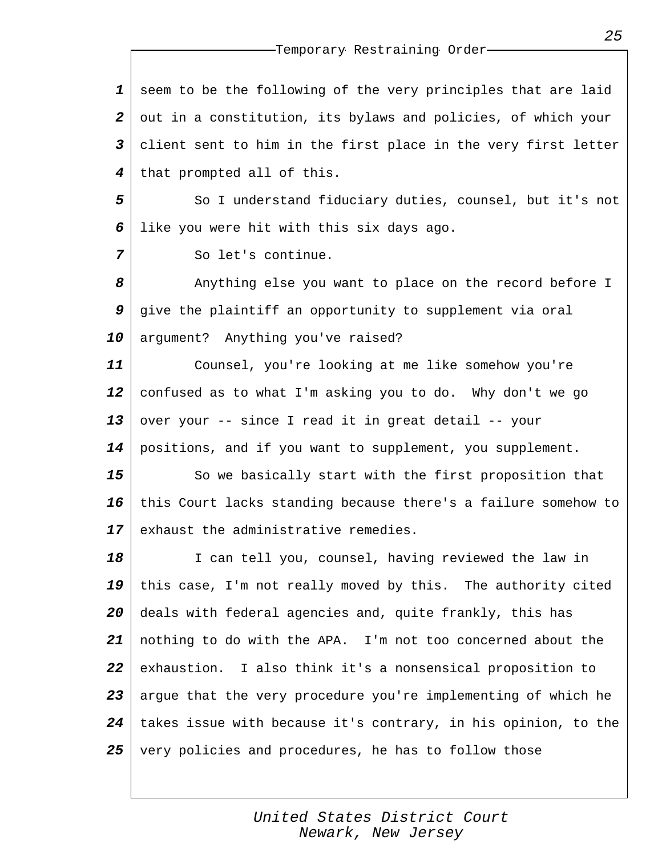*1 2 3 4* seem to be the following of the very principles that are laid out in a constitution, its bylaws and policies, of which your client sent to him in the first place in the very first letter that prompted all of this.

*5 6* So I understand fiduciary duties, counsel, but it's not like you were hit with this six days ago.

So let's continue.

*7*

*8 9 10* Anything else you want to place on the record before I give the plaintiff an opportunity to supplement via oral argument? Anything you've raised?

*11 12 13 14* Counsel, you're looking at me like somehow you're confused as to what I'm asking you to do. Why don't we go over your -- since I read it in great detail -- your positions, and if you want to supplement, you supplement.

*15 16 17* So we basically start with the first proposition that this Court lacks standing because there's a failure somehow to exhaust the administrative remedies.

*18 19 20 21 22 23 24 25* I can tell you, counsel, having reviewed the law in this case, I'm not really moved by this. The authority cited deals with federal agencies and, quite frankly, this has nothing to do with the APA. I'm not too concerned about the exhaustion. I also think it's a nonsensical proposition to argue that the very procedure you're implementing of which he takes issue with because it's contrary, in his opinion, to the very policies and procedures, he has to follow those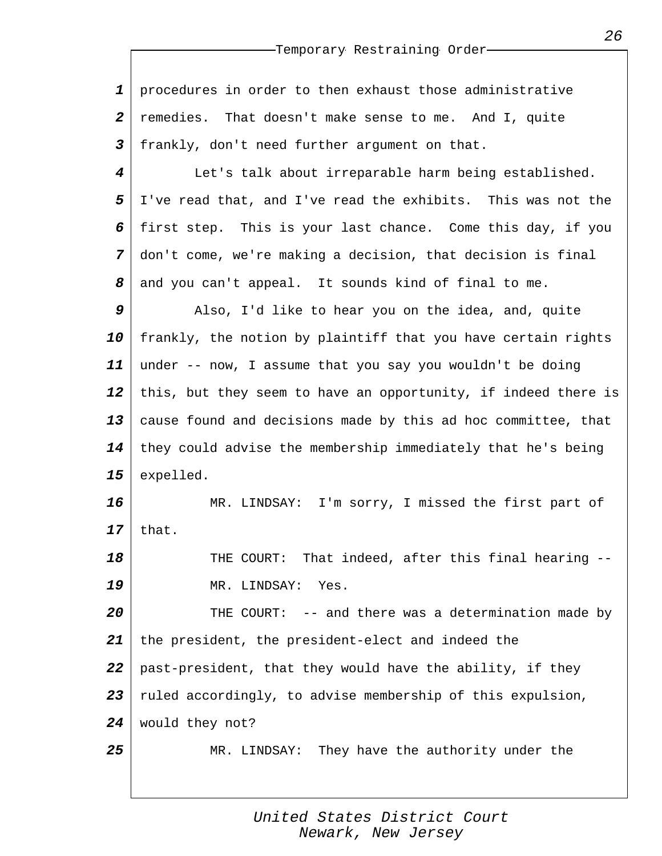*1 2 3* procedures in order to then exhaust those administrative remedies. That doesn't make sense to me. And I, quite frankly, don't need further argument on that.

*4 5 6 7 8* Let's talk about irreparable harm being established. I've read that, and I've read the exhibits. This was not the first step. This is your last chance. Come this day, if you don't come, we're making a decision, that decision is final and you can't appeal. It sounds kind of final to me.

*9 10 11 12 13 14 15* Also, I'd like to hear you on the idea, and, quite frankly, the notion by plaintiff that you have certain rights under -- now, I assume that you say you wouldn't be doing this, but they seem to have an opportunity, if indeed there is cause found and decisions made by this ad hoc committee, that they could advise the membership immediately that he's being expelled.

*16 17* MR. LINDSAY: I'm sorry, I missed the first part of that.

*18 19* THE COURT: That indeed, after this final hearing -- MR. LINDSAY: Yes.

*20 21 22 23 24* THE COURT: -- and there was a determination made by the president, the president-elect and indeed the past-president, that they would have the ability, if they ruled accordingly, to advise membership of this expulsion, would they not?

*25*

MR. LINDSAY: They have the authority under the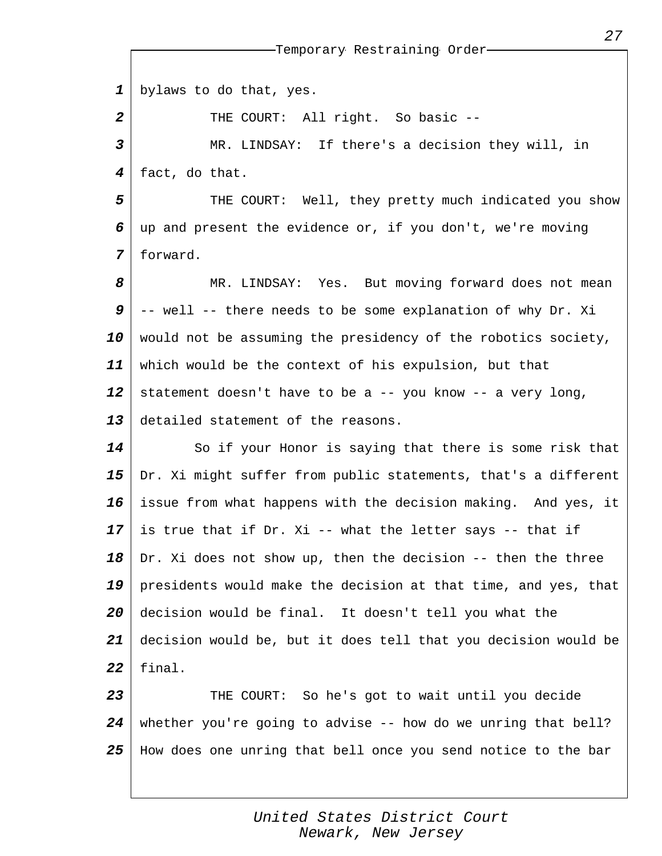|                  | -Temporary Restraining Order-                                  |
|------------------|----------------------------------------------------------------|
|                  |                                                                |
| $\mathbf 1$      | bylaws to do that, yes.                                        |
| $\boldsymbol{2}$ | THE COURT: All right. So basic --                              |
| $\mathbf{3}$     | MR. LINDSAY: If there's a decision they will, in               |
| 4                | fact, do that.                                                 |
| 5                | THE COURT: Well, they pretty much indicated you show           |
| 6                | up and present the evidence or, if you don't, we're moving     |
| 7                | forward.                                                       |
| 8                | MR. LINDSAY: Yes. But moving forward does not mean             |
| 9                | -- well -- there needs to be some explanation of why Dr. Xi    |
| 10               | would not be assuming the presidency of the robotics society,  |
| 11               | which would be the context of his expulsion, but that          |
| 12               | statement doesn't have to be a -- you know -- a very long,     |
| 13               | detailed statement of the reasons.                             |
| 14               | So if your Honor is saying that there is some risk that        |
| 15               | Dr. Xi might suffer from public statements, that's a different |
| 16               | issue from what happens with the decision making. And yes, it  |
| 17               | is true that if Dr. Xi -- what the letter says -- that if      |
| 18               | Dr. Xi does not show up, then the decision -- then the three   |
| 19               | presidents would make the decision at that time, and yes, that |
| 20               | decision would be final. It doesn't tell you what the          |
| 21               | decision would be, but it does tell that you decision would be |
| 22               | final.                                                         |
| 23               | THE COURT: So he's got to wait until you decide                |
| 24               | whether you're going to advise -- how do we unring that bell?  |
| 25               | How does one unring that bell once you send notice to the bar  |
|                  |                                                                |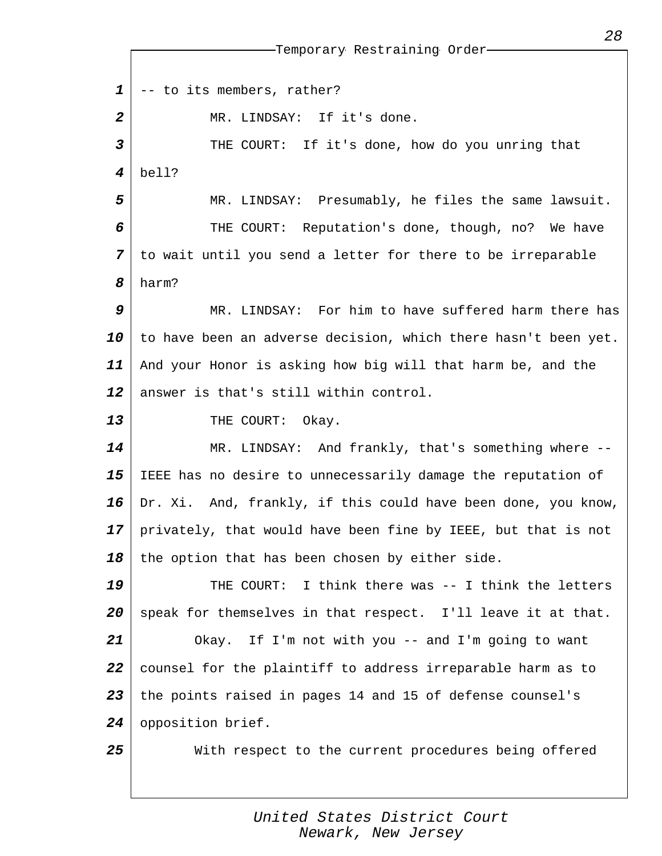*1 2 3 4 5 6 7 8 9 10 11 12 13 14 15 16 17 18 19 20 21 22 23 24 25* Temporary Restraining Order -- to its members, rather? MR. LINDSAY: If it's done. THE COURT: If it's done, how do you unring that bell? MR. LINDSAY: Presumably, he files the same lawsuit. THE COURT: Reputation's done, though, no? We have to wait until you send a letter for there to be irreparable harm? MR. LINDSAY: For him to have suffered harm there has to have been an adverse decision, which there hasn't been yet. And your Honor is asking how big will that harm be, and the answer is that's still within control. THE COURT: Okay. MR. LINDSAY: And frankly, that's something where -- IEEE has no desire to unnecessarily damage the reputation of Dr. Xi. And, frankly, if this could have been done, you know, privately, that would have been fine by IEEE, but that is not the option that has been chosen by either side. THE COURT: I think there was -- I think the letters speak for themselves in that respect. I'll leave it at that. Okay. If I'm not with you -- and I'm going to want counsel for the plaintiff to address irreparable harm as to the points raised in pages 14 and 15 of defense counsel's opposition brief. With respect to the current procedures being offered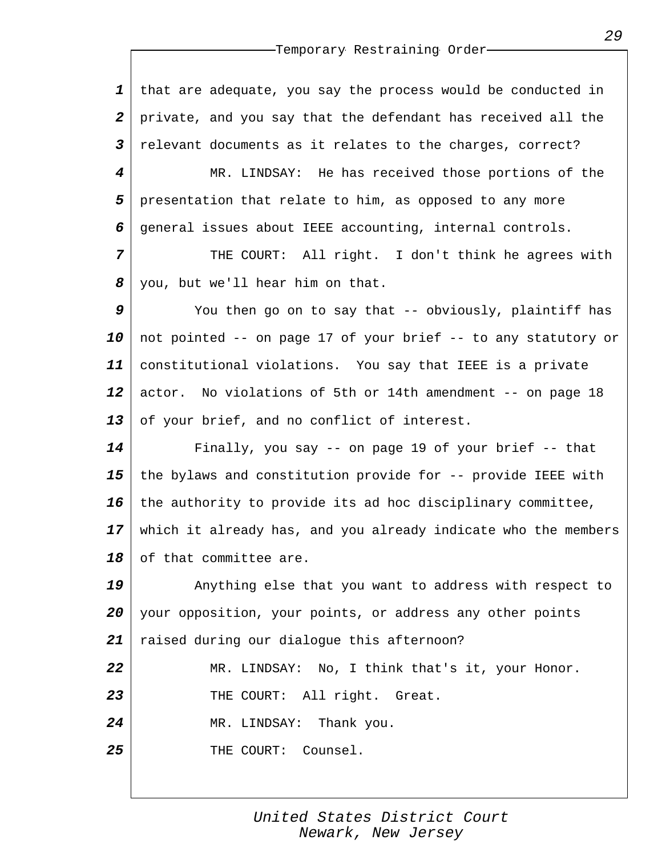*1 2 3* that are adequate, you say the process would be conducted in private, and you say that the defendant has received all the relevant documents as it relates to the charges, correct?

*4 5 6* MR. LINDSAY: He has received those portions of the presentation that relate to him, as opposed to any more general issues about IEEE accounting, internal controls.

*7 8* THE COURT: All right. I don't think he agrees with you, but we'll hear him on that.

*9 10 11 12 13* You then go on to say that -- obviously, plaintiff has not pointed -- on page 17 of your brief -- to any statutory or constitutional violations. You say that IEEE is a private actor. No violations of 5th or 14th amendment -- on page 18 of your brief, and no conflict of interest.

*14 15 16 17 18* Finally, you say -- on page 19 of your brief -- that the bylaws and constitution provide for -- provide IEEE with the authority to provide its ad hoc disciplinary committee, which it already has, and you already indicate who the members of that committee are.

*19 20 21 22 23 24* Anything else that you want to address with respect to your opposition, your points, or address any other points raised during our dialogue this afternoon? MR. LINDSAY: No, I think that's it, your Honor. THE COURT: All right. Great. MR. LINDSAY: Thank you.

*25* THE COURT: Counsel.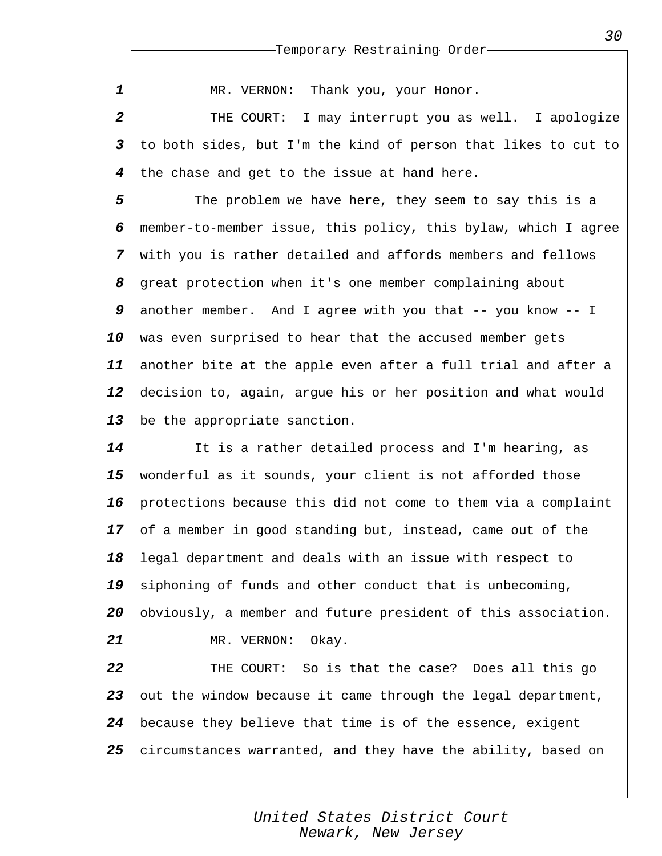MR. VERNON: Thank you, your Honor.

*1*

*2 3 4* THE COURT: I may interrupt you as well. I apologize to both sides, but I'm the kind of person that likes to cut to the chase and get to the issue at hand here.

*5 6 7 8 9 10 11 12 13* The problem we have here, they seem to say this is a member-to-member issue, this policy, this bylaw, which I agree with you is rather detailed and affords members and fellows great protection when it's one member complaining about another member. And I agree with you that -- you know -- I was even surprised to hear that the accused member gets another bite at the apple even after a full trial and after a decision to, again, argue his or her position and what would be the appropriate sanction.

*14 15 16 17 18 19 20 21 22* It is a rather detailed process and I'm hearing, as wonderful as it sounds, your client is not afforded those protections because this did not come to them via a complaint of a member in good standing but, instead, came out of the legal department and deals with an issue with respect to siphoning of funds and other conduct that is unbecoming, obviously, a member and future president of this association. MR. VERNON: Okay. THE COURT: So is that the case? Does all this go

*23 24 25* out the window because it came through the legal department, because they believe that time is of the essence, exigent circumstances warranted, and they have the ability, based on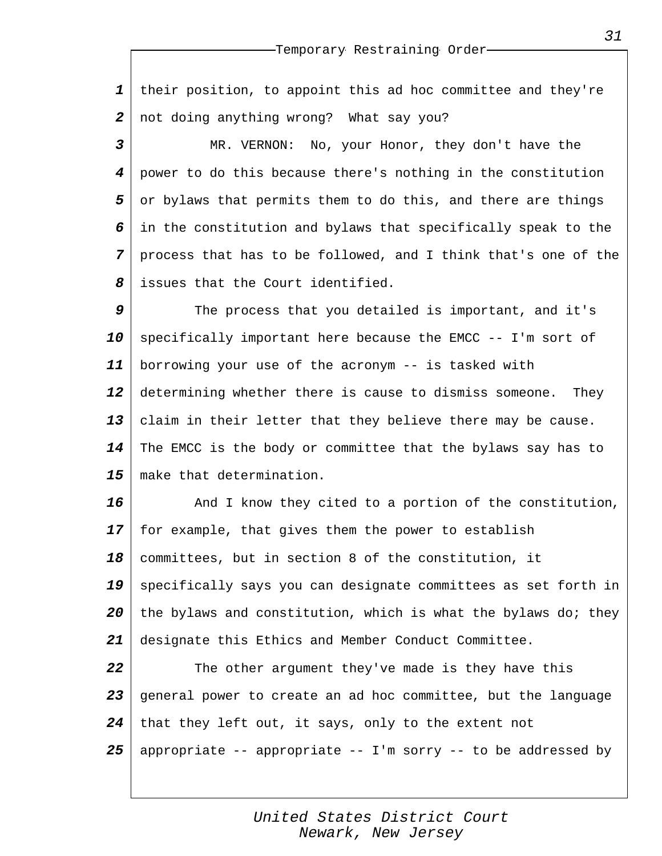*1 2* their position, to appoint this ad hoc committee and they're not doing anything wrong? What say you?

*3 4 5 6 7 8* MR. VERNON: No, your Honor, they don't have the power to do this because there's nothing in the constitution or bylaws that permits them to do this, and there are things in the constitution and bylaws that specifically speak to the process that has to be followed, and I think that's one of the issues that the Court identified.

*9 10 11 12 13 14 15* The process that you detailed is important, and it's specifically important here because the EMCC -- I'm sort of borrowing your use of the acronym -- is tasked with determining whether there is cause to dismiss someone. They claim in their letter that they believe there may be cause. The EMCC is the body or committee that the bylaws say has to make that determination.

*16 17 18 19 20 21* And I know they cited to a portion of the constitution, for example, that gives them the power to establish committees, but in section 8 of the constitution, it specifically says you can designate committees as set forth in the bylaws and constitution, which is what the bylaws do; they designate this Ethics and Member Conduct Committee.

*22 23 24 25* The other argument they've made is they have this general power to create an ad hoc committee, but the language that they left out, it says, only to the extent not appropriate -- appropriate -- I'm sorry -- to be addressed by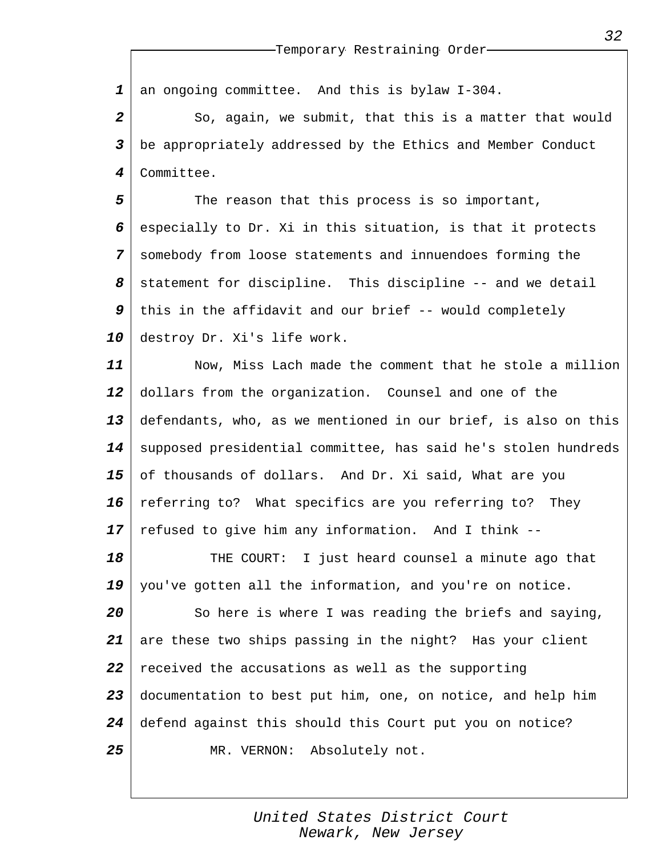*1* an ongoing committee. And this is bylaw I-304.

*2 3 4* So, again, we submit, that this is a matter that would be appropriately addressed by the Ethics and Member Conduct Committee.

*5 6 7 8 9 10* The reason that this process is so important, especially to Dr. Xi in this situation, is that it protects somebody from loose statements and innuendoes forming the statement for discipline. This discipline -- and we detail this in the affidavit and our brief -- would completely destroy Dr. Xi's life work.

*11 12 13 14 15 16 17* Now, Miss Lach made the comment that he stole a million dollars from the organization. Counsel and one of the defendants, who, as we mentioned in our brief, is also on this supposed presidential committee, has said he's stolen hundreds of thousands of dollars. And Dr. Xi said, What are you referring to? What specifics are you referring to? They refused to give him any information. And I think --

*18 19* THE COURT: I just heard counsel a minute ago that you've gotten all the information, and you're on notice.

*20 21 22 23 24 25* So here is where I was reading the briefs and saying, are these two ships passing in the night? Has your client received the accusations as well as the supporting documentation to best put him, one, on notice, and help him defend against this should this Court put you on notice? MR. VERNON: Absolutely not.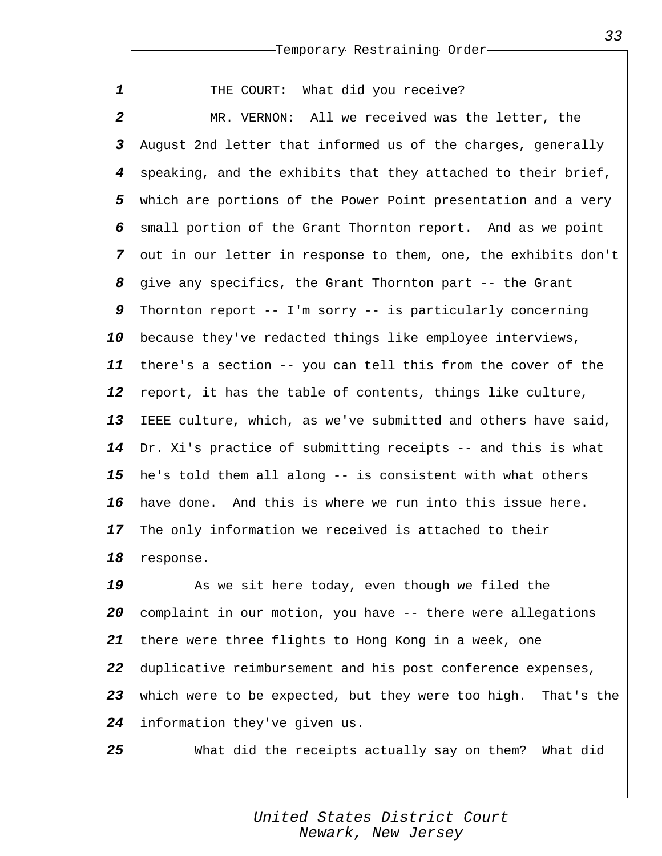THE COURT: What did you receive?

*1*

*25*

*2 3 4 5 6 7 8 9 10 11 12 13 14 15 16 17 18* MR. VERNON: All we received was the letter, the August 2nd letter that informed us of the charges, generally speaking, and the exhibits that they attached to their brief, which are portions of the Power Point presentation and a very small portion of the Grant Thornton report. And as we point out in our letter in response to them, one, the exhibits don't give any specifics, the Grant Thornton part -- the Grant Thornton report -- I'm sorry -- is particularly concerning because they've redacted things like employee interviews, there's a section -- you can tell this from the cover of the report, it has the table of contents, things like culture, IEEE culture, which, as we've submitted and others have said, Dr. Xi's practice of submitting receipts -- and this is what he's told them all along -- is consistent with what others have done. And this is where we run into this issue here. The only information we received is attached to their response.

*19 20 21 22 23 24* As we sit here today, even though we filed the complaint in our motion, you have -- there were allegations there were three flights to Hong Kong in a week, one duplicative reimbursement and his post conference expenses, which were to be expected, but they were too high. That's the information they've given us.

What did the receipts actually say on them? What did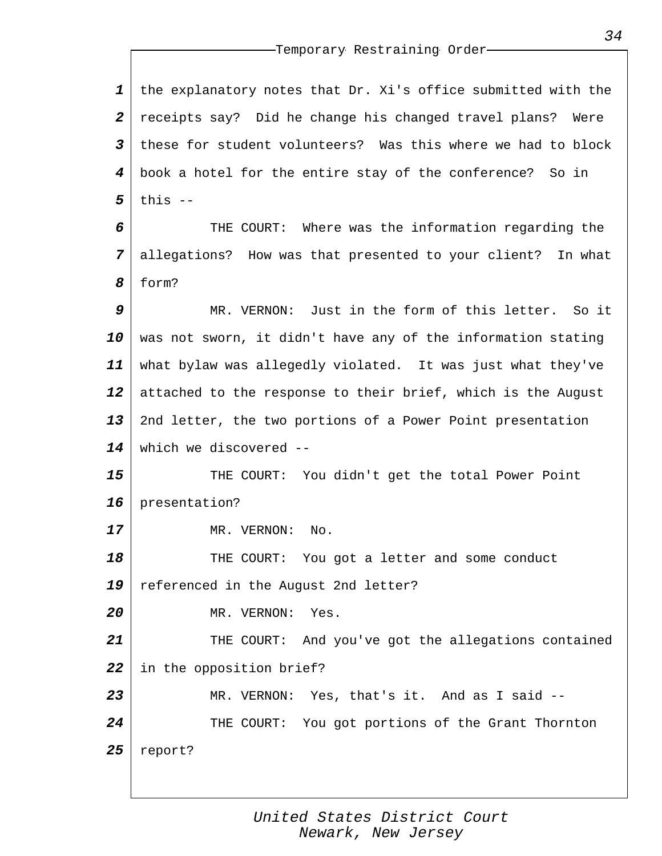*1 2 3 4 5* the explanatory notes that Dr. Xi's office submitted with the receipts say? Did he change his changed travel plans? Were these for student volunteers? Was this where we had to block book a hotel for the entire stay of the conference? So in this --

*6 7 8* THE COURT: Where was the information regarding the allegations? How was that presented to your client? In what form?

*9 10 11 12 13 14* MR. VERNON: Just in the form of this letter. So it was not sworn, it didn't have any of the information stating what bylaw was allegedly violated. It was just what they've attached to the response to their brief, which is the August 2nd letter, the two portions of a Power Point presentation which we discovered --

*15 16* THE COURT: You didn't get the total Power Point presentation?

MR. VERNON: No.

*17*

*20*

*18 19* THE COURT: You got a letter and some conduct referenced in the August 2nd letter?

MR. VERNON: Yes.

*21 22 23* THE COURT: And you've got the allegations contained in the opposition brief? MR. VERNON: Yes, that's it. And as I said --

*24 25* THE COURT: You got portions of the Grant Thornton report?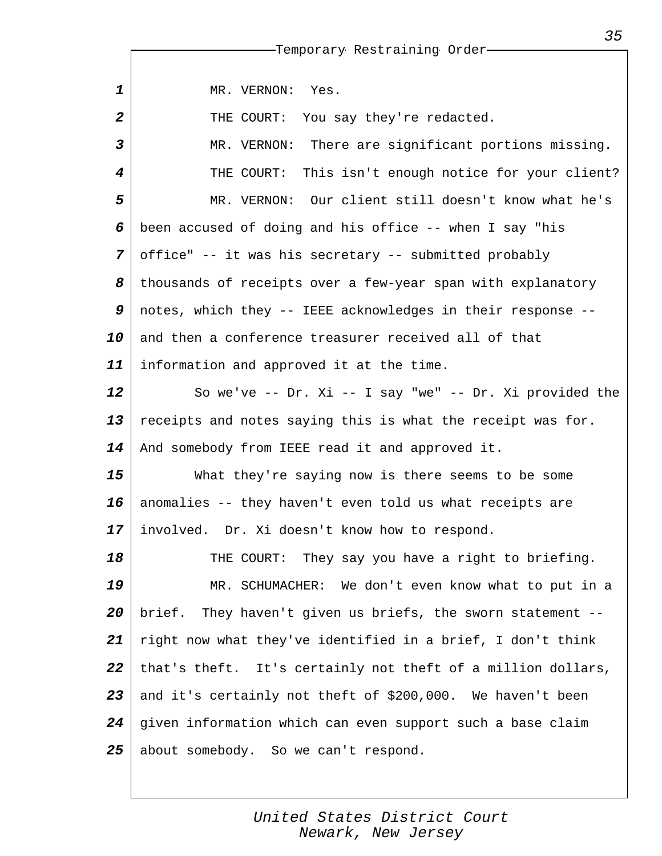|              | -Temporary Restraining Order-                                |
|--------------|--------------------------------------------------------------|
|              |                                                              |
| $\mathbf{1}$ | MR. VERNON:<br>Yes.                                          |
| 2            | THE COURT:<br>You say they're redacted.                      |
| 3            | There are significant portions missing.<br>MR. VERNON:       |
| 4            | This isn't enough notice for your client?<br>THE COURT:      |
| 5            | MR. VERNON: Our client still doesn't know what he's          |
| 6            | been accused of doing and his office -- when I say "his      |
| 7            | office" -- it was his secretary -- submitted probably        |
| 8            | thousands of receipts over a few-year span with explanatory  |
| 9            | notes, which they -- IEEE acknowledges in their response --  |
| 10           | and then a conference treasurer received all of that         |
| 11           | information and approved it at the time.                     |
| 12           | So we've -- Dr. Xi -- I say "we" -- Dr. Xi provided the      |
| 13           | receipts and notes saying this is what the receipt was for.  |
| 14           | And somebody from IEEE read it and approved it.              |
| 15           | What they're saying now is there seems to be some            |
| 16           | anomalies -- they haven't even told us what receipts are     |
| 17           | involved. Dr. Xi doesn't know how to respond.                |
| 18           | THE COURT: They say you have a right to briefing.            |
| 19           | MR. SCHUMACHER: We don't even know what to put in a          |
| 20           | brief. They haven't given us briefs, the sworn statement --  |
| 21           | right now what they've identified in a brief, I don't think  |
| 22           | that's theft. It's certainly not theft of a million dollars, |
| 23           | and it's certainly not theft of \$200,000. We haven't been   |
| 24           | given information which can even support such a base claim   |
| 25           | about somebody. So we can't respond.                         |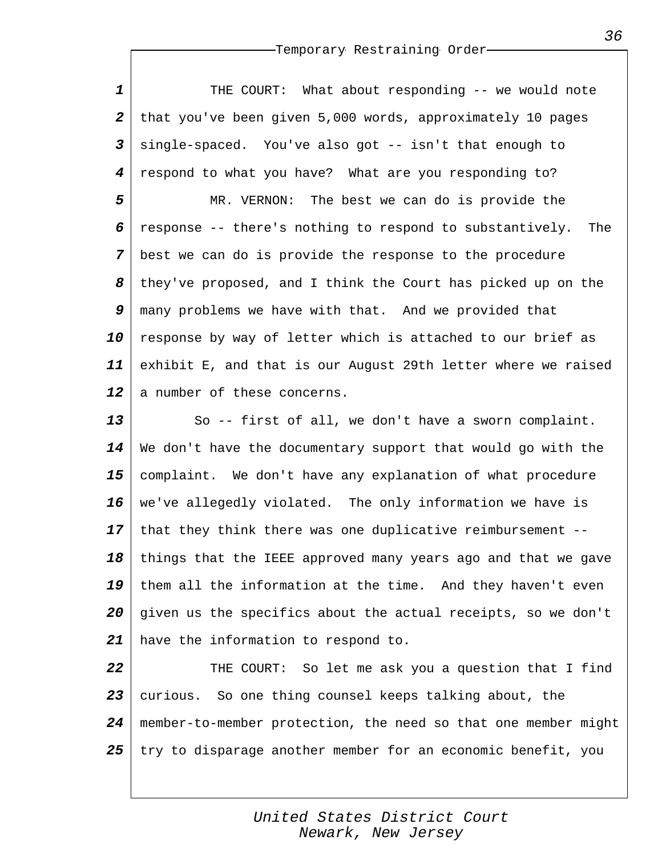*1 2 3 4 5 6 7 8 9 10 11 12* THE COURT: What about responding -- we would note that you've been given 5,000 words, approximately 10 pages single-spaced. You've also got -- isn't that enough to respond to what you have? What are you responding to? MR. VERNON: The best we can do is provide the response -- there's nothing to respond to substantively. The best we can do is provide the response to the procedure they've proposed, and I think the Court has picked up on the many problems we have with that. And we provided that response by way of letter which is attached to our brief as exhibit E, and that is our August 29th letter where we raised a number of these concerns.

*13 14 15 16 17 18 19 20 21* So -- first of all, we don't have a sworn complaint. We don't have the documentary support that would go with the complaint. We don't have any explanation of what procedure we've allegedly violated. The only information we have is that they think there was one duplicative reimbursement - things that the IEEE approved many years ago and that we gave them all the information at the time. And they haven't even given us the specifics about the actual receipts, so we don't have the information to respond to.

*22 23 24 25* THE COURT: So let me ask you a question that I find curious. So one thing counsel keeps talking about, the member-to-member protection, the need so that one member might try to disparage another member for an economic benefit, you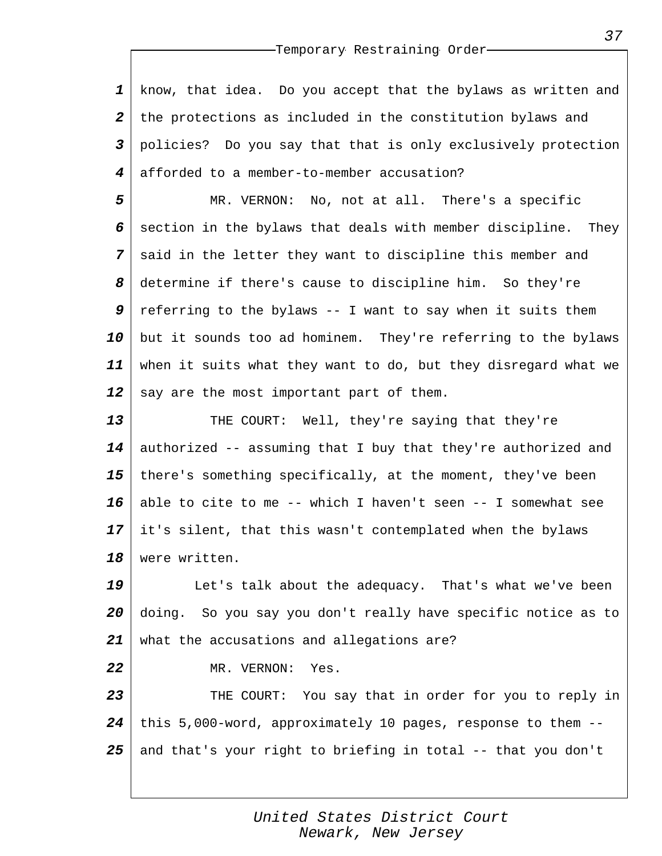*1 2 3 4* know, that idea. Do you accept that the bylaws as written and the protections as included in the constitution bylaws and policies? Do you say that that is only exclusively protection afforded to a member-to-member accusation?

*5 6 7 8 9 10 11 12* MR. VERNON: No, not at all. There's a specific section in the bylaws that deals with member discipline. They said in the letter they want to discipline this member and determine if there's cause to discipline him. So they're referring to the bylaws  $-$ - I want to say when it suits them but it sounds too ad hominem. They're referring to the bylaws when it suits what they want to do, but they disregard what we say are the most important part of them.

*13 14 15 16 17 18* THE COURT: Well, they're saying that they're authorized -- assuming that I buy that they're authorized and there's something specifically, at the moment, they've been able to cite to me -- which I haven't seen -- I somewhat see it's silent, that this wasn't contemplated when the bylaws were written.

*19 20 21* Let's talk about the adequacy. That's what we've been doing. So you say you don't really have specific notice as to what the accusations and allegations are?

MR. VERNON: Yes.

*22*

*23 24 25* THE COURT: You say that in order for you to reply in this 5,000-word, approximately 10 pages, response to them - and that's your right to briefing in total -- that you don't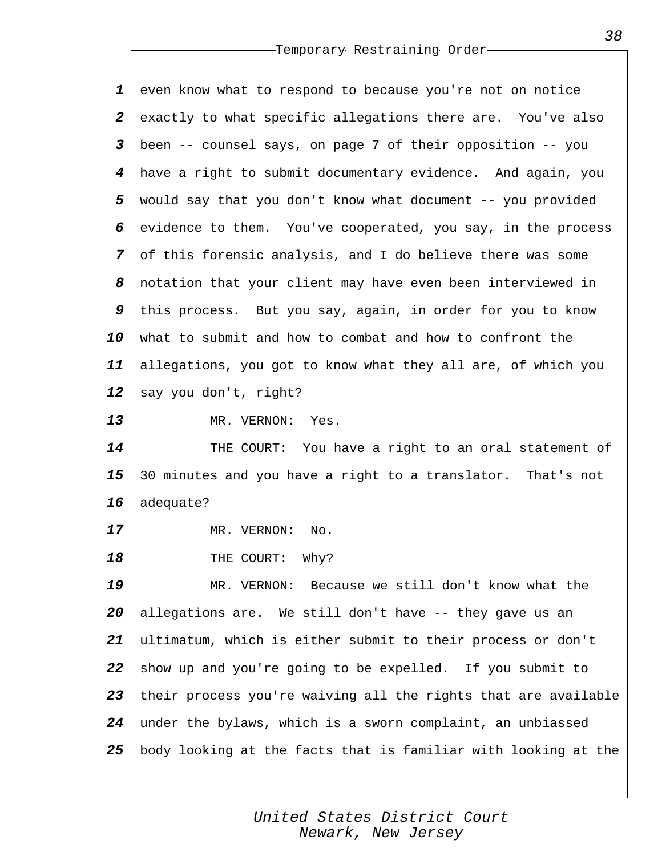*1 2 3 4 5 6 7 8 9 10 11 12 13 14 15 16 17 18 19 20 21 22 23 24 25* even know what to respond to because you're not on notice exactly to what specific allegations there are. You've also been -- counsel says, on page 7 of their opposition -- you have a right to submit documentary evidence. And again, you would say that you don't know what document -- you provided evidence to them. You've cooperated, you say, in the process of this forensic analysis, and I do believe there was some notation that your client may have even been interviewed in this process. But you say, again, in order for you to know what to submit and how to combat and how to confront the allegations, you got to know what they all are, of which you say you don't, right? MR. VERNON: Yes. THE COURT: You have a right to an oral statement of 30 minutes and you have a right to a translator. That's not adequate? MR. VERNON: No. THE COURT: Why? MR. VERNON: Because we still don't know what the allegations are. We still don't have -- they gave us an ultimatum, which is either submit to their process or don't show up and you're going to be expelled. If you submit to their process you're waiving all the rights that are available under the bylaws, which is a sworn complaint, an unbiassed body looking at the facts that is familiar with looking at the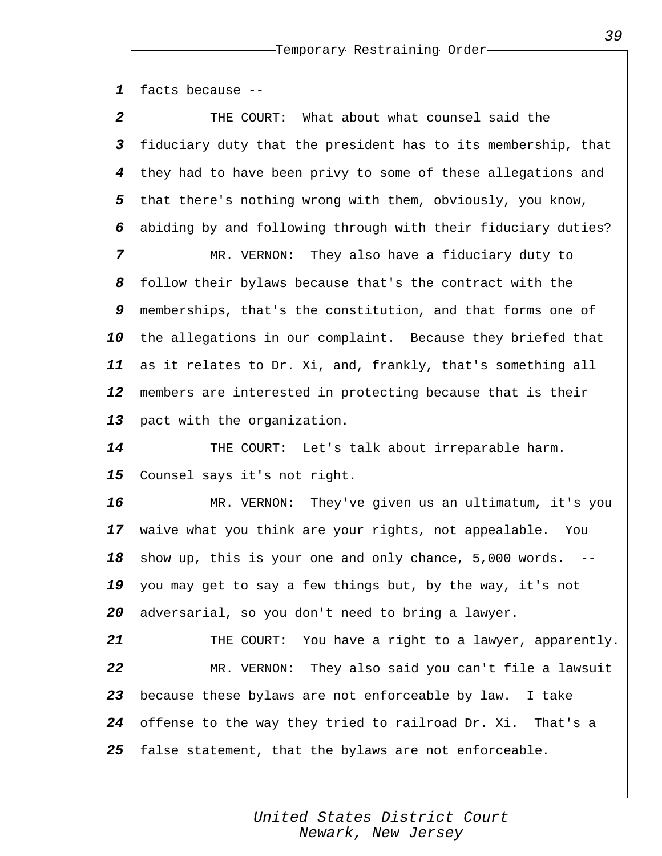*1 2 3 4 5 6 7 8 9 10 11 12 13 14 15 16 17 18 19 20 21 22 23 24 25* facts because -- THE COURT: What about what counsel said the fiduciary duty that the president has to its membership, that they had to have been privy to some of these allegations and that there's nothing wrong with them, obviously, you know, abiding by and following through with their fiduciary duties? MR. VERNON: They also have a fiduciary duty to follow their bylaws because that's the contract with the memberships, that's the constitution, and that forms one of the allegations in our complaint. Because they briefed that as it relates to Dr. Xi, and, frankly, that's something all members are interested in protecting because that is their pact with the organization. THE COURT: Let's talk about irreparable harm. Counsel says it's not right. MR. VERNON: They've given us an ultimatum, it's you waive what you think are your rights, not appealable. You show up, this is your one and only chance,  $5,000$  words. you may get to say a few things but, by the way, it's not adversarial, so you don't need to bring a lawyer. THE COURT: You have a right to a lawyer, apparently. MR. VERNON: They also said you can't file a lawsuit because these bylaws are not enforceable by law. I take offense to the way they tried to railroad Dr. Xi. That's a false statement, that the bylaws are not enforceable.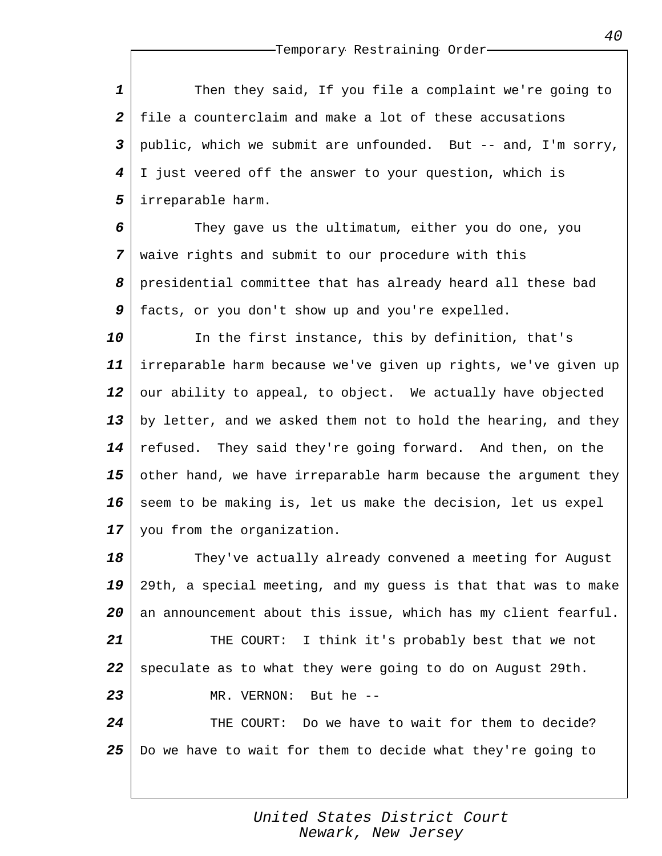*1 2 3 4 5* Then they said, If you file a complaint we're going to file a counterclaim and make a lot of these accusations public, which we submit are unfounded. But -- and, I'm sorry, I just veered off the answer to your question, which is irreparable harm.

*6 7 8 9* They gave us the ultimatum, either you do one, you waive rights and submit to our procedure with this presidential committee that has already heard all these bad facts, or you don't show up and you're expelled.

*10 11 12 13 14 15 16 17* In the first instance, this by definition, that's irreparable harm because we've given up rights, we've given up our ability to appeal, to object. We actually have objected by letter, and we asked them not to hold the hearing, and they refused. They said they're going forward. And then, on the other hand, we have irreparable harm because the argument they seem to be making is, let us make the decision, let us expel you from the organization.

*18 19 20 21 22 23 24 25* They've actually already convened a meeting for August 29th, a special meeting, and my guess is that that was to make an announcement about this issue, which has my client fearful. THE COURT: I think it's probably best that we not speculate as to what they were going to do on August 29th. MR. VERNON: But he -- THE COURT: Do we have to wait for them to decide? Do we have to wait for them to decide what they're going to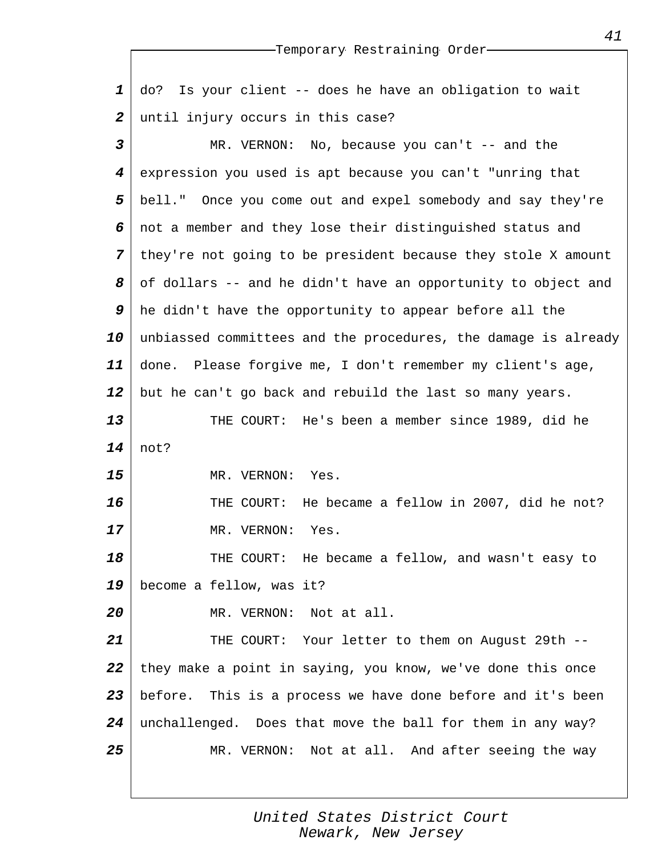*1 2* do? Is your client -- does he have an obligation to wait until injury occurs in this case?

*3 4 5 6 7 8 9 10 11 12 13 14 15 16 17 18 19 20 21 22 23 24 25* MR. VERNON: No, because you can't -- and the expression you used is apt because you can't "unring that bell." Once you come out and expel somebody and say they're not a member and they lose their distinguished status and they're not going to be president because they stole X amount of dollars -- and he didn't have an opportunity to object and he didn't have the opportunity to appear before all the unbiassed committees and the procedures, the damage is already done. Please forgive me, I don't remember my client's age, but he can't go back and rebuild the last so many years. THE COURT: He's been a member since 1989, did he not? MR. VERNON: Yes. THE COURT: He became a fellow in 2007, did he not? MR. VERNON: Yes. THE COURT: He became a fellow, and wasn't easy to become a fellow, was it? MR. VERNON: Not at all. THE COURT: Your letter to them on August 29th - they make a point in saying, you know, we've done this once before. This is a process we have done before and it's been unchallenged. Does that move the ball for them in any way? MR. VERNON: Not at all. And after seeing the way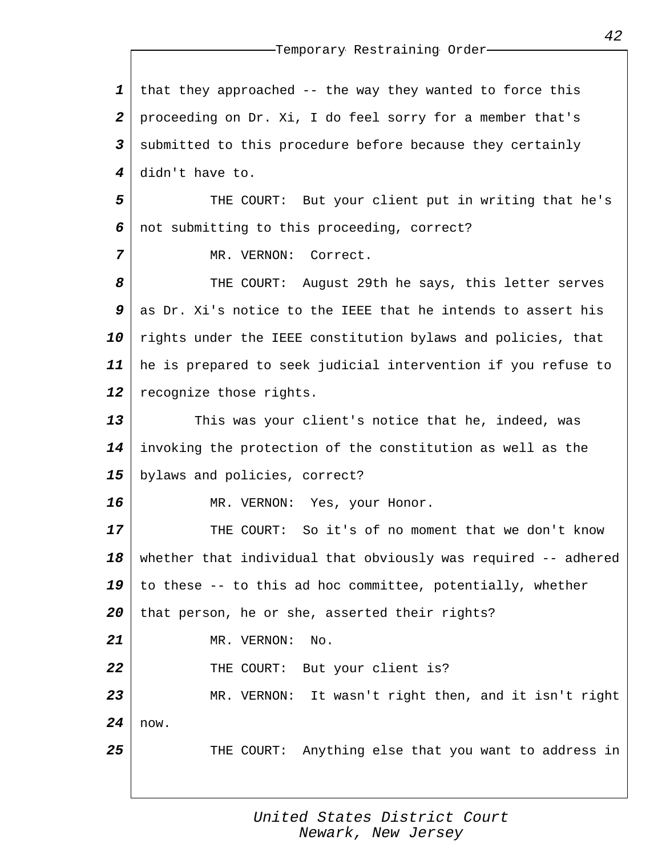*1 2 3 4* that they approached -- the way they wanted to force this proceeding on Dr. Xi, I do feel sorry for a member that's submitted to this procedure before because they certainly didn't have to.

*5 6* THE COURT: But your client put in writing that he's not submitting to this proceeding, correct?

MR. VERNON: Correct.

*7*

*16*

*25*

*8 9 10 11 12* THE COURT: August 29th he says, this letter serves as Dr. Xi's notice to the IEEE that he intends to assert his rights under the IEEE constitution bylaws and policies, that he is prepared to seek judicial intervention if you refuse to recognize those rights.

*13 14 15* This was your client's notice that he, indeed, was invoking the protection of the constitution as well as the bylaws and policies, correct?

MR. VERNON: Yes, your Honor.

*17 18 19 20 21 22* THE COURT: So it's of no moment that we don't know whether that individual that obviously was required -- adhered to these -- to this ad hoc committee, potentially, whether that person, he or she, asserted their rights? MR. VERNON: No. THE COURT: But your client is?

*23 24* MR. VERNON: It wasn't right then, and it isn't right now.

THE COURT: Anything else that you want to address in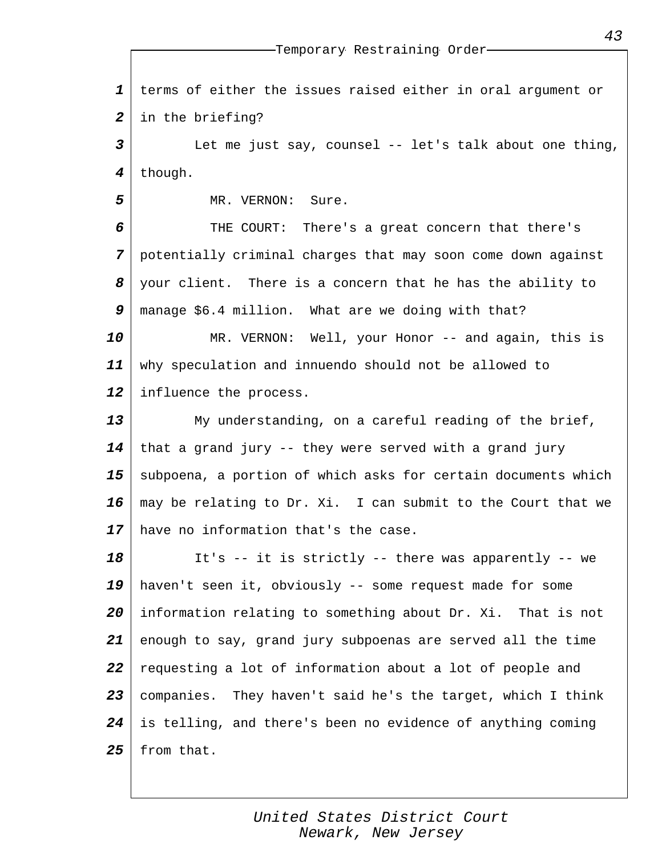*1 2* terms of either the issues raised either in oral argument or in the briefing?

*3 4* Let me just say, counsel -- let's talk about one thing, though.

MR. VERNON: Sure.

*5*

*6 7 8 9* THE COURT: There's a great concern that there's potentially criminal charges that may soon come down against your client. There is a concern that he has the ability to manage \$6.4 million. What are we doing with that?

*10 11 12* MR. VERNON: Well, your Honor -- and again, this is why speculation and innuendo should not be allowed to influence the process.

*13 14 15 16 17* My understanding, on a careful reading of the brief, that a grand jury -- they were served with a grand jury subpoena, a portion of which asks for certain documents which may be relating to Dr. Xi. I can submit to the Court that we have no information that's the case.

*18 19 20 21 22 23 24 25* It's -- it is strictly -- there was apparently -- we haven't seen it, obviously -- some request made for some information relating to something about Dr. Xi. That is not enough to say, grand jury subpoenas are served all the time requesting a lot of information about a lot of people and companies. They haven't said he's the target, which I think is telling, and there's been no evidence of anything coming from that.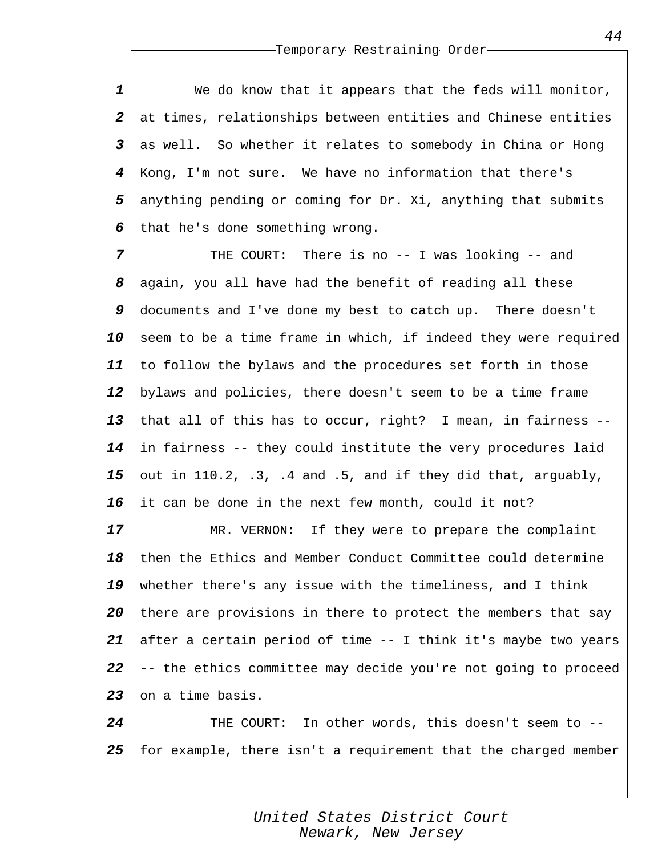*1 2 3 4 5 6* We do know that it appears that the feds will monitor, at times, relationships between entities and Chinese entities as well. So whether it relates to somebody in China or Hong Kong, I'm not sure. We have no information that there's anything pending or coming for Dr. Xi, anything that submits that he's done something wrong.

*7 8 9 10 11 12 13 14 15 16* THE COURT: There is no -- I was looking -- and again, you all have had the benefit of reading all these documents and I've done my best to catch up. There doesn't seem to be a time frame in which, if indeed they were required to follow the bylaws and the procedures set forth in those bylaws and policies, there doesn't seem to be a time frame that all of this has to occur, right? I mean, in fairness - in fairness -- they could institute the very procedures laid out in 110.2, .3, .4 and .5, and if they did that, arguably, it can be done in the next few month, could it not?

*17 18 19 20 21 22 23* MR. VERNON: If they were to prepare the complaint then the Ethics and Member Conduct Committee could determine whether there's any issue with the timeliness, and I think there are provisions in there to protect the members that say after a certain period of time -- I think it's maybe two years -- the ethics committee may decide you're not going to proceed on a time basis.

*24 25* THE COURT: In other words, this doesn't seem to - for example, there isn't a requirement that the charged member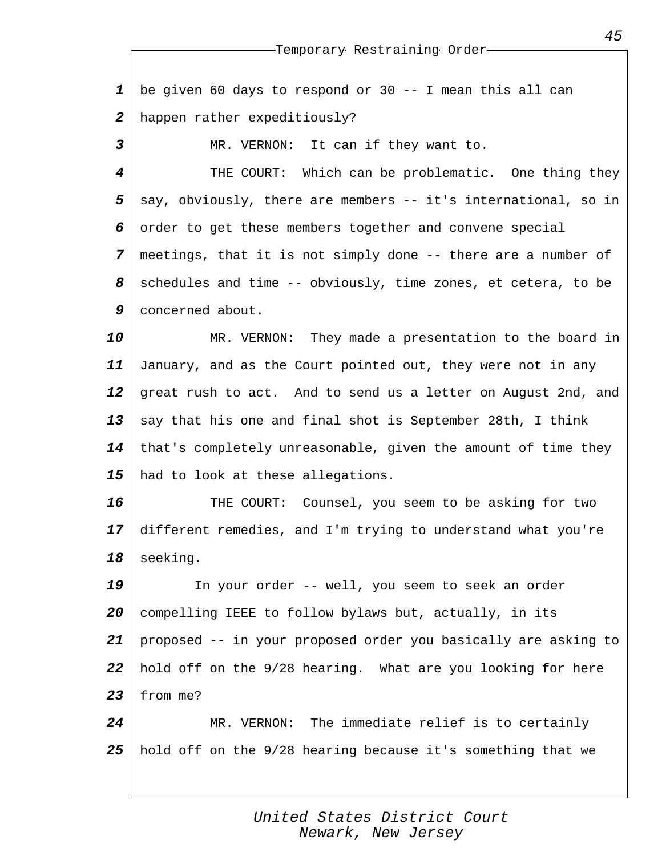| 1                | be given 60 days to respond or 30 -- I mean this all can       |
|------------------|----------------------------------------------------------------|
| $\boldsymbol{2}$ | happen rather expeditiously?                                   |
| 3                | MR. VERNON: It can if they want to.                            |
| 4                | THE COURT: Which can be problematic. One thing they            |
| 5                | say, obviously, there are members -- it's international, so in |
| 6                | order to get these members together and convene special        |
| 7                | meetings, that it is not simply done -- there are a number of  |
| 8                | schedules and time -- obviously, time zones, et cetera, to be  |
| 9                | concerned about.                                               |
| 10               | MR. VERNON: They made a presentation to the board in           |
| 11               | January, and as the Court pointed out, they were not in any    |
| 12               | great rush to act. And to send us a letter on August 2nd, and  |
| 13               | say that his one and final shot is September 28th, I think     |
| 14               | that's completely unreasonable, given the amount of time they  |
| 15               | had to look at these allegations.                              |
| 16               | THE COURT: Counsel, you seem to be asking for two              |
| 17               | different remedies, and I'm trying to understand what you're   |
| 18               | seeking.                                                       |
| 19               | In your order -- well, you seem to seek an order               |
| 20               | compelling IEEE to follow bylaws but, actually, in its         |
| 21               | proposed -- in your proposed order you basically are asking to |
| 22               | hold off on the 9/28 hearing. What are you looking for here    |
| 23               | from me?                                                       |
| 24               | The immediate relief is to certainly<br>MR. VERNON:            |
| 25               | hold off on the 9/28 hearing because it's something that we    |
|                  |                                                                |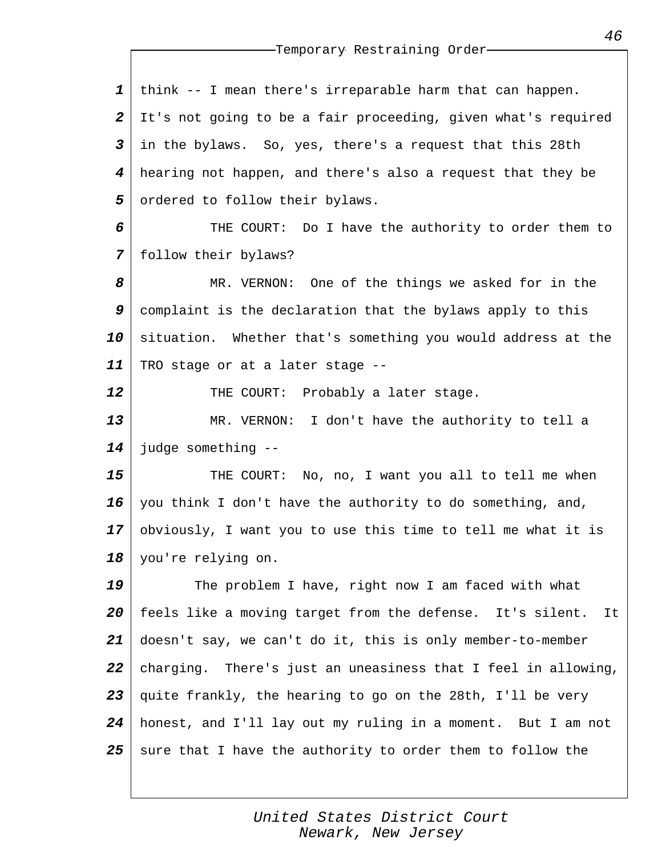| think -- I mean there's irreparable harm that can happen.       |
|-----------------------------------------------------------------|
| It's not going to be a fair proceeding, given what's required   |
| in the bylaws. So, yes, there's a request that this 28th        |
| hearing not happen, and there's also a request that they be     |
| ordered to follow their bylaws.                                 |
| THE COURT: Do I have the authority to order them to             |
| follow their bylaws?                                            |
| MR. VERNON: One of the things we asked for in the               |
| complaint is the declaration that the bylaws apply to this      |
| situation. Whether that's something you would address at the    |
| TRO stage or at a later stage --                                |
| THE COURT:<br>Probably a later stage.                           |
| MR. VERNON: I don't have the authority to tell a                |
| judge something --                                              |
| THE COURT: No, no, I want you all to tell me when               |
| you think I don't have the authority to do something, and,      |
| obviously, I want you to use this time to tell me what it is    |
| you're relying on.                                              |
| The problem I have, right now I am faced with what              |
| feels like a moving target from the defense. It's silent.<br>It |
| doesn't say, we can't do it, this is only member-to-member      |
| charging. There's just an uneasiness that I feel in allowing,   |
| quite frankly, the hearing to go on the 28th, I'll be very      |
| honest, and I'll lay out my ruling in a moment. But I am not    |
| sure that I have the authority to order them to follow the      |
|                                                                 |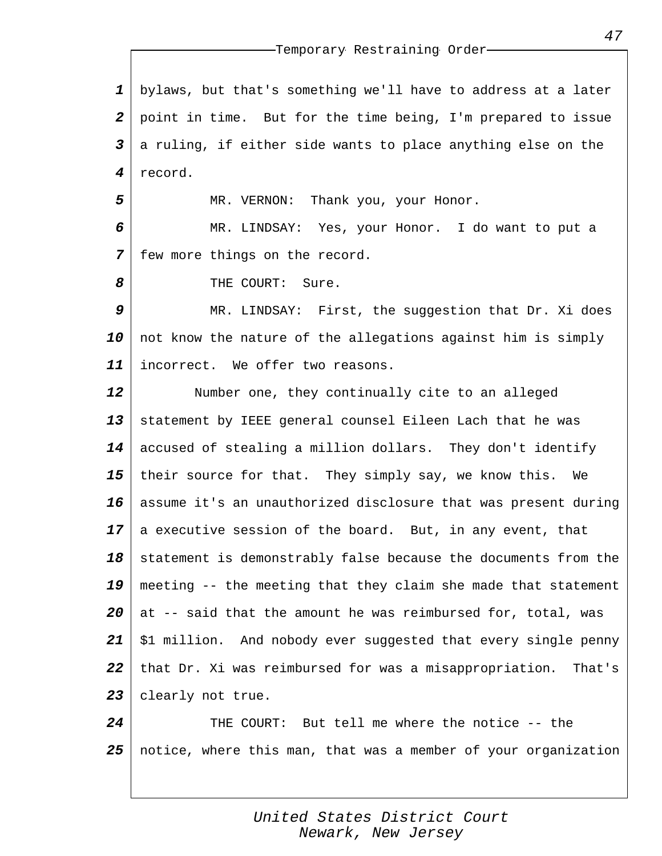*1 2 3 4* bylaws, but that's something we'll have to address at a later point in time. But for the time being, I'm prepared to issue a ruling, if either side wants to place anything else on the record.

MR. VERNON: Thank you, your Honor.

*6 7* MR. LINDSAY: Yes, your Honor. I do want to put a few more things on the record.

THE COURT: Sure.

*5*

*8*

*9 10 11* MR. LINDSAY: First, the suggestion that Dr. Xi does not know the nature of the allegations against him is simply incorrect. We offer two reasons.

*12 13 14 15 16 17 18 19 20 21 22 23* Number one, they continually cite to an alleged statement by IEEE general counsel Eileen Lach that he was accused of stealing a million dollars. They don't identify their source for that. They simply say, we know this. We assume it's an unauthorized disclosure that was present during a executive session of the board. But, in any event, that statement is demonstrably false because the documents from the meeting -- the meeting that they claim she made that statement at -- said that the amount he was reimbursed for, total, was \$1 million. And nobody ever suggested that every single penny that Dr. Xi was reimbursed for was a misappropriation. That's clearly not true.

*24 25* THE COURT: But tell me where the notice -- the notice, where this man, that was a member of your organization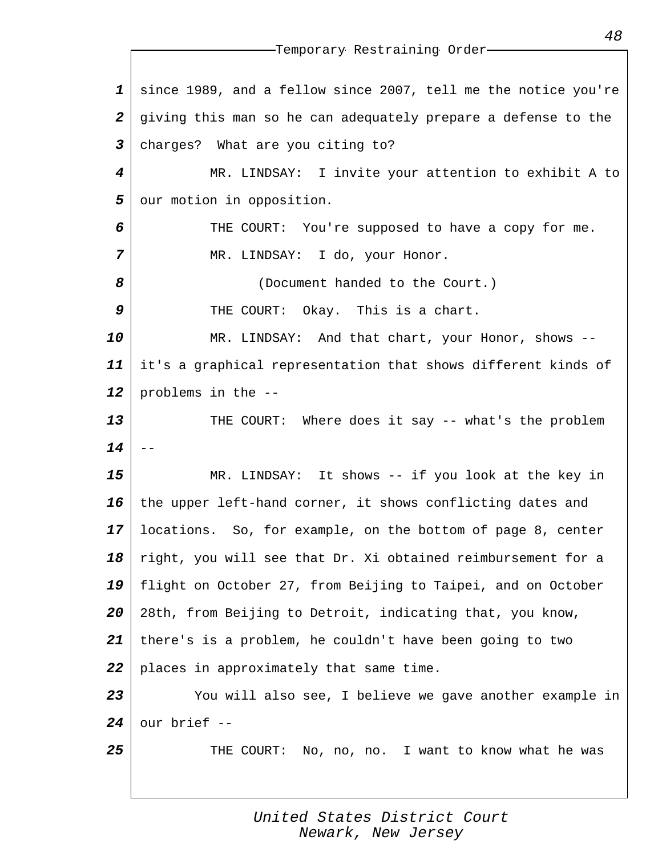*1 2 3 4 5 6 7 8 9 10 11 12 13 14 15 16 17 18 19 20 21 22 23 24 25* Temporary Restraining Order since 1989, and a fellow since 2007, tell me the notice you're giving this man so he can adequately prepare a defense to the charges? What are you citing to? MR. LINDSAY: I invite your attention to exhibit A to our motion in opposition. THE COURT: You're supposed to have a copy for me. MR. LINDSAY: I do, your Honor. (Document handed to the Court.) THE COURT: Okay. This is a chart. MR. LINDSAY: And that chart, your Honor, shows - it's a graphical representation that shows different kinds of problems in the -- THE COURT: Where does it say -- what's the problem -- MR. LINDSAY: It shows -- if you look at the key in the upper left-hand corner, it shows conflicting dates and locations. So, for example, on the bottom of page 8, center right, you will see that Dr. Xi obtained reimbursement for a flight on October 27, from Beijing to Taipei, and on October 28th, from Beijing to Detroit, indicating that, you know, there's is a problem, he couldn't have been going to two places in approximately that same time. You will also see, I believe we gave another example in our brief -- THE COURT: No, no, no. I want to know what he was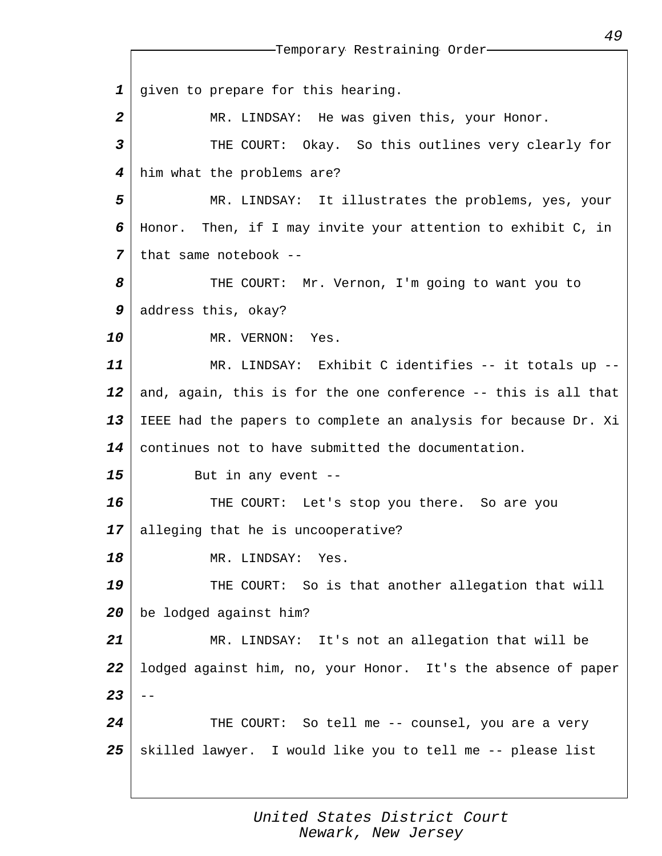*1 2 3 4 5 6 7 8 9 10 11 12 13 14 15 16 17 18 19 20 21 22 23 24 25* Temporary Restraining Order given to prepare for this hearing. MR. LINDSAY: He was given this, your Honor. THE COURT: Okay. So this outlines very clearly for him what the problems are? MR. LINDSAY: It illustrates the problems, yes, your Honor. Then, if I may invite your attention to exhibit C, in that same notebook -- THE COURT: Mr. Vernon, I'm going to want you to address this, okay? MR. VERNON: Yes. MR. LINDSAY: Exhibit C identifies -- it totals up - and, again, this is for the one conference -- this is all that IEEE had the papers to complete an analysis for because Dr. Xi continues not to have submitted the documentation. But in any event -- THE COURT: Let's stop you there. So are you alleging that he is uncooperative? MR. LINDSAY: Yes. THE COURT: So is that another allegation that will be lodged against him? MR. LINDSAY: It's not an allegation that will be lodged against him, no, your Honor. It's the absence of paper  $-$ THE COURT: So tell me -- counsel, you are a very skilled lawyer. I would like you to tell me -- please list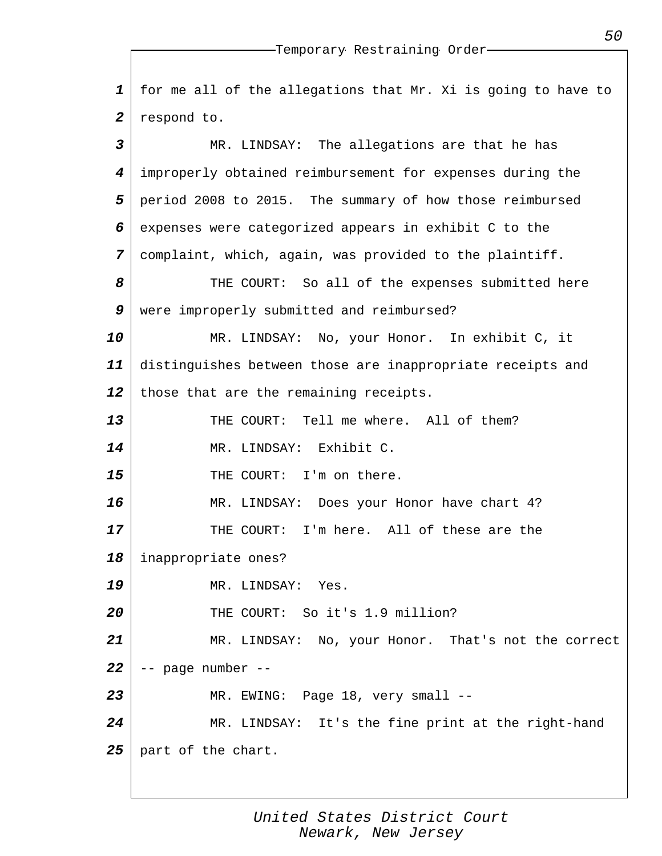*1 2 3 4 5 6 7 8 9 10 11 12 13 14 15 16 17 18 19 20 21 22 23 24 25* for me all of the allegations that Mr. Xi is going to have to respond to. MR. LINDSAY: The allegations are that he has improperly obtained reimbursement for expenses during the period 2008 to 2015. The summary of how those reimbursed expenses were categorized appears in exhibit C to the complaint, which, again, was provided to the plaintiff. THE COURT: So all of the expenses submitted here were improperly submitted and reimbursed? MR. LINDSAY: No, your Honor. In exhibit C, it distinguishes between those are inappropriate receipts and those that are the remaining receipts. THE COURT: Tell me where. All of them? MR. LINDSAY: Exhibit C. THE COURT: I'm on there. MR. LINDSAY: Does your Honor have chart 4? THE COURT: I'm here. All of these are the inappropriate ones? MR. LINDSAY: Yes. THE COURT: So it's 1.9 million? MR. LINDSAY: No, your Honor. That's not the correct -- page number -- MR. EWING: Page 18, very small --MR. LINDSAY: It's the fine print at the right-hand part of the chart.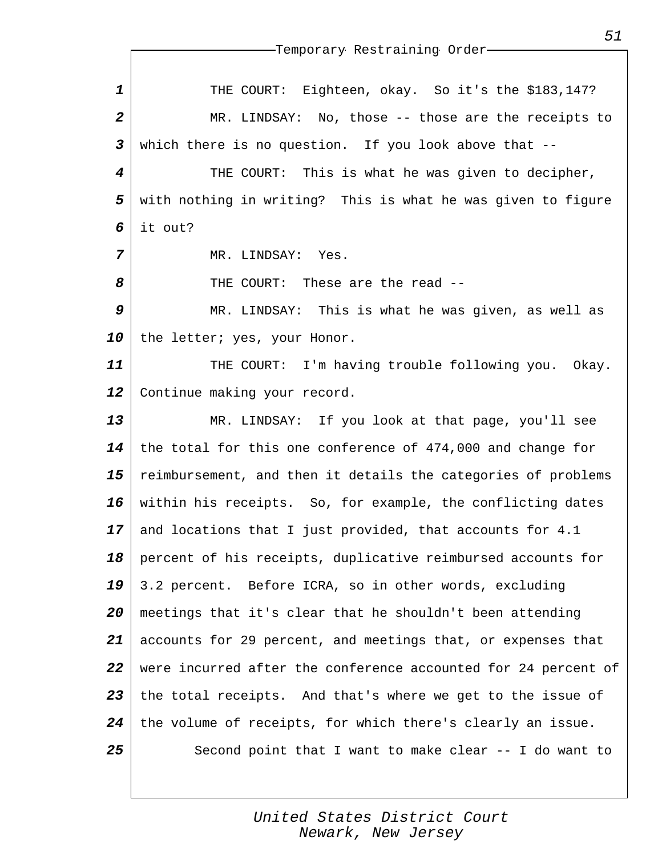| $\mathbf{1}$   | THE COURT: Eighteen, okay. So it's the \$183,147?              |
|----------------|----------------------------------------------------------------|
| $\overline{a}$ | MR. LINDSAY: No, those -- those are the receipts to            |
| $\mathbf{3}$   | which there is no question. If you look above that --          |
| 4              | THE COURT: This is what he was given to decipher,              |
| 5              | with nothing in writing? This is what he was given to figure   |
| 6              | it out?                                                        |
| 7              | MR. LINDSAY: Yes.                                              |
| 8              | THE COURT: These are the read --                               |
| 9              | MR. LINDSAY: This is what he was given, as well as             |
| 10             | the letter; yes, your Honor.                                   |
| 11             | THE COURT: I'm having trouble following you. Okay.             |
| 12             | Continue making your record.                                   |
| 13             | MR. LINDSAY: If you look at that page, you'll see              |
| 14             | the total for this one conference of 474,000 and change for    |
| 15             | reimbursement, and then it details the categories of problems  |
| 16             | within his receipts. So, for example, the conflicting dates    |
| 17             | and locations that I just provided, that accounts for 4.1      |
| 18             | percent of his receipts, duplicative reimbursed accounts for   |
| 19             | 3.2 percent. Before ICRA, so in other words, excluding         |
| 20             | meetings that it's clear that he shouldn't been attending      |
| 21             | accounts for 29 percent, and meetings that, or expenses that   |
| 22             | were incurred after the conference accounted for 24 percent of |
| 23             | the total receipts. And that's where we get to the issue of    |
| 24             | the volume of receipts, for which there's clearly an issue.    |
| 25             | Second point that I want to make clear -- I do want to         |
|                |                                                                |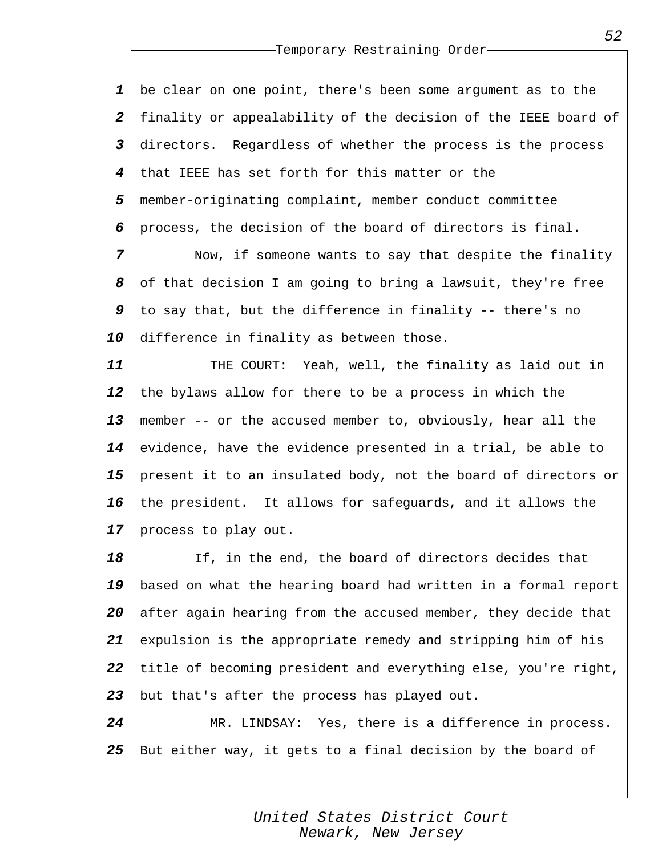*1 2 3 4 5 6* be clear on one point, there's been some argument as to the finality or appealability of the decision of the IEEE board of directors. Regardless of whether the process is the process that IEEE has set forth for this matter or the member-originating complaint, member conduct committee process, the decision of the board of directors is final.

*7 8 9 10* Now, if someone wants to say that despite the finality of that decision I am going to bring a lawsuit, they're free to say that, but the difference in finality -- there's no difference in finality as between those.

*11 12 13 14 15 16 17* THE COURT: Yeah, well, the finality as laid out in the bylaws allow for there to be a process in which the member -- or the accused member to, obviously, hear all the evidence, have the evidence presented in a trial, be able to present it to an insulated body, not the board of directors or the president. It allows for safeguards, and it allows the process to play out.

*18 19 20 21 22 23* If, in the end, the board of directors decides that based on what the hearing board had written in a formal report after again hearing from the accused member, they decide that expulsion is the appropriate remedy and stripping him of his title of becoming president and everything else, you're right, but that's after the process has played out.

*24 25* MR. LINDSAY: Yes, there is a difference in process. But either way, it gets to a final decision by the board of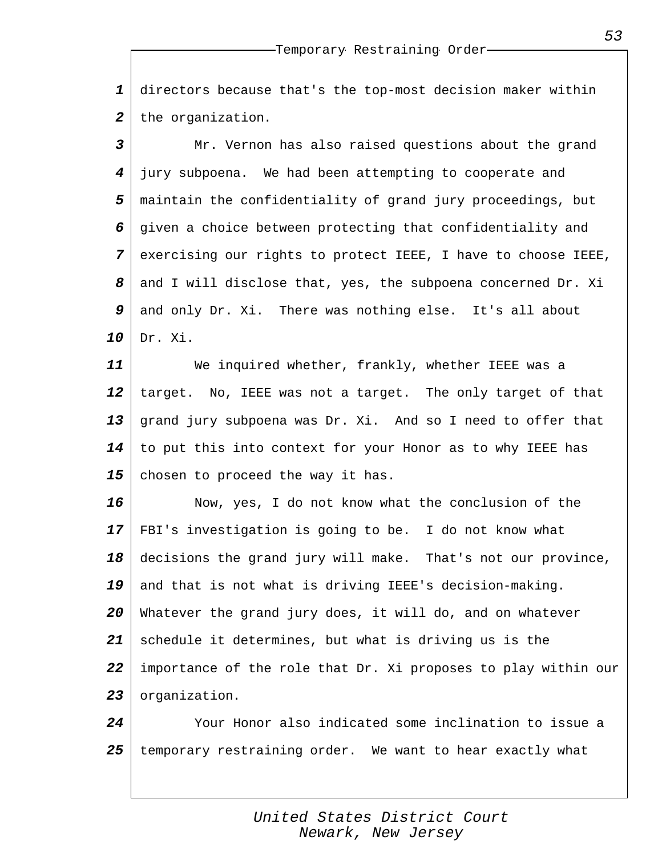*1 2* directors because that's the top-most decision maker within the organization.

*3 4 5 6 7 8 9 10* Mr. Vernon has also raised questions about the grand jury subpoena. We had been attempting to cooperate and maintain the confidentiality of grand jury proceedings, but given a choice between protecting that confidentiality and exercising our rights to protect IEEE, I have to choose IEEE, and I will disclose that, yes, the subpoena concerned Dr. Xi and only Dr. Xi. There was nothing else. It's all about Dr. Xi.

*11 12 13 14 15* We inquired whether, frankly, whether IEEE was a target. No, IEEE was not a target. The only target of that grand jury subpoena was Dr. Xi. And so I need to offer that to put this into context for your Honor as to why IEEE has chosen to proceed the way it has.

*16 17 18 19 20 21 22 23* Now, yes, I do not know what the conclusion of the FBI's investigation is going to be. I do not know what decisions the grand jury will make. That's not our province, and that is not what is driving IEEE's decision-making. Whatever the grand jury does, it will do, and on whatever schedule it determines, but what is driving us is the importance of the role that Dr. Xi proposes to play within our organization.

*24 25* Your Honor also indicated some inclination to issue a temporary restraining order. We want to hear exactly what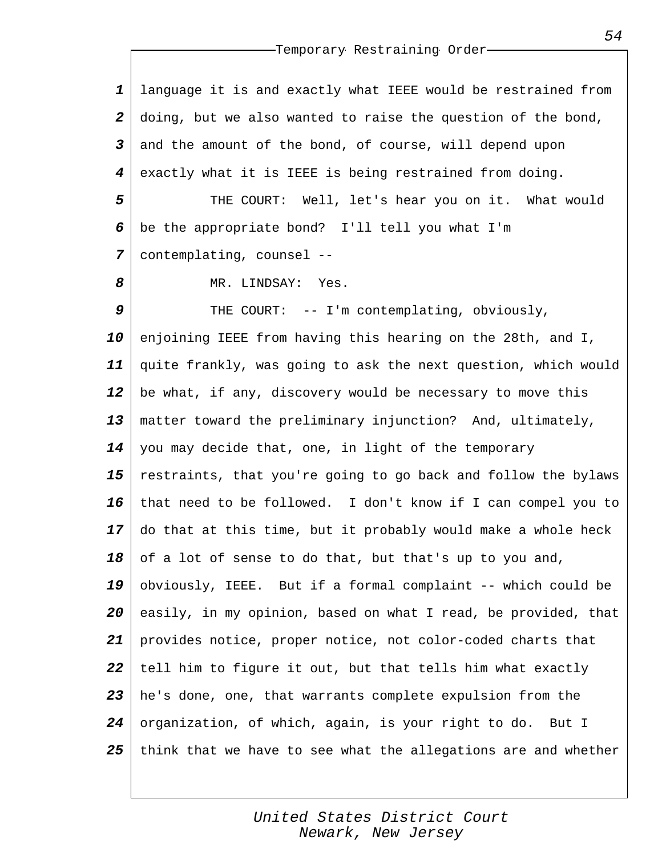*1 2 3 4 5* language it is and exactly what IEEE would be restrained from doing, but we also wanted to raise the question of the bond, and the amount of the bond, of course, will depend upon exactly what it is IEEE is being restrained from doing. THE COURT: Well, let's hear you on it. What would

*6 7* be the appropriate bond? I'll tell you what I'm contemplating, counsel --

MR. LINDSAY: Yes.

*8*

*9 10 11 12 13 14 15 16 17 18 19 20 21 22 23 24 25* THE COURT: -- I'm contemplating, obviously, enjoining IEEE from having this hearing on the 28th, and I, quite frankly, was going to ask the next question, which would be what, if any, discovery would be necessary to move this matter toward the preliminary injunction? And, ultimately, you may decide that, one, in light of the temporary restraints, that you're going to go back and follow the bylaws that need to be followed. I don't know if I can compel you to do that at this time, but it probably would make a whole heck of a lot of sense to do that, but that's up to you and, obviously, IEEE. But if a formal complaint -- which could be easily, in my opinion, based on what I read, be provided, that provides notice, proper notice, not color-coded charts that tell him to figure it out, but that tells him what exactly he's done, one, that warrants complete expulsion from the organization, of which, again, is your right to do. But I think that we have to see what the allegations are and whether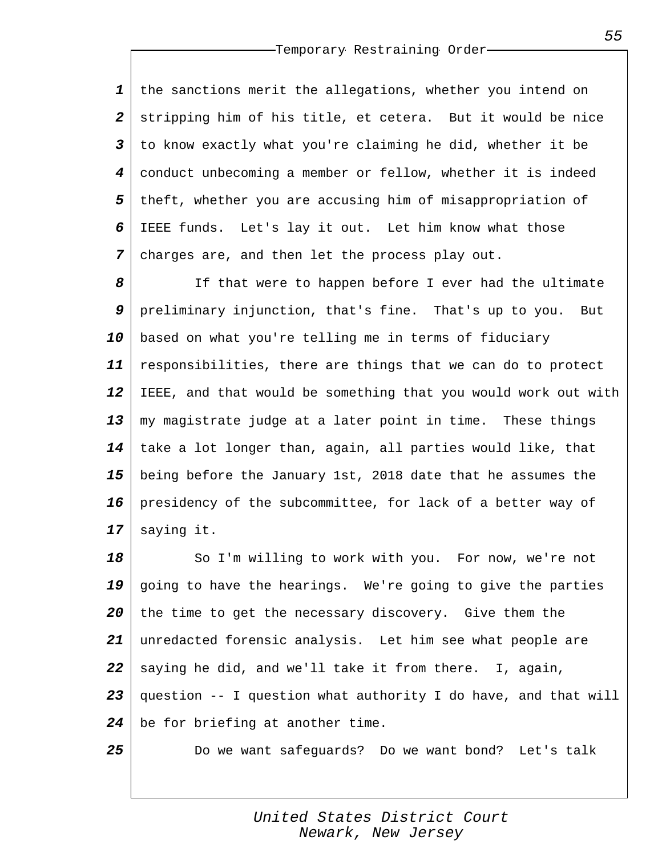*1 2 3 4 5 6 7* the sanctions merit the allegations, whether you intend on stripping him of his title, et cetera. But it would be nice to know exactly what you're claiming he did, whether it be conduct unbecoming a member or fellow, whether it is indeed theft, whether you are accusing him of misappropriation of IEEE funds. Let's lay it out. Let him know what those charges are, and then let the process play out.

*8 9 10 11 12 13 14 15 16 17* If that were to happen before I ever had the ultimate preliminary injunction, that's fine. That's up to you. But based on what you're telling me in terms of fiduciary responsibilities, there are things that we can do to protect IEEE, and that would be something that you would work out with my magistrate judge at a later point in time. These things take a lot longer than, again, all parties would like, that being before the January 1st, 2018 date that he assumes the presidency of the subcommittee, for lack of a better way of saying it.

*18 19 20 21 22 23 24* So I'm willing to work with you. For now, we're not going to have the hearings. We're going to give the parties the time to get the necessary discovery. Give them the unredacted forensic analysis. Let him see what people are saying he did, and we'll take it from there. I, again, question -- I question what authority I do have, and that will be for briefing at another time.

*25*

Do we want safeguards? Do we want bond? Let's talk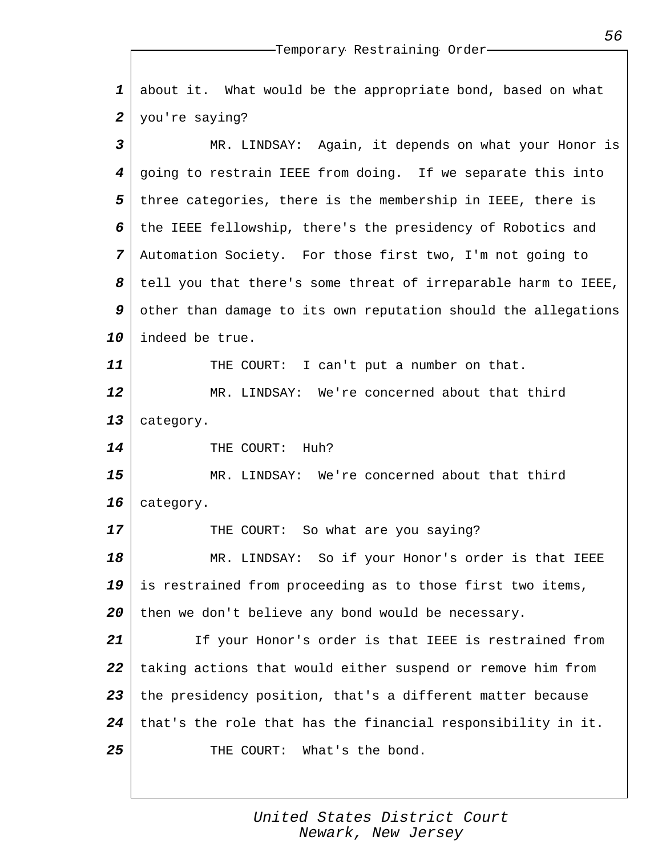*1 2 3 4* about it. What would be the appropriate bond, based on what you're saying? MR. LINDSAY: Again, it depends on what your Honor is going to restrain IEEE from doing. If we separate this into

*5 6 7 8 9 10* three categories, there is the membership in IEEE, there is the IEEE fellowship, there's the presidency of Robotics and Automation Society. For those first two, I'm not going to tell you that there's some threat of irreparable harm to IEEE, other than damage to its own reputation should the allegations indeed be true.

THE COURT: I can't put a number on that.

*12 13* MR. LINDSAY: We're concerned about that third category.

THE COURT: Huh?

*11*

*14*

*17*

*15 16* MR. LINDSAY: We're concerned about that third category.

THE COURT: So what are you saying?

*18 19 20* MR. LINDSAY: So if your Honor's order is that IEEE is restrained from proceeding as to those first two items, then we don't believe any bond would be necessary.

*21 22 23 24 25* If your Honor's order is that IEEE is restrained from taking actions that would either suspend or remove him from the presidency position, that's a different matter because that's the role that has the financial responsibility in it. THE COURT: What's the bond.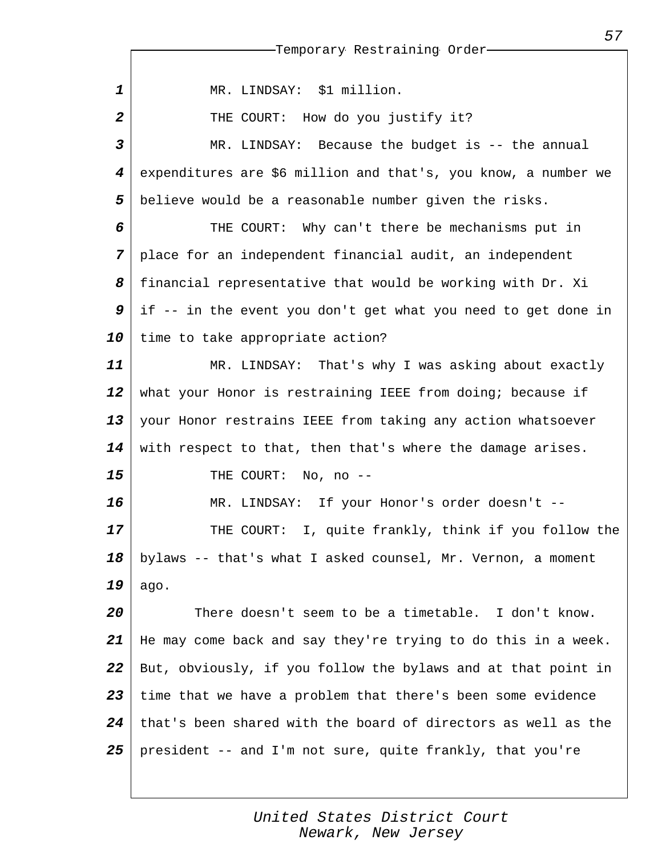|                  | --Temporary Restraining Order-                                 |
|------------------|----------------------------------------------------------------|
|                  |                                                                |
| $\mathbf{1}$     | MR. LINDSAY: \$1 million.                                      |
| $\boldsymbol{2}$ | THE COURT: How do you justify it?                              |
| 3                | MR. LINDSAY: Because the budget is -- the annual               |
| 4                | expenditures are \$6 million and that's, you know, a number we |
| 5                | believe would be a reasonable number given the risks.          |
| 6                | THE COURT: Why can't there be mechanisms put in                |
| 7                | place for an independent financial audit, an independent       |
| 8                | financial representative that would be working with Dr. Xi     |
| 9                | if -- in the event you don't get what you need to get done in  |
| 10               | time to take appropriate action?                               |
| 11               | MR. LINDSAY: That's why I was asking about exactly             |
| 12               | what your Honor is restraining IEEE from doing; because if     |
| 13               | your Honor restrains IEEE from taking any action whatsoever    |
| 14               | with respect to that, then that's where the damage arises.     |
| 15               | THE COURT: No, no --                                           |
| 16               | MR. LINDSAY: If your Honor's order doesn't --                  |
| 17               | THE COURT: I, quite frankly, think if you follow the           |
| 18               | bylaws -- that's what I asked counsel, Mr. Vernon, a moment    |
| 19               | ago.                                                           |
| 20               | There doesn't seem to be a timetable. I don't know.            |
| 21               | He may come back and say they're trying to do this in a week.  |
| 22               | But, obviously, if you follow the bylaws and at that point in  |
| 23               | time that we have a problem that there's been some evidence    |
| 24               | that's been shared with the board of directors as well as the  |
| 25               | president -- and I'm not sure, quite frankly, that you're      |
|                  |                                                                |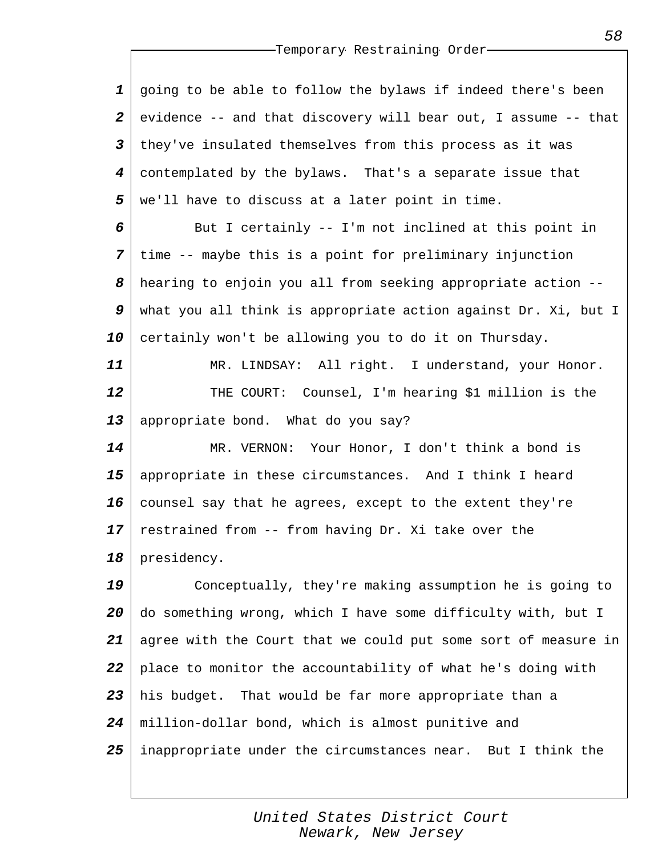*1 2 3 4 5* going to be able to follow the bylaws if indeed there's been evidence -- and that discovery will bear out, I assume -- that they've insulated themselves from this process as it was contemplated by the bylaws. That's a separate issue that we'll have to discuss at a later point in time.

*6 7 8 9 10* But I certainly -- I'm not inclined at this point in time -- maybe this is a point for preliminary injunction hearing to enjoin you all from seeking appropriate action - what you all think is appropriate action against Dr. Xi, but I certainly won't be allowing you to do it on Thursday.

*11 12 13* MR. LINDSAY: All right. I understand, your Honor. THE COURT: Counsel, I'm hearing \$1 million is the appropriate bond. What do you say?

*14 15 16 17 18* MR. VERNON: Your Honor, I don't think a bond is appropriate in these circumstances. And I think I heard counsel say that he agrees, except to the extent they're restrained from -- from having Dr. Xi take over the presidency.

*19 20 21 22 23 24 25* Conceptually, they're making assumption he is going to do something wrong, which I have some difficulty with, but I agree with the Court that we could put some sort of measure in place to monitor the accountability of what he's doing with his budget. That would be far more appropriate than a million-dollar bond, which is almost punitive and inappropriate under the circumstances near. But I think the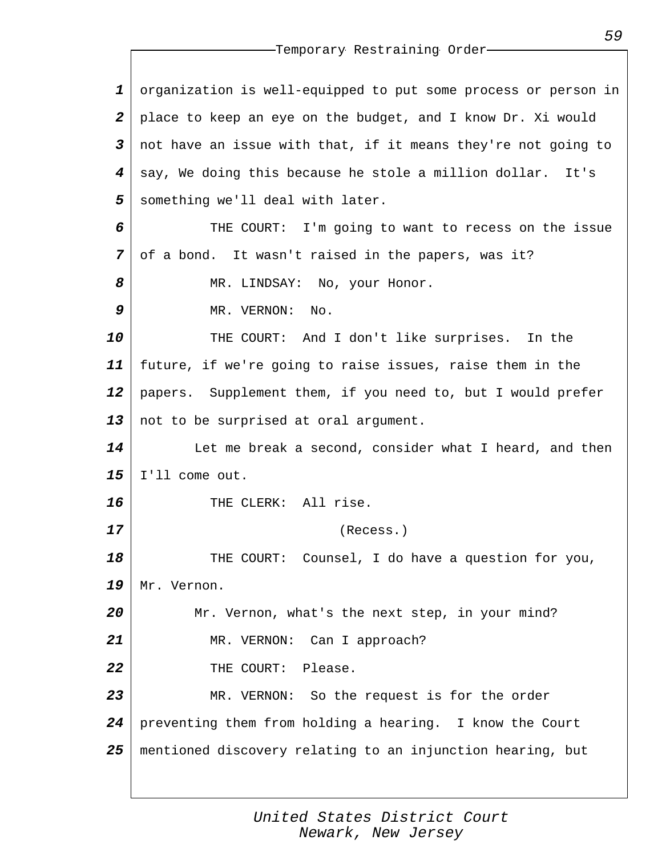| $\mathbf 1$             | organization is well-equipped to put some process or person in |
|-------------------------|----------------------------------------------------------------|
| $\boldsymbol{2}$        | place to keep an eye on the budget, and I know Dr. Xi would    |
| $\overline{\mathbf{3}}$ | not have an issue with that, if it means they're not going to  |
| 4                       | say, We doing this because he stole a million dollar. It's     |
| 5                       | something we'll deal with later.                               |
| 6                       | THE COURT: I'm going to want to recess on the issue            |
| $\overline{7}$          | of a bond. It wasn't raised in the papers, was it?             |
| 8                       | MR. LINDSAY: No, your Honor.                                   |
| 9                       | MR. VERNON:<br>No.                                             |
| 10                      | THE COURT: And I don't like surprises. In the                  |
| 11                      | future, if we're going to raise issues, raise them in the      |
| 12                      | papers. Supplement them, if you need to, but I would prefer    |
| 13                      | not to be surprised at oral argument.                          |
| 14                      | Let me break a second, consider what I heard, and then         |
| 15                      | I'll come out.                                                 |
| 16                      | THE CLERK: All rise.                                           |
| 17                      | (Recess.)                                                      |
| 18                      | Counsel, I do have a question for you,<br>THE<br>COURT:        |
| 19                      | Mr. Vernon.                                                    |
| 20                      | Mr. Vernon, what's the next step, in your mind?                |
| 21                      | MR. VERNON: Can I approach?                                    |
| 22                      | THE COURT: Please.                                             |
| 23                      | MR. VERNON: So the request is for the order                    |
| 24                      | preventing them from holding a hearing. I know the Court       |
| 25                      | mentioned discovery relating to an injunction hearing, but     |
|                         |                                                                |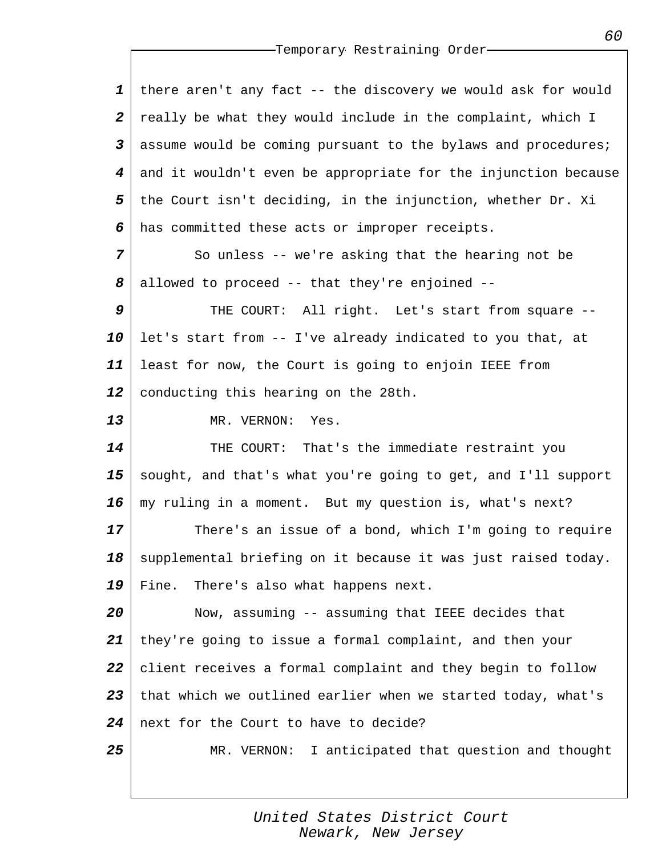| $\mathbf{1}$            | there aren't any fact -- the discovery we would ask for would  |
|-------------------------|----------------------------------------------------------------|
| $\boldsymbol{2}$        | really be what they would include in the complaint, which I    |
| $\overline{\mathbf{3}}$ | assume would be coming pursuant to the bylaws and procedures;  |
| $\boldsymbol{4}$        | and it wouldn't even be appropriate for the injunction because |
| 5                       | the Court isn't deciding, in the injunction, whether Dr. Xi    |
| 6                       | has committed these acts or improper receipts.                 |
| $\overline{7}$          | So unless -- we're asking that the hearing not be              |
| 8                       | allowed to proceed -- that they're enjoined --                 |
| 9                       | THE COURT: All right. Let's start from square --               |
| 10                      | let's start from -- I've already indicated to you that, at     |
| 11                      | least for now, the Court is going to enjoin IEEE from          |
| 12                      | conducting this hearing on the 28th.                           |
| 13                      | MR. VERNON:<br>Yes.                                            |
| 14                      | That's the immediate restraint you<br>THE COURT:               |
| 15                      | sought, and that's what you're going to get, and I'll support  |
| 16                      | my ruling in a moment. But my question is, what's next?        |
| 17                      | There's an issue of a bond, which I'm going to require         |
| 18                      | supplemental briefing on it because it was just raised today.  |
| 19                      | Fine.<br>There's also what happens next.                       |
| 20                      | Now, assuming -- assuming that IEEE decides that               |
| 21                      | they're going to issue a formal complaint, and then your       |
| 22                      | client receives a formal complaint and they begin to follow    |
| 23                      | that which we outlined earlier when we started today, what's   |
| 24                      | next for the Court to have to decide?                          |
| 25                      | I anticipated that question and thought<br>MR. VERNON:         |
|                         |                                                                |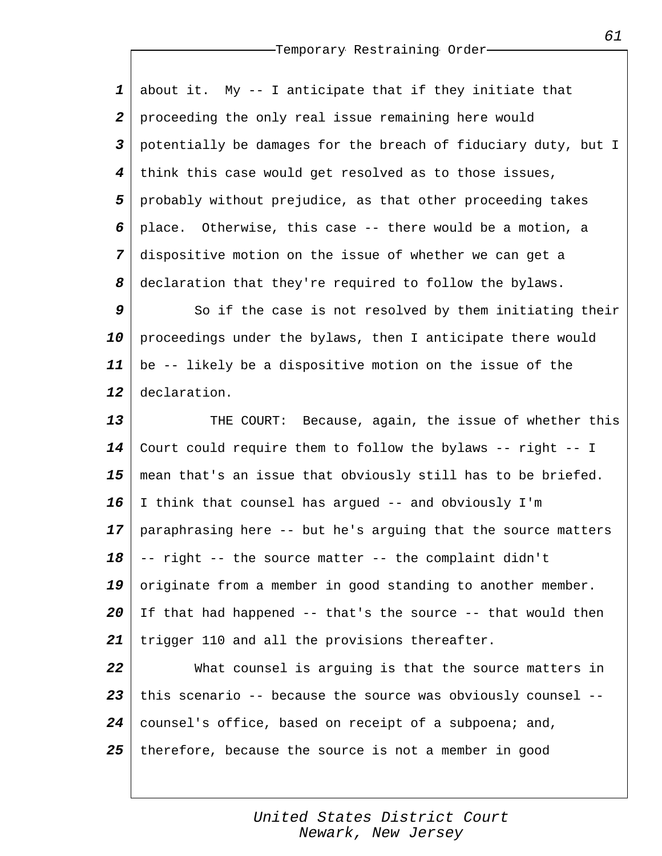*1 2 3 4 5 6 7 8* about it. My -- I anticipate that if they initiate that proceeding the only real issue remaining here would potentially be damages for the breach of fiduciary duty, but I think this case would get resolved as to those issues, probably without prejudice, as that other proceeding takes place. Otherwise, this case -- there would be a motion, a dispositive motion on the issue of whether we can get a declaration that they're required to follow the bylaws.

*9 10 11 12* So if the case is not resolved by them initiating their proceedings under the bylaws, then I anticipate there would be -- likely be a dispositive motion on the issue of the declaration.

*13 14 15 16 17 18 19 20 21* THE COURT: Because, again, the issue of whether this Court could require them to follow the bylaws -- right -- I mean that's an issue that obviously still has to be briefed. I think that counsel has argued -- and obviously I'm paraphrasing here -- but he's arguing that the source matters -- right -- the source matter -- the complaint didn't originate from a member in good standing to another member. If that had happened -- that's the source -- that would then trigger 110 and all the provisions thereafter.

*22 23 24 25* What counsel is arguing is that the source matters in this scenario -- because the source was obviously counsel - counsel's office, based on receipt of a subpoena; and, therefore, because the source is not a member in good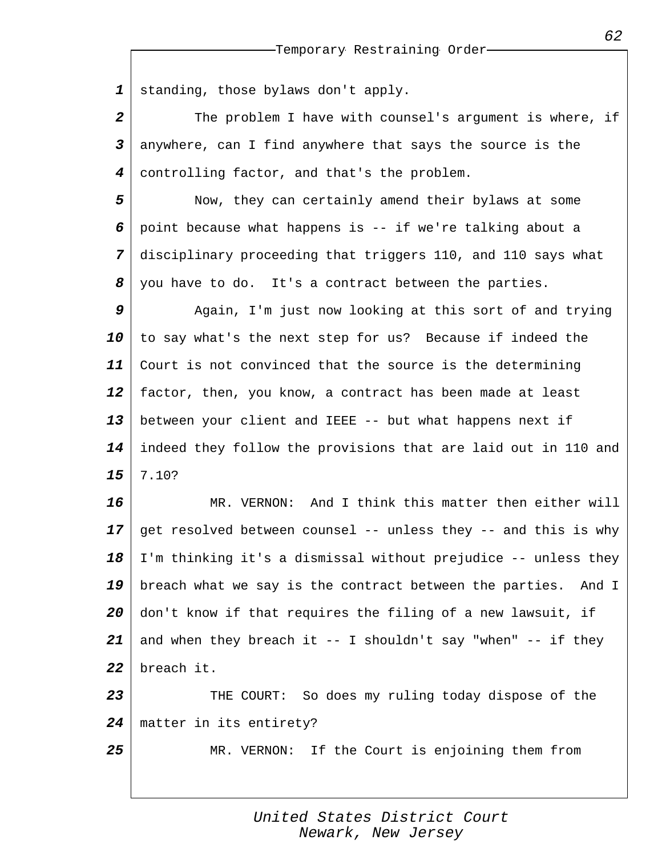*1* standing, those bylaws don't apply.

*2 3 4* The problem I have with counsel's argument is where, if anywhere, can I find anywhere that says the source is the controlling factor, and that's the problem.

*5 6 7 8* Now, they can certainly amend their bylaws at some point because what happens is -- if we're talking about a disciplinary proceeding that triggers 110, and 110 says what you have to do. It's a contract between the parties.

*9 10 11 12 13 14 15* Again, I'm just now looking at this sort of and trying to say what's the next step for us? Because if indeed the Court is not convinced that the source is the determining factor, then, you know, a contract has been made at least between your client and IEEE -- but what happens next if indeed they follow the provisions that are laid out in 110 and 7.10?

*16 17 18 19 20 21 22* MR. VERNON: And I think this matter then either will get resolved between counsel -- unless they -- and this is why I'm thinking it's a dismissal without prejudice -- unless they breach what we say is the contract between the parties. And I don't know if that requires the filing of a new lawsuit, if and when they breach it  $--$  I shouldn't say "when"  $--$  if they breach it.

*23 24* THE COURT: So does my ruling today dispose of the matter in its entirety?

*25*

MR. VERNON: If the Court is enjoining them from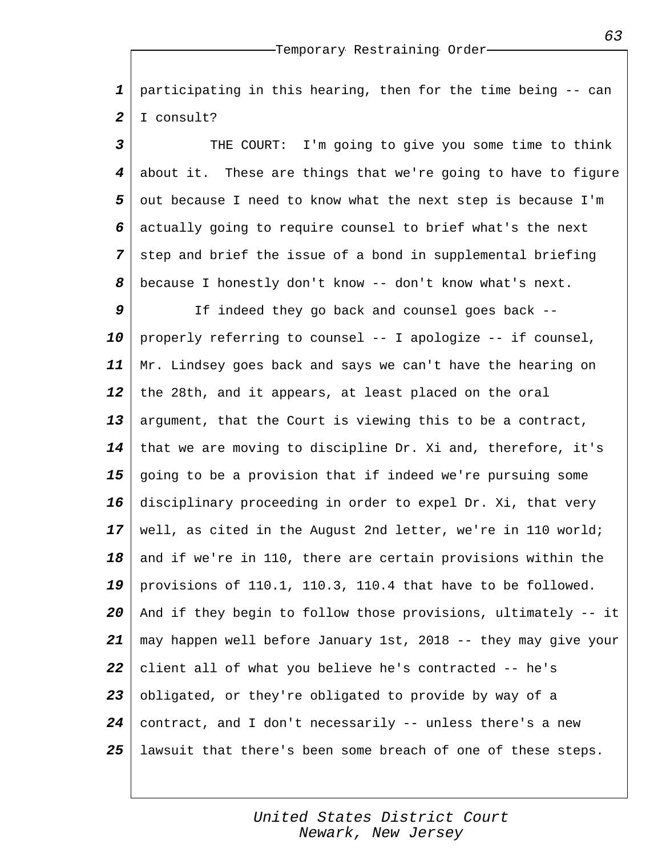*1 2* participating in this hearing, then for the time being -- can I consult?

*3 4 5 6 7 8* THE COURT: I'm going to give you some time to think about it. These are things that we're going to have to figure out because I need to know what the next step is because I'm actually going to require counsel to brief what's the next step and brief the issue of a bond in supplemental briefing because I honestly don't know -- don't know what's next.

*9 10 11 12 13 14 15 16 17 18 19 20 21 22 23 24 25* If indeed they go back and counsel goes back - properly referring to counsel -- I apologize -- if counsel, Mr. Lindsey goes back and says we can't have the hearing on the 28th, and it appears, at least placed on the oral argument, that the Court is viewing this to be a contract, that we are moving to discipline Dr. Xi and, therefore, it's going to be a provision that if indeed we're pursuing some disciplinary proceeding in order to expel Dr. Xi, that very well, as cited in the August 2nd letter, we're in 110 world; and if we're in 110, there are certain provisions within the provisions of 110.1, 110.3, 110.4 that have to be followed. And if they begin to follow those provisions, ultimately -- it may happen well before January 1st, 2018 -- they may give your client all of what you believe he's contracted -- he's obligated, or they're obligated to provide by way of a contract, and I don't necessarily -- unless there's a new lawsuit that there's been some breach of one of these steps.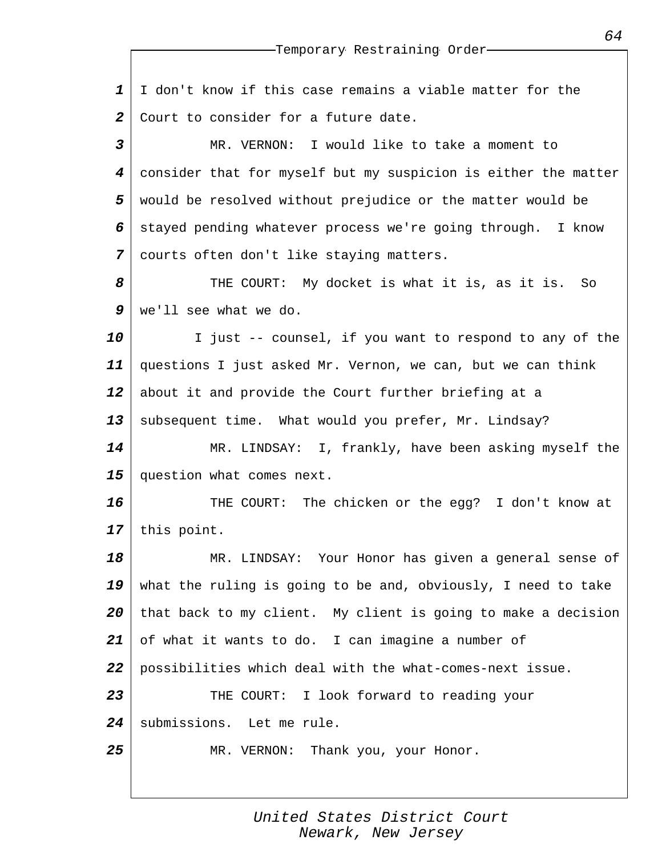|                         | --Temporary Restraining Order-                                 |
|-------------------------|----------------------------------------------------------------|
|                         |                                                                |
| $\mathbf{1}$            | I don't know if this case remains a viable matter for the      |
| $\boldsymbol{2}$        | Court to consider for a future date.                           |
| $\overline{\mathbf{3}}$ | MR. VERNON: I would like to take a moment to                   |
| 4                       | consider that for myself but my suspicion is either the matter |
| 5                       | would be resolved without prejudice or the matter would be     |
| 6                       | stayed pending whatever process we're going through. I know    |
| 7                       | courts often don't like staying matters.                       |
| 8                       | THE COURT: My docket is what it is, as it is.<br>So            |
| 9                       | we'll see what we do.                                          |
| 10                      | I just -- counsel, if you want to respond to any of the        |
| 11                      | questions I just asked Mr. Vernon, we can, but we can think    |
| 12                      | about it and provide the Court further briefing at a           |
| 13                      | subsequent time. What would you prefer, Mr. Lindsay?           |
| 14                      | MR. LINDSAY: I, frankly, have been asking myself the           |
| 15                      | question what comes next.                                      |
| 16                      | THE COURT: The chicken or the egg? I don't know at             |
| 17                      | this point.                                                    |
| 18                      | MR. LINDSAY: Your Honor has given a general sense of           |
| 19                      | what the ruling is going to be and, obviously, I need to take  |
| 20                      | that back to my client. My client is going to make a decision  |
| 21                      | of what it wants to do. I can imagine a number of              |
| 22                      | possibilities which deal with the what-comes-next issue.       |
| 23                      | THE COURT: I look forward to reading your                      |
| 24                      | submissions. Let me rule.                                      |
| 25                      | MR. VERNON: Thank you, your Honor.                             |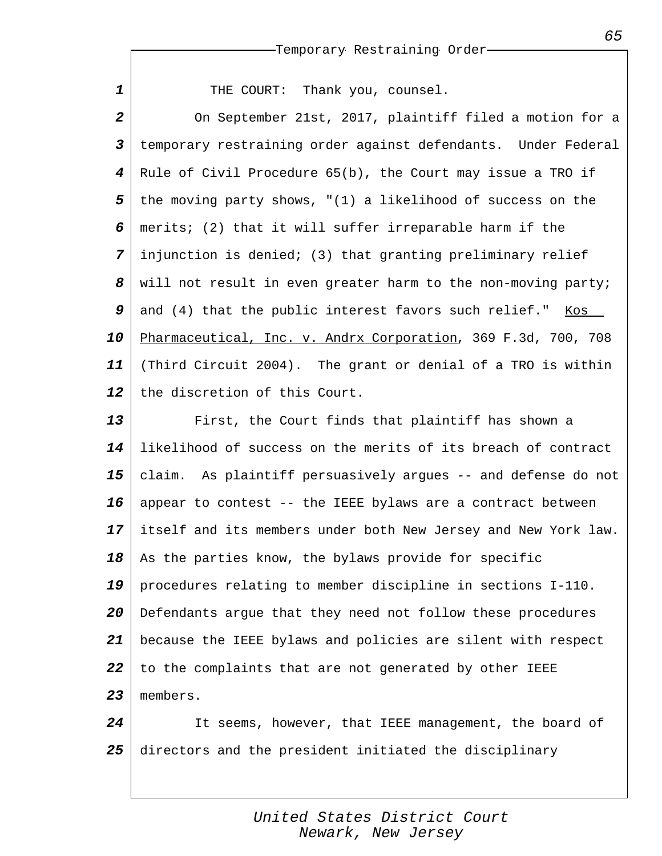| $\mathbf 1$             | THE COURT: Thank you, counsel.                                      |
|-------------------------|---------------------------------------------------------------------|
| $\boldsymbol{2}$        | On September 21st, 2017, plaintiff filed a motion for a             |
| $\overline{\mathbf{3}}$ | temporary restraining order against defendants. Under Federal       |
| 4                       | Rule of Civil Procedure $65(b)$ , the Court may issue a TRO if      |
| 5                       | the moving party shows, $\sqrt{(1)}$ a likelihood of success on the |
| 6                       | merits; (2) that it will suffer irreparable harm if the             |
| 7                       | injunction is denied; (3) that granting preliminary relief          |
| 8                       | will not result in even greater harm to the non-moving party;       |
| 9                       | and (4) that the public interest favors such relief." Kos           |
| 10                      | Pharmaceutical, Inc. v. Andrx Corporation, 369 F.3d, 700, 708       |
| 11                      | (Third Circuit 2004). The grant or denial of a TRO is within        |
| 12                      | the discretion of this Court.                                       |
| 13                      | First, the Court finds that plaintiff has shown a                   |
| 14                      | likelihood of success on the merits of its breach of contract       |
| 15                      | claim. As plaintiff persuasively argues -- and defense do not       |
| 16                      | appear to contest -- the IEEE bylaws are a contract between         |
| 17                      | itself and its members under both New Jersey and New York law.      |
| 18                      | As the parties know, the bylaws provide for specific                |
| 19                      | procedures relating to member discipline in sections I-110.         |
| 20                      | Defendants argue that they need not follow these procedures         |
| 21                      | because the IEEE bylaws and policies are silent with respect        |
| 22                      | to the complaints that are not generated by other IEEE              |
| 23                      | members.                                                            |
| 24                      | It seems, however, that IEEE management, the board of               |
| 25                      | directors and the president initiated the disciplinary              |

*United States District Court Newark, New Jersey*

*65*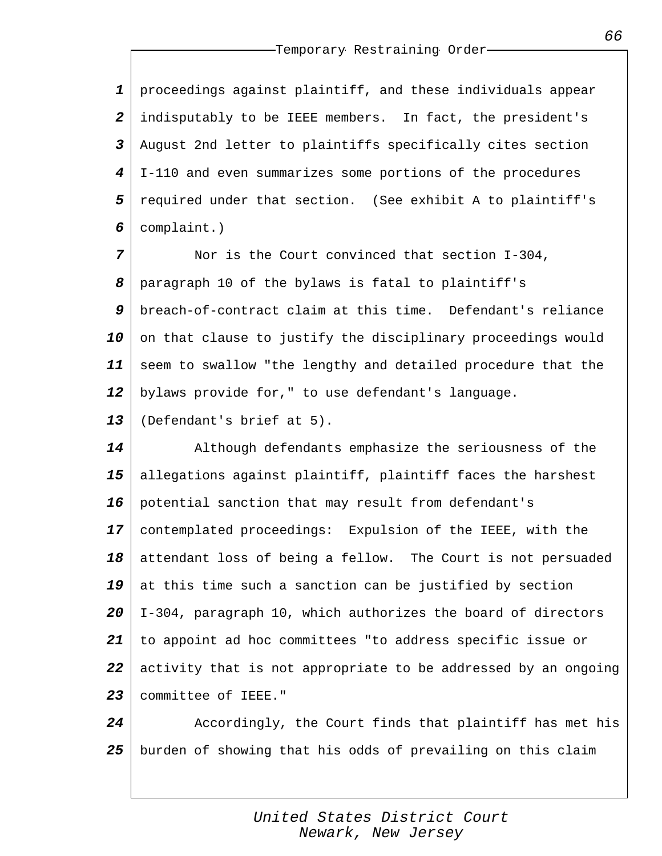*1 2 3 4 5 6* proceedings against plaintiff, and these individuals appear indisputably to be IEEE members. In fact, the president's August 2nd letter to plaintiffs specifically cites section I-110 and even summarizes some portions of the procedures required under that section. (See exhibit A to plaintiff's complaint.)

*7 8 9 10 11 12 13* Nor is the Court convinced that section I-304, paragraph 10 of the bylaws is fatal to plaintiff's breach-of-contract claim at this time. Defendant's reliance on that clause to justify the disciplinary proceedings would seem to swallow "the lengthy and detailed procedure that the bylaws provide for," to use defendant's language. (Defendant's brief at 5).

*14 15 16 17 18 19 20 21 22 23* Although defendants emphasize the seriousness of the allegations against plaintiff, plaintiff faces the harshest potential sanction that may result from defendant's contemplated proceedings: Expulsion of the IEEE, with the attendant loss of being a fellow. The Court is not persuaded at this time such a sanction can be justified by section I-304, paragraph 10, which authorizes the board of directors to appoint ad hoc committees "to address specific issue or activity that is not appropriate to be addressed by an ongoing committee of IEEE."

*24 25* Accordingly, the Court finds that plaintiff has met his burden of showing that his odds of prevailing on this claim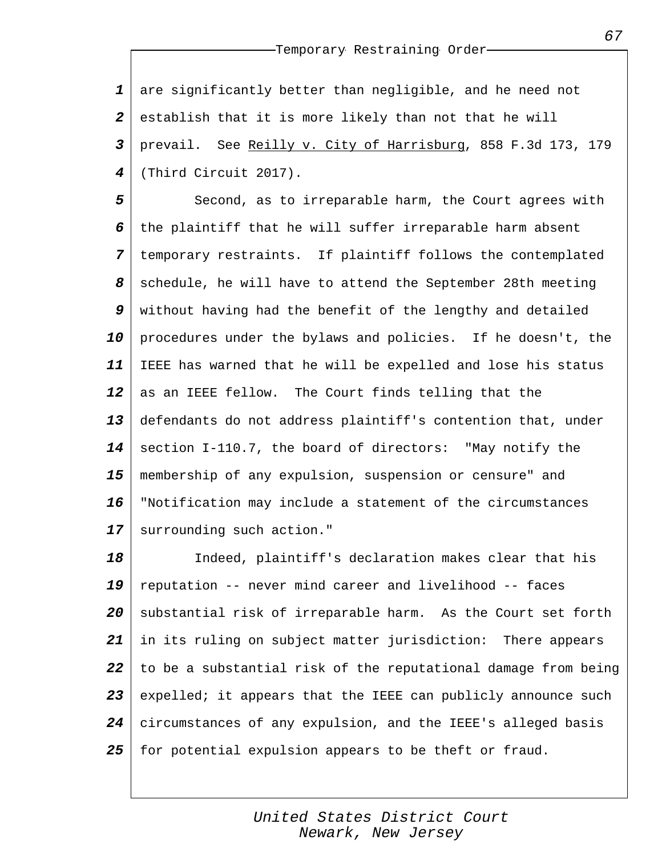*1 2 3 4* are significantly better than negligible, and he need not establish that it is more likely than not that he will prevail. See Reilly v. City of Harrisburg, 858 F.3d 173, 179 (Third Circuit 2017).

*5 6 7 8 9 10 11 12 13 14 15 16 17* Second, as to irreparable harm, the Court agrees with the plaintiff that he will suffer irreparable harm absent temporary restraints. If plaintiff follows the contemplated schedule, he will have to attend the September 28th meeting without having had the benefit of the lengthy and detailed procedures under the bylaws and policies. If he doesn't, the IEEE has warned that he will be expelled and lose his status as an IEEE fellow. The Court finds telling that the defendants do not address plaintiff's contention that, under section I-110.7, the board of directors: "May notify the membership of any expulsion, suspension or censure" and "Notification may include a statement of the circumstances surrounding such action."

*18 19 20 21 22 23 24 25* Indeed, plaintiff's declaration makes clear that his reputation -- never mind career and livelihood -- faces substantial risk of irreparable harm. As the Court set forth in its ruling on subject matter jurisdiction: There appears to be a substantial risk of the reputational damage from being expelled; it appears that the IEEE can publicly announce such circumstances of any expulsion, and the IEEE's alleged basis for potential expulsion appears to be theft or fraud.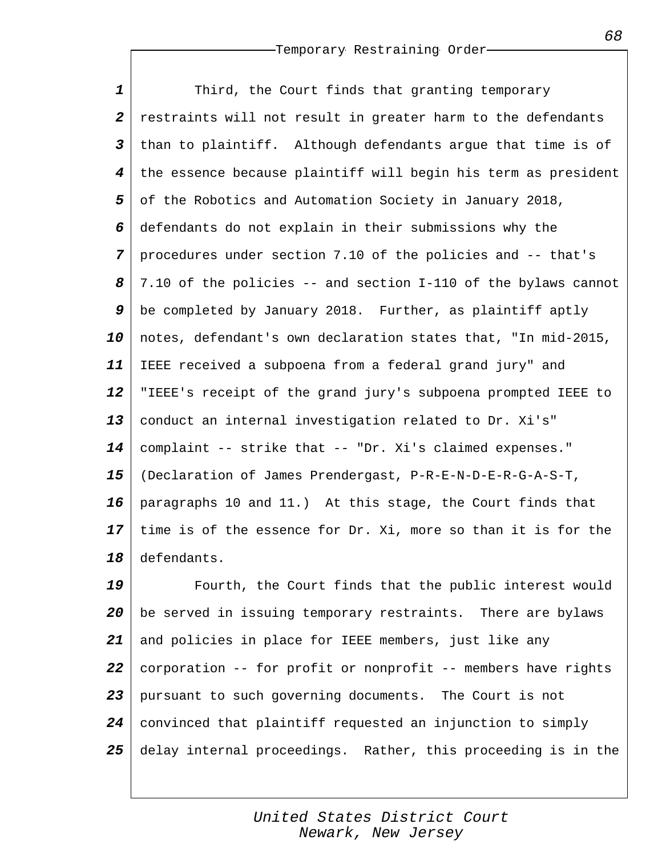*1 2 3 4 5 6 7 8 9 10 11 12 13 14 15 16 17 18* Third, the Court finds that granting temporary restraints will not result in greater harm to the defendants than to plaintiff. Although defendants argue that time is of the essence because plaintiff will begin his term as president of the Robotics and Automation Society in January 2018, defendants do not explain in their submissions why the procedures under section 7.10 of the policies and -- that's 7.10 of the policies -- and section I-110 of the bylaws cannot be completed by January 2018. Further, as plaintiff aptly notes, defendant's own declaration states that, "In mid-2015, IEEE received a subpoena from a federal grand jury" and "IEEE's receipt of the grand jury's subpoena prompted IEEE to conduct an internal investigation related to Dr. Xi's" complaint -- strike that -- "Dr. Xi's claimed expenses." (Declaration of James Prendergast, P-R-E-N-D-E-R-G-A-S-T, paragraphs 10 and 11.) At this stage, the Court finds that time is of the essence for Dr. Xi, more so than it is for the defendants.

*19 20 21 22 23 24 25* Fourth, the Court finds that the public interest would be served in issuing temporary restraints. There are bylaws and policies in place for IEEE members, just like any corporation -- for profit or nonprofit -- members have rights pursuant to such governing documents. The Court is not convinced that plaintiff requested an injunction to simply delay internal proceedings. Rather, this proceeding is in the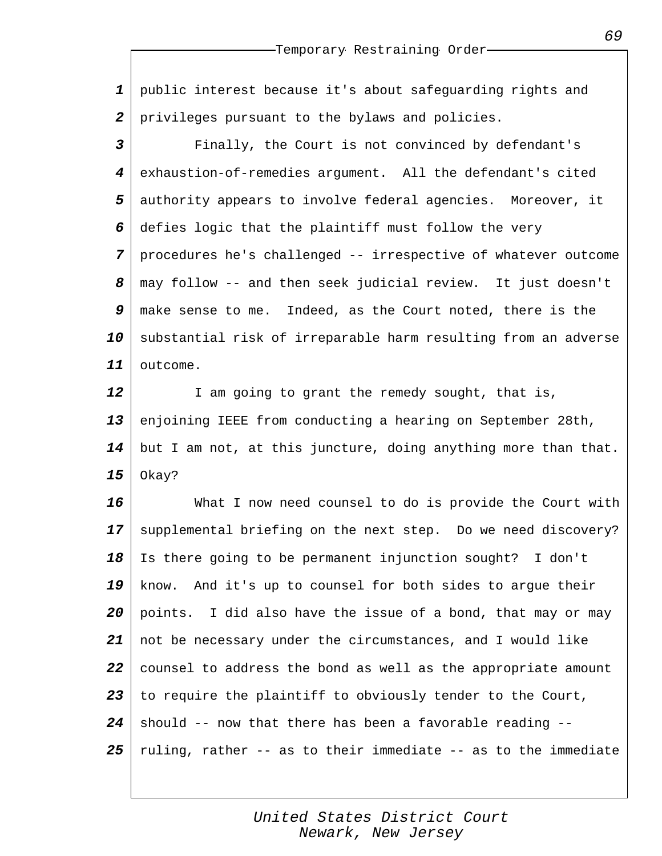*1 2* public interest because it's about safeguarding rights and privileges pursuant to the bylaws and policies.

*3 4 5 6 7 8 9 10 11* Finally, the Court is not convinced by defendant's exhaustion-of-remedies argument. All the defendant's cited authority appears to involve federal agencies. Moreover, it defies logic that the plaintiff must follow the very procedures he's challenged -- irrespective of whatever outcome may follow -- and then seek judicial review. It just doesn't make sense to me. Indeed, as the Court noted, there is the substantial risk of irreparable harm resulting from an adverse outcome.

*12 13 14 15* I am going to grant the remedy sought, that is, enjoining IEEE from conducting a hearing on September 28th, but I am not, at this juncture, doing anything more than that. Okay?

*16 17 18 19 20 21 22 23 24 25* What I now need counsel to do is provide the Court with supplemental briefing on the next step. Do we need discovery? Is there going to be permanent injunction sought? I don't know. And it's up to counsel for both sides to argue their points. I did also have the issue of a bond, that may or may not be necessary under the circumstances, and I would like counsel to address the bond as well as the appropriate amount to require the plaintiff to obviously tender to the Court, should -- now that there has been a favorable reading - ruling, rather -- as to their immediate -- as to the immediate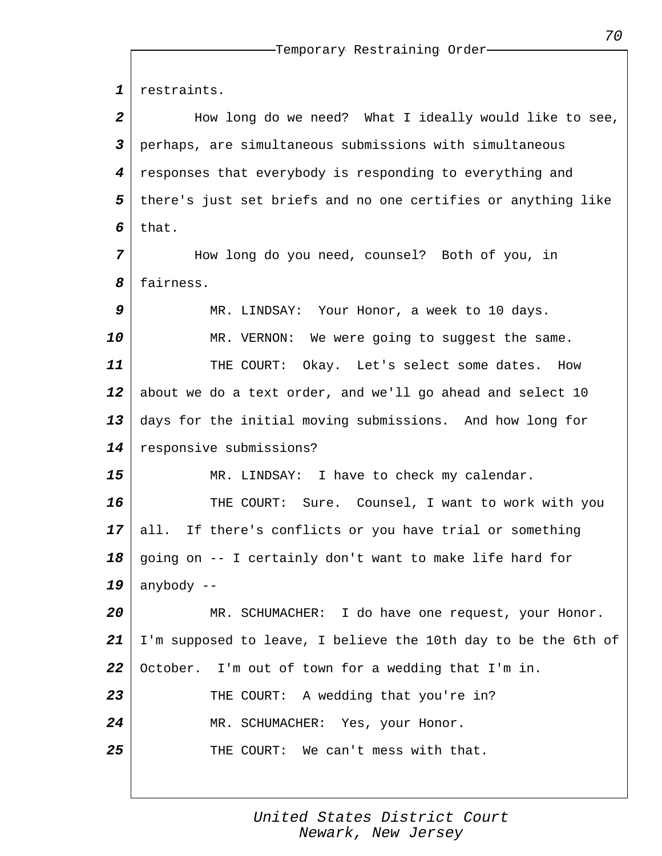*1 2 3 4 5 6 7 8 9 10 11 12 13 14 15 16 17 18 19 20 21 22 23 24 25* restraints. How long do we need? What I ideally would like to see, perhaps, are simultaneous submissions with simultaneous responses that everybody is responding to everything and there's just set briefs and no one certifies or anything like that. How long do you need, counsel? Both of you, in fairness. MR. LINDSAY: Your Honor, a week to 10 days. MR. VERNON: We were going to suggest the same. THE COURT: Okay. Let's select some dates. How about we do a text order, and we'll go ahead and select 10 days for the initial moving submissions. And how long for responsive submissions? MR. LINDSAY: I have to check my calendar. THE COURT: Sure. Counsel, I want to work with you all. If there's conflicts or you have trial or something going on -- I certainly don't want to make life hard for anybody -- MR. SCHUMACHER: I do have one request, your Honor. I'm supposed to leave, I believe the 10th day to be the 6th of October. I'm out of town for a wedding that I'm in. THE COURT: A wedding that you're in? MR. SCHUMACHER: Yes, your Honor. THE COURT: We can't mess with that.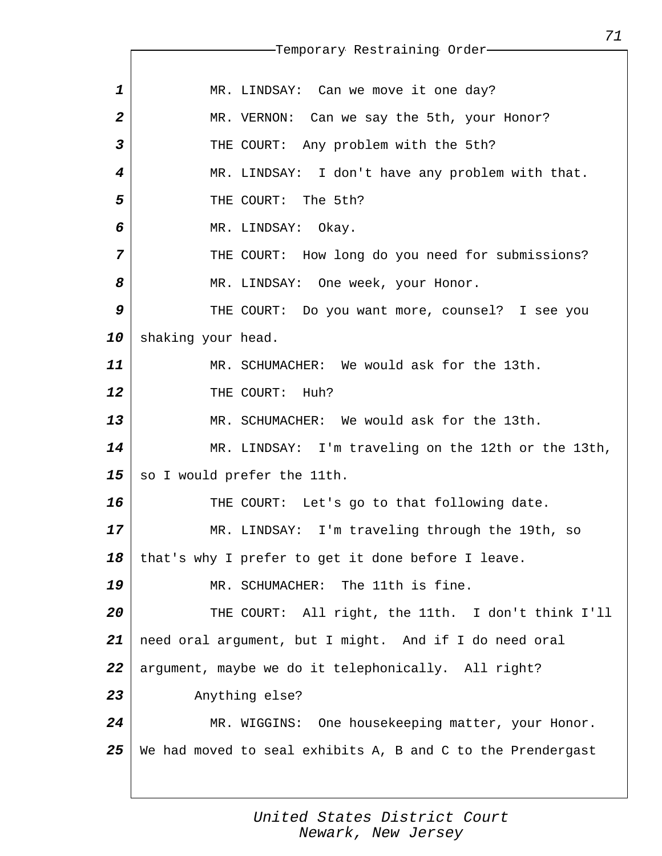*1 2 3 4 5 6 7 8 9 10 11 12 13 14 15 16 17 18 19 20 21 22 23 24 25* Temporary Restraining Order MR. LINDSAY: Can we move it one day? MR. VERNON: Can we say the 5th, your Honor? THE COURT: Any problem with the 5th? MR. LINDSAY: I don't have any problem with that. THE COURT: The 5th? MR. LINDSAY: Okay. THE COURT: How long do you need for submissions? MR. LINDSAY: One week, your Honor. THE COURT: Do you want more, counsel? I see you shaking your head. MR. SCHUMACHER: We would ask for the 13th. THE COURT: Huh? MR. SCHUMACHER: We would ask for the 13th. MR. LINDSAY: I'm traveling on the 12th or the 13th, so I would prefer the 11th. THE COURT: Let's go to that following date. MR. LINDSAY: I'm traveling through the 19th, so that's why I prefer to get it done before I leave. MR. SCHUMACHER: The 11th is fine. THE COURT: All right, the 11th. I don't think I'll need oral argument, but I might. And if I do need oral argument, maybe we do it telephonically. All right? Anything else? MR. WIGGINS: One housekeeping matter, your Honor. We had moved to seal exhibits A, B and C to the Prendergast

> *United States District Court Newark, New Jersey*

*71*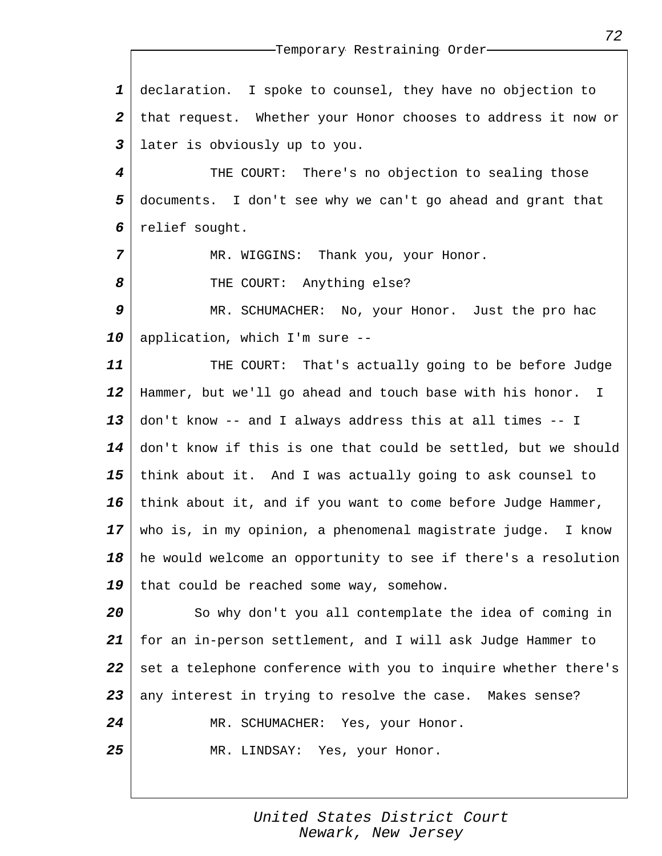| $\mathbf 1$             | declaration. I spoke to counsel, they have no objection to               |
|-------------------------|--------------------------------------------------------------------------|
| $\overline{a}$          | that request. Whether your Honor chooses to address it now or            |
| $\overline{\mathbf{3}}$ | later is obviously up to you.                                            |
| 4                       | THE COURT: There's no objection to sealing those                         |
| 5                       | documents. I don't see why we can't go ahead and grant that              |
| 6                       | relief sought.                                                           |
| 7                       | MR. WIGGINS: Thank you, your Honor.                                      |
| 8                       | THE COURT: Anything else?                                                |
| 9                       | MR. SCHUMACHER: No, your Honor. Just the pro hac                         |
| 10                      | application, which I'm sure --                                           |
| 11                      | THE COURT: That's actually going to be before Judge                      |
| 12                      | Hammer, but we'll go ahead and touch base with his honor. I              |
| 13                      | don't know -- and I always address this at all times -- I                |
| 14                      | don't know if this is one that could be settled, but we should           |
| 15                      | think about it. And I was actually going to ask counsel to               |
| 16                      | think about it, and if you want to come before Judge Hammer,             |
|                         | $17$ $\mid$ who is, in my opinion, a phenomenal magistrate judge. I know |
| 18                      | he would welcome an opportunity to see if there's a resolution           |
| 19                      | that could be reached some way, somehow.                                 |
| 20                      | So why don't you all contemplate the idea of coming in                   |
| 21                      | for an in-person settlement, and I will ask Judge Hammer to              |
| 22                      | set a telephone conference with you to inquire whether there's           |
| 23                      | any interest in trying to resolve the case. Makes sense?                 |
| 24                      | MR. SCHUMACHER: Yes, your Honor.                                         |
| 25                      | MR. LINDSAY: Yes, your Honor.                                            |
|                         |                                                                          |

*United States District Court Newark, New Jersey*

*72*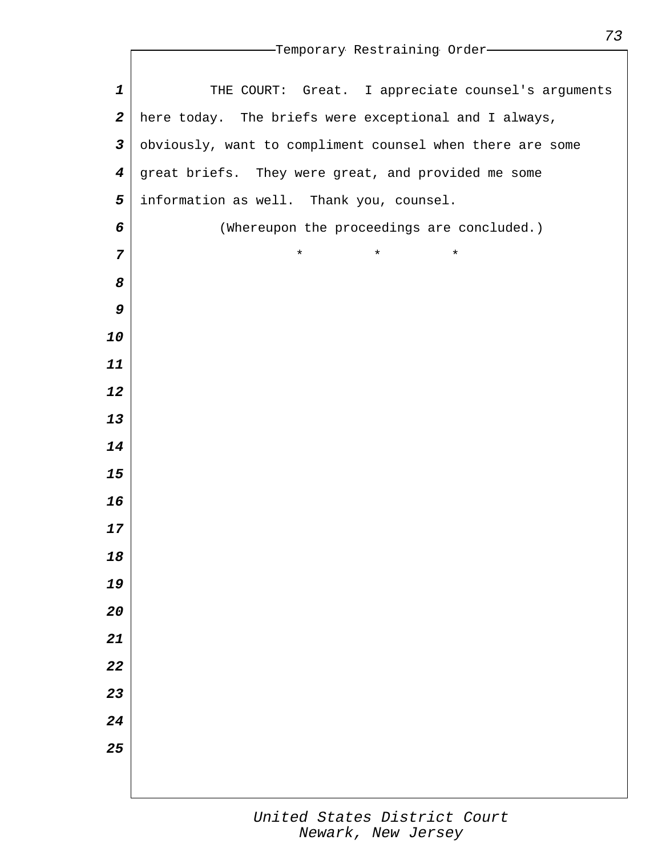|                         | --Temporary Restraining Order-                            |
|-------------------------|-----------------------------------------------------------|
|                         |                                                           |
| $\mathbf 1$             | THE COURT: Great. I appreciate counsel's arguments        |
| $\boldsymbol{2}$        | here today. The briefs were exceptional and I always,     |
| $\overline{\mathbf{3}}$ | obviously, want to compliment counsel when there are some |
| $\boldsymbol{4}$        | great briefs. They were great, and provided me some       |
| 5                       | information as well. Thank you, counsel.                  |
| 6                       | (Whereupon the proceedings are concluded.)                |
| 7                       | $\star$<br>$^\star$<br>$\star$                            |
| 8                       |                                                           |
| 9                       |                                                           |
| 10                      |                                                           |
| 11                      |                                                           |
| 12                      |                                                           |
| 13                      |                                                           |
| 14                      |                                                           |
| 15                      |                                                           |
| 16                      |                                                           |
| 17                      |                                                           |
| 18                      |                                                           |
| 19                      |                                                           |
| 20                      |                                                           |
| 21                      |                                                           |
| 22                      |                                                           |
| 23                      |                                                           |
| 24                      |                                                           |
| 25                      |                                                           |
|                         |                                                           |